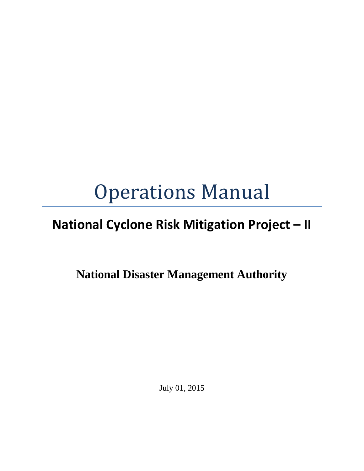# Operations Manual

# **National Cyclone Risk Mitigation Project – II**

**National Disaster Management Authority**

July 01, 2015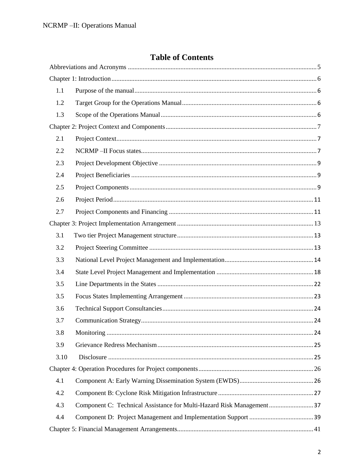# **Table of Contents**

| 1.1  |                                                                      |  |
|------|----------------------------------------------------------------------|--|
| 1.2  |                                                                      |  |
| 1.3  |                                                                      |  |
|      |                                                                      |  |
| 2.1  |                                                                      |  |
| 2.2  |                                                                      |  |
| 2.3  |                                                                      |  |
| 2.4  |                                                                      |  |
| 2.5  |                                                                      |  |
| 2.6  |                                                                      |  |
| 2.7  |                                                                      |  |
|      |                                                                      |  |
| 3.1  |                                                                      |  |
| 3.2  |                                                                      |  |
| 3.3  |                                                                      |  |
| 3.4  |                                                                      |  |
| 3.5  |                                                                      |  |
| 3.5  |                                                                      |  |
| 3.6  |                                                                      |  |
| 3.7  |                                                                      |  |
| 3.8  |                                                                      |  |
| 3.9  |                                                                      |  |
| 3.10 |                                                                      |  |
|      |                                                                      |  |
| 4.1  |                                                                      |  |
| 4.2  |                                                                      |  |
| 4.3  | Component C: Technical Assistance for Multi-Hazard Risk Management37 |  |
| 4.4  |                                                                      |  |
|      |                                                                      |  |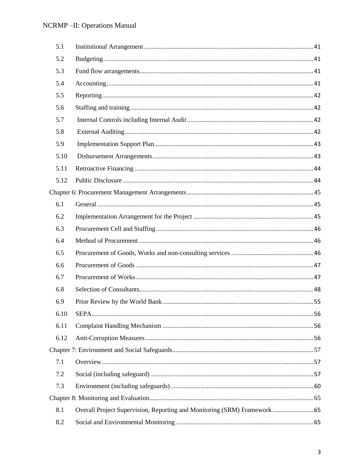# NCRMP-II: Operations Manual

| 5.1  |                                                                           |  |
|------|---------------------------------------------------------------------------|--|
| 5.2  |                                                                           |  |
| 5.3  |                                                                           |  |
| 5.4  |                                                                           |  |
| 5.5  |                                                                           |  |
| 5.6  |                                                                           |  |
| 5.7  |                                                                           |  |
| 5.8  |                                                                           |  |
| 5.9  |                                                                           |  |
| 5.10 |                                                                           |  |
| 5.11 |                                                                           |  |
| 5.12 |                                                                           |  |
|      |                                                                           |  |
| 6.1  |                                                                           |  |
| 6.2  |                                                                           |  |
| 6.3  |                                                                           |  |
| 6.4  |                                                                           |  |
| 6.5  |                                                                           |  |
| 6.6  |                                                                           |  |
| 6.7  |                                                                           |  |
| 6.8  |                                                                           |  |
| 6.9  |                                                                           |  |
| 6.10 |                                                                           |  |
| 6.11 |                                                                           |  |
| 6.12 |                                                                           |  |
|      |                                                                           |  |
| 7.1  |                                                                           |  |
| 7.2  |                                                                           |  |
| 7.3  |                                                                           |  |
|      |                                                                           |  |
| 8.1  | Overall Project Supervision, Reporting and Monitoring (SRM) Framework  65 |  |
| 8.2  |                                                                           |  |
|      |                                                                           |  |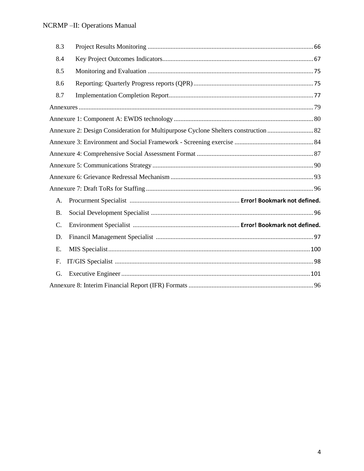# NCRMP-II: Operations Manual

| 8.3       |  |
|-----------|--|
| 8.4       |  |
| 8.5       |  |
| 8.6       |  |
| 8.7       |  |
|           |  |
|           |  |
|           |  |
|           |  |
|           |  |
|           |  |
|           |  |
|           |  |
| A.        |  |
| <b>B.</b> |  |
| $C$ .     |  |
| D.        |  |
| Ε.        |  |
| F.        |  |
| G.        |  |
|           |  |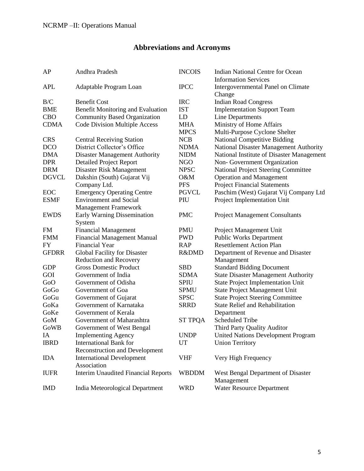# **Abbreviations and Acronyms**

<span id="page-4-0"></span>

| AP           | Andhra Pradesh                             | <b>INCOIS</b>  | <b>Indian National Centre for Ocean</b>      |
|--------------|--------------------------------------------|----------------|----------------------------------------------|
|              |                                            |                | <b>Information Services</b>                  |
| <b>APL</b>   | Adaptable Program Loan                     | <b>IPCC</b>    | Intergovernmental Panel on Climate<br>Change |
| B/C          | <b>Benefit Cost</b>                        | <b>IRC</b>     | <b>Indian Road Congress</b>                  |
| <b>BME</b>   | Benefit Monitoring and Evaluation          | <b>IST</b>     | <b>Implementation Support Team</b>           |
| <b>CBO</b>   | <b>Community Based Organization</b>        | LD             | Line Departments                             |
| <b>CDMA</b>  | <b>Code Division Multiple Access</b>       | <b>MHA</b>     | Ministry of Home Affairs                     |
|              |                                            | <b>MPCS</b>    | Multi-Purpose Cyclone Shelter                |
| <b>CRS</b>   | <b>Central Receiving Station</b>           | <b>NCB</b>     | National Competitive Bidding                 |
| <b>DCO</b>   | District Collector's Office                | <b>NDMA</b>    | National Disaster Management Authority       |
| <b>DMA</b>   | <b>Disaster Management Authority</b>       | <b>NIDM</b>    | National Institute of Disaster Management    |
| <b>DPR</b>   | <b>Detailed Project Report</b>             | <b>NGO</b>     | Non-Government Organization                  |
| <b>DRM</b>   | Disaster Risk Management                   | <b>NPSC</b>    | National Project Steering Committee          |
| <b>DGVCL</b> | Dakshin (South) Gujarat Vij                | O&M            | <b>Operation and Management</b>              |
|              | Company Ltd.                               | <b>PFS</b>     | <b>Project Financial Statements</b>          |
| EOC          | <b>Emergency Operating Centre</b>          | <b>PGVCL</b>   | Paschim (West) Gujarat Vij Company Ltd       |
| <b>ESMF</b>  | <b>Environment</b> and Social              | PIU            | Project Implementation Unit                  |
|              | <b>Management Framework</b>                |                |                                              |
| <b>EWDS</b>  | Early Warning Dissemination                | <b>PMC</b>     | <b>Project Management Consultants</b>        |
|              | System                                     |                |                                              |
| <b>FM</b>    | <b>Financial Management</b>                | <b>PMU</b>     | Project Management Unit                      |
| <b>FMM</b>   | <b>Financial Management Manual</b>         | <b>PWD</b>     | <b>Public Works Department</b>               |
| <b>FY</b>    | <b>Financial Year</b>                      | <b>RAP</b>     | <b>Resettlement Action Plan</b>              |
| <b>GFDRR</b> | Global Facility for Disaster               | R&DMD          | Department of Revenue and Disaster           |
|              | <b>Reduction and Recovery</b>              |                | Management                                   |
| <b>GDP</b>   | <b>Gross Domestic Product</b>              | <b>SBD</b>     | <b>Standard Bidding Document</b>             |
| GOI          | Government of India                        | SDMA           | <b>State Disaster Management Authority</b>   |
| GoO          | Government of Odisha                       | <b>SPIU</b>    | <b>State Project Implementation Unit</b>     |
| GoGo         | Government of Goa                          | <b>SPMU</b>    | State Project Management Unit                |
| GoGu         | Government of Gujarat                      | <b>SPSC</b>    | <b>State Project Steering Committee</b>      |
| GoKa         | Government of Karnataka                    | <b>SRRD</b>    | <b>State Relief and Rehabilitation</b>       |
| GoKe         | Government of Kerala                       |                | Department                                   |
| GoM          | Government of Maharashtra                  | <b>ST TPQA</b> | <b>Scheduled Tribe</b>                       |
| GoWB         | Government of West Bengal                  |                | Third Party Quality Auditor                  |
| IA           | <b>Implementing Agency</b>                 | <b>UNDP</b>    | <b>United Nations Development Program</b>    |
| <b>IBRD</b>  | <b>International Bank for</b>              | UT             | <b>Union Territory</b>                       |
|              | <b>Reconstruction and Development</b>      |                |                                              |
| <b>IDA</b>   | <b>International Development</b>           | <b>VHF</b>     |                                              |
|              | Association                                |                | Very High Frequency                          |
| <b>IUFR</b>  | <b>Interim Unaudited Financial Reports</b> | <b>WBDDM</b>   | West Bengal Department of Disaster           |
|              |                                            |                | Management                                   |
| <b>IMD</b>   | India Meteorological Department            | <b>WRD</b>     | Water Resource Department                    |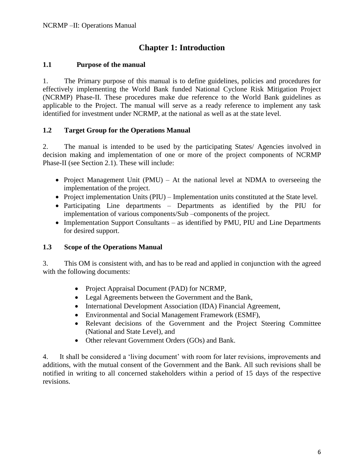# **Chapter 1: Introduction**

#### <span id="page-5-1"></span><span id="page-5-0"></span>**1.1 Purpose of the manual**

1. The Primary purpose of this manual is to define guidelines, policies and procedures for effectively implementing the World Bank funded National Cyclone Risk Mitigation Project (NCRMP) Phase-II. These procedures make due reference to the World Bank guidelines as applicable to the Project. The manual will serve as a ready reference to implement any task identified for investment under NCRMP, at the national as well as at the state level.

#### <span id="page-5-2"></span>**1.2 Target Group for the Operations Manual**

2. The manual is intended to be used by the participating States/ Agencies involved in decision making and implementation of one or more of the project components of NCRMP Phase-II (see Section 2.1). These will include:

- Project Management Unit (PMU) At the national level at NDMA to overseeing the implementation of the project.
- Project implementation Units (PIU) Implementation units constituted at the State level.
- Participating Line departments Departments as identified by the PIU for implementation of various components/Sub –components of the project.
- Implementation Support Consultants as identified by PMU, PIU and Line Departments for desired support.

#### <span id="page-5-3"></span>**1.3 Scope of the Operations Manual**

3. This OM is consistent with, and has to be read and applied in conjunction with the agreed with the following documents:

- Project Appraisal Document (PAD) for NCRMP,
- Legal Agreements between the Government and the Bank,
- International Development Association (IDA) Financial Agreement,
- Environmental and Social Management Framework (ESMF),
- Relevant decisions of the Government and the Project Steering Committee (National and State Level), and
- Other relevant Government Orders (GOs) and Bank.

4. It shall be considered a 'living document' with room for later revisions, improvements and additions, with the mutual consent of the Government and the Bank. All such revisions shall be notified in writing to all concerned stakeholders within a period of 15 days of the respective revisions.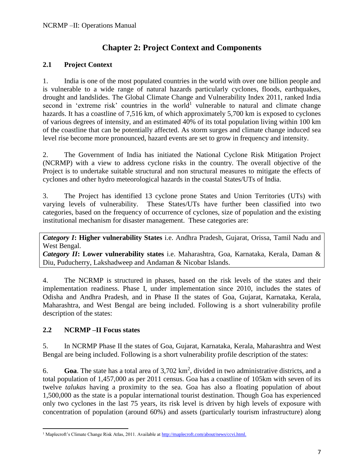# **Chapter 2: Project Context and Components**

#### <span id="page-6-1"></span><span id="page-6-0"></span>**2.1 Project Context**

1. India is one of the most populated countries in the world with over one billion people and is vulnerable to a wide range of natural hazards particularly cyclones, floods, earthquakes, drought and landslides. The Global Climate Change and Vulnerability Index 2011, ranked India second in 'extreme risk' countries in the world<sup>1</sup> vulnerable to natural and climate change hazards. It has a coastline of 7,516 km, of which approximately 5,700 km is exposed to cyclones of various degrees of intensity, and an estimated 40% of its total population living within 100 km of the coastline that can be potentially affected. As storm surges and climate change induced sea level rise become more pronounced, hazard events are set to grow in frequency and intensity.

2. The Government of India has initiated the National Cyclone Risk Mitigation Project (NCRMP) with a view to address cyclone risks in the country. The overall objective of the Project is to undertake suitable structural and non structural measures to mitigate the effects of cyclones and other hydro meteorological hazards in the coastal States/UTs of India.

3. The Project has identified 13 cyclone prone States and Union Territories (UTs) with varying levels of vulnerability. These States/UTs have further been classified into two categories, based on the frequency of occurrence of cyclones, size of population and the existing institutional mechanism for disaster management. These categories are:

*Category I***: Higher vulnerability States** i.e. Andhra Pradesh, Gujarat, Orissa, Tamil Nadu and West Bengal.

*Category II***: Lower vulnerability states** i.e. Maharashtra, Goa, Karnataka, Kerala, Daman & Diu, Puducherry, Lakshadweep and Andaman & Nicobar Islands.

4. The NCRMP is structured in phases, based on the risk levels of the states and their implementation readiness. Phase I, under implementation since 2010, includes the states of Odisha and Andhra Pradesh, and in Phase II the states of Goa, Gujarat, Karnataka, Kerala, Maharashtra, and West Bengal are being included. Following is a short vulnerability profile description of the states:

#### <span id="page-6-2"></span>**2.2 NCRMP –II Focus states**

5. In NCRMP Phase II the states of Goa, Gujarat, Karnataka, Kerala, Maharashtra and West Bengal are being included. Following is a short vulnerability profile description of the states:

6. **Goa**. The state has a total area of  $3,702 \text{ km}^2$ , divided in two administrative districts, and a total population of 1,457,000 as per 2011 census. Goa has a coastline of 105km with seven of its twelve *talukas* having a proximity to the sea. Goa has also a floating population of about 1,500,000 as the state is a popular international tourist destination. Though Goa has experienced only two cyclones in the last 75 years, its risk level is driven by high levels of exposure with concentration of population (around 60%) and assets (particularly tourism infrastructure) along

 $\overline{\phantom{a}}$ <sup>1</sup> Maplecroft's Climate Change Risk Atlas, 2011. Available at [http://maplecroft.com/about/news/ccvi.html.](http://maplecroft.com/about/news/ccvi.html)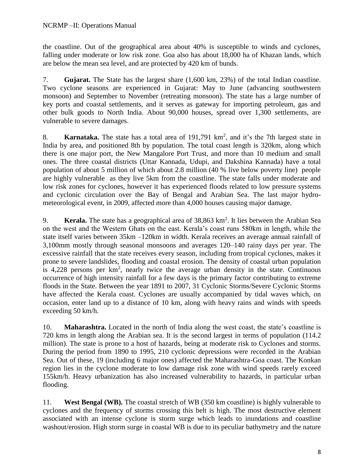#### NCRMP –II: Operations Manual

the coastline. Out of the geographical area about 40% is susceptible to winds and cyclones, falling under moderate or low risk zone. Goa also has about 18,000 ha of Khazan lands, which are below the mean sea level, and are protected by 420 km of bunds.

7. **Gujarat.** The State has the largest share (1,600 km, 23%) of the total Indian coastline. Two cyclone seasons are experienced in Gujarat: May to June (advancing southwestern monsoon) and September to November (retreating monsoon). The state has a large number of key ports and coastal settlements, and it serves as gateway for importing petroleum, gas and other bulk goods to North India. About 90,000 houses, spread over 1,300 settlements, are vulnerable to severe damages.

8. **Karnataka.** The state has a total area of  $191,791 \text{ km}^2$ , and it's the 7th largest state in India by area, and positioned 8th by population. The total coast length is 320km, along which there is one major port, the New Mangalore Port Trust, and more than 10 medium and small ones. The three coastal districts (Uttar Kannada, Udupi, and Dakshina Kannada) have a total population of about 5 million of which about 2.8 million (40 % live below poverty line) people are highly vulnerable as they live 5km from the coastline. The state falls under moderate and low risk zones for cyclones, however it has experienced floods related to low pressure systems and cyclonic circulation over the Bay of Bengal and Arabian Sea. The last major hydrometeorological event, in 2009, affected more than 4,000 houses causing major damage.

9. **Kerala.** The state has a geographical area of 38,863 km<sup>2</sup>. It lies between the Arabian Sea on the west and the Western Ghats on the east. Kerala's coast runs 580km in length, while the state itself varies between 35km –120km in width. Kerala receives an average annual rainfall of 3,100mm mostly through seasonal monsoons and averages 120–140 rainy days per year. The excessive rainfall that the state receives every season, including from tropical cyclones, makes it prone to severe landslides, flooding and coastal erosion. The density of coastal urban population is  $4,228$  persons per  $km^2$ , nearly twice the average urban density in the state. Continuous occurrence of high intensity rainfall for a few days is the primary factor contributing to extreme floods in the State. Between the year 1891 to 2007, 31 Cyclonic Storms/Severe Cyclonic Storms have affected the Kerala coast. Cyclones are usually accompanied by tidal waves which, on occasion, enter land up to a distance of 10 km, along with heavy rains and winds with speeds exceeding 50 km/h.

10. **Maharashtra.** Located in the north of India along the west coast, the state's coastline is 720 kms in length along the Arabian sea. It is the second largest in terms of population (114.2 million). The state is prone to a host of hazards, being at moderate risk to Cyclones and storms. During the period from 1890 to 1995, 210 cyclonic depressions were recorded in the Arabian Sea. Out of these, 19 (including 6 major ones) affected the Maharashtra-Goa coast. The Konkan region lies in the cyclone moderate to low damage risk zone with wind speeds rarely exceed 155km/h. Heavy urbanization has also increased vulnerability to hazards, in particular urban flooding.

11. **West Bengal (WB).** The coastal stretch of WB (350 km coastline) is highly vulnerable to cyclones and the frequency of storms crossing this belt is high. The most destructive element associated with an intense cyclone is storm surge which leads to inundations and coastline washout/erosion. High storm surge in coastal WB is due to its peculiar bathymetry and the nature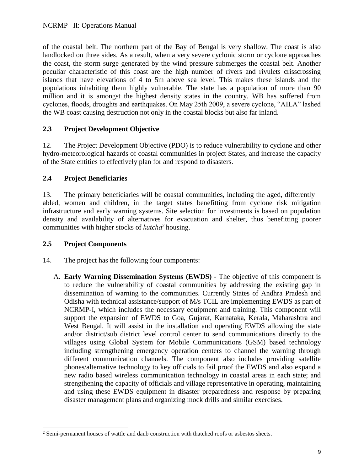of the coastal belt. The northern part of the Bay of Bengal is very shallow. The coast is also landlocked on three sides. As a result, when a very severe cyclonic storm or cyclone approaches the coast, the storm surge generated by the wind pressure submerges the coastal belt. Another peculiar characteristic of this coast are the high number of rivers and rivulets crisscrossing islands that have elevations of 4 to 5m above sea level. This makes these islands and the populations inhabiting them highly vulnerable. The state has a population of more than 90 million and it is amongst the highest density states in the country. WB has suffered from cyclones, floods, droughts and earthquakes. On May 25th 2009, a severe cyclone, "AILA" lashed the WB coast causing destruction not only in the coastal blocks but also far inland.

#### <span id="page-8-0"></span>**2.3 Project Development Objective**

12. The Project Development Objective (PDO) is to reduce vulnerability to cyclone and other hydro-meteorological hazards of coastal communities in project States, and increase the capacity of the State entities to effectively plan for and respond to disasters.

#### <span id="page-8-1"></span>**2.4 Project Beneficiaries**

13. The primary beneficiaries will be coastal communities, including the aged, differently – abled, women and children, in the target states benefitting from cyclone risk mitigation infrastructure and early warning systems. Site selection for investments is based on population density and availability of alternatives for evacuation and shelter, thus benefitting poorer communities with higher stocks of *kutcha*<sup>2</sup> housing.

#### <span id="page-8-2"></span>**2.5 Project Components**

 $\overline{a}$ 

- 14. The project has the following four components:
	- A. **Early Warning Dissemination Systems (EWDS)** The objective of this component is to reduce the vulnerability of coastal communities by addressing the existing gap in dissemination of warning to the communities. Currently States of Andhra Pradesh and Odisha with technical assistance/support of M/s TCIL are implementing EWDS as part of NCRMP-I, which includes the necessary equipment and training. This component will support the expansion of EWDS to Goa, Gujarat, Karnataka, Kerala, Maharashtra and West Bengal. It will assist in the installation and operating EWDS allowing the state and/or district/sub district level control center to send communications directly to the villages using Global System for Mobile Communications (GSM) based technology including strengthening emergency operation centers to channel the warning through different communication channels. The component also includes providing satellite phones/alternative technology to key officials to fail proof the EWDS and also expand a new radio based wireless communication technology in coastal areas in each state; and strengthening the capacity of officials and village representative in operating, maintaining and using these EWDS equipment in disaster preparedness and response by preparing disaster management plans and organizing mock drills and similar exercises.

<sup>2</sup> Semi-permanent houses of wattle and daub construction with thatched roofs or asbestos sheets.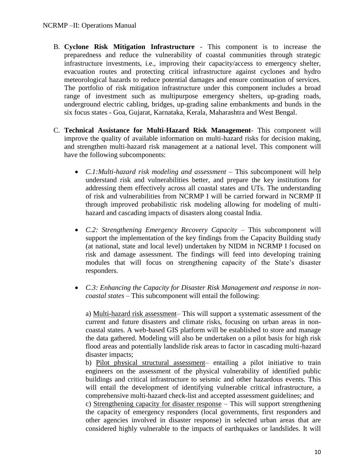- B. **Cyclone Risk Mitigation Infrastructure** This component is to increase the preparedness and reduce the vulnerability of coastal communities through strategic infrastructure investments, i.e., improving their capacity/access to emergency shelter, evacuation routes and protecting critical infrastructure against cyclones and hydro meteorological hazards to reduce potential damages and ensure continuation of services. The portfolio of risk mitigation infrastructure under this component includes a broad range of investment such as multipurpose emergency shelters, up-grading roads, underground electric cabling, bridges, up-grading saline embankments and bunds in the six focus states - Goa, Gujarat, Karnataka, Kerala, Maharashtra and West Bengal.
- C. **Technical Assistance for Multi-Hazard Risk Management** This component will improve the quality of available information on multi-hazard risks for decision making, and strengthen multi-hazard risk management at a national level. This component will have the following subcomponents:
	- *C.1:Multi-hazard risk modeling and assessment* This subcomponent will help understand risk and vulnerabilities better, and prepare the key institutions for addressing them effectively across all coastal states and UTs. The understanding of risk and vulnerabilities from NCRMP I will be carried forward in NCRMP II through improved probabilistic risk modeling allowing for modeling of multihazard and cascading impacts of disasters along coastal India.
	- *C.2: Strengthening Emergency Recovery Capacity* This subcomponent will support the implementation of the key findings from the Capacity Building study (at national, state and local level) undertaken by NIDM in NCRMP I focused on risk and damage assessment. The findings will feed into developing training modules that will focus on strengthening capacity of the State's disaster responders.
	- *C.3: Enhancing the Capacity for Disaster Risk Management and response in noncoastal states* – This subcomponent will entail the following:

a) Multi-hazard risk assessment– This will support a systematic assessment of the current and future disasters and climate risks, focusing on urban areas in noncoastal states. A web-based GIS platform will be established to store and manage the data gathered. Modeling will also be undertaken on a pilot basis for high risk flood areas and potentially landslide risk areas to factor in cascading multi-hazard disaster impacts;

b) Pilot physical structural assessment– entailing a pilot initiative to train engineers on the assessment of the physical vulnerability of identified public buildings and critical infrastructure to seismic and other hazardous events. This will entail the development of identifying vulnerable critical infrastructure, a comprehensive multi-hazard check-list and accepted assessment guidelines; and

c) Strengthening capacity for disaster response – This will support strengthening the capacity of emergency responders (local governments, first responders and other agencies involved in disaster response) in selected urban areas that are considered highly vulnerable to the impacts of earthquakes or landslides. It will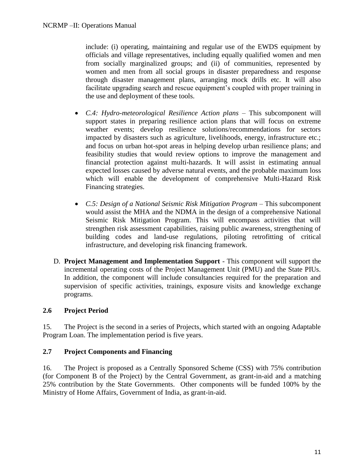include: (i) operating, maintaining and regular use of the EWDS equipment by officials and village representatives, including equally qualified women and men from socially marginalized groups; and (ii) of communities, represented by women and men from all social groups in disaster preparedness and response through disaster management plans, arranging mock drills etc. It will also facilitate upgrading search and rescue equipment's coupled with proper training in the use and deployment of these tools.

- *C.4: Hydro-meteorological Resilience Action plans* This subcomponent will support states in preparing resilience action plans that will focus on extreme weather events; develop resilience solutions/recommendations for sectors impacted by disasters such as agriculture, livelihoods, energy, infrastructure etc.; and focus on urban hot-spot areas in helping develop urban resilience plans; and feasibility studies that would review options to improve the management and financial protection against multi-hazards. It will assist in estimating annual expected losses caused by adverse natural events, and the probable maximum loss which will enable the development of comprehensive Multi-Hazard Risk Financing strategies.
- *C.5: Design of a National Seismic Risk Mitigation Program* This subcomponent would assist the MHA and the NDMA in the design of a comprehensive National Seismic Risk Mitigation Program. This will encompass activities that will strengthen risk assessment capabilities, raising public awareness, strengthening of building codes and land-use regulations, piloting retrofitting of critical infrastructure, and developing risk financing framework.
- D. **Project Management and Implementation Support** This component will support the incremental operating costs of the Project Management Unit (PMU) and the State PIUs. In addition, the component will include consultancies required for the preparation and supervision of specific activities, trainings, exposure visits and knowledge exchange programs.

#### <span id="page-10-0"></span>**2.6 Project Period**

15. The Project is the second in a series of Projects, which started with an ongoing Adaptable Program Loan. The implementation period is five years.

#### <span id="page-10-1"></span>**2.7 Project Components and Financing**

16. The Project is proposed as a Centrally Sponsored Scheme (CSS) with 75% contribution (for Component B of the Project) by the Central Government, as grant-in-aid and a matching 25% contribution by the State Governments. Other components will be funded 100% by the Ministry of Home Affairs, Government of India, as grant-in-aid.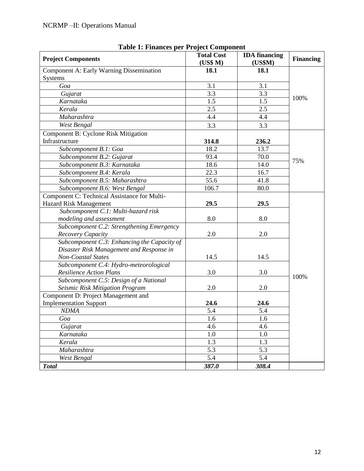| <b>Project Components</b>                    | <b>Total Cost</b><br>(US\$ M) | <b>IDA</b> financing<br>(US\$M) | <b>Financing</b> |
|----------------------------------------------|-------------------------------|---------------------------------|------------------|
| Component A: Early Warning Dissemination     | 18.1                          | 18.1                            |                  |
| Systems                                      |                               |                                 |                  |
| Goa                                          | 3.1                           | 3.1                             |                  |
| Gujarat                                      | 3.3                           | 3.3                             |                  |
| Karnataka                                    | 1.5                           | 1.5                             | 100%             |
| Kerala                                       | 2.5                           | 2.5                             |                  |
| Maharashtra                                  | 4.4                           | 4.4                             |                  |
| West Bengal                                  | 3.3                           | 3.3                             |                  |
| Component B: Cyclone Risk Mitigation         |                               |                                 |                  |
| Infrastructure                               | 314.8                         | 236.2                           |                  |
| Subcomponent B.1: Goa                        | 18.2                          | 13.7                            |                  |
| Subcomponent B.2: Gujarat                    | 93.4                          | 70.0                            |                  |
| Subcomponent B.3: Karnataka                  | 18.6                          | 14.0                            | 75%              |
| Subcomponent B.4: Kerala                     | 22.3                          | 16.7                            |                  |
| Subcomponent B.5: Maharashtra                | 55.6                          | 41.8                            |                  |
| Subcomponent B.6: West Bengal                | 106.7                         | 80.0                            |                  |
| Component C: Technical Assistance for Multi- |                               |                                 |                  |
| Hazard Risk Management                       | 29.5                          | 29.5                            |                  |
| Subcomponent C.1: Multi-hazard risk          |                               |                                 |                  |
| modeling and assessment                      | 8.0                           | 8.0                             |                  |
| Subcomponent C.2: Strengthening Emergency    |                               |                                 |                  |
| Recovery Capacity                            | 2.0                           | 2.0                             |                  |
| Subcomponent C.3: Enhancing the Capacity of  |                               |                                 |                  |
| Disaster Risk Management and Response in     |                               |                                 |                  |
| Non-Coastal States                           | 14.5                          | 14.5                            |                  |
| Subcomponent C.4: Hydro-meteorological       |                               |                                 |                  |
| <b>Resilience Action Plans</b>               | 3.0                           | 3.0                             | 100%             |
| Subcomponent C.5: Design of a National       |                               |                                 |                  |
| Seismic Risk Mitigation Program              | 2.0                           | 2.0                             |                  |
| Component D: Project Management and          |                               |                                 |                  |
| <b>Implementation Support</b>                | 24.6                          | 24.6                            |                  |
| <b>NDMA</b>                                  | 5.4                           | 5.4                             |                  |
| Goa                                          | 1.6                           | 1.6                             |                  |
| Gujarat                                      | 4.6                           | 4.6                             |                  |
| Karnataka                                    | 1.0                           | 1.0                             |                  |
| Kerala                                       | 1.3                           | 1.3                             |                  |
| Maharashtra                                  | 5.3                           | 5.3                             |                  |
| West Bengal                                  | 5.4                           | 5.4                             |                  |
| <b>Total</b>                                 | 387.0                         | 308.4                           |                  |

|  | <b>Table 1: Finances per Project Component</b> |
|--|------------------------------------------------|
|--|------------------------------------------------|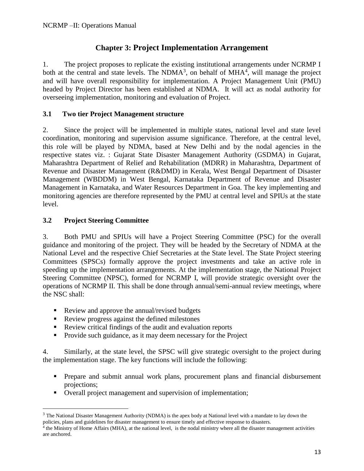#### **Chapter 3: Project Implementation Arrangement**

<span id="page-12-0"></span>1. The project proposes to replicate the existing institutional arrangements under NCRMP I both at the central and state levels. The NDMA<sup>3</sup>, on behalf of MHA<sup>4</sup>, will manage the project and will have overall responsibility for implementation. A Project Management Unit (PMU) headed by Project Director has been established at NDMA. It will act as nodal authority for overseeing implementation, monitoring and evaluation of Project.

#### <span id="page-12-1"></span>**3.1 Two tier Project Management structure**

2. Since the project will be implemented in multiple states, national level and state level coordination, monitoring and supervision assume significance. Therefore, at the central level, this role will be played by NDMA, based at New Delhi and by the nodal agencies in the respective states viz. : Gujarat State Disaster Management Authority (GSDMA) in Gujarat, Maharashtra Department of Relief and Rehabilitation (MDRR) in Maharashtra, Department of Revenue and Disaster Management (R&DMD) in Kerala, West Bengal Department of Disaster Management (WBDDM) in West Bengal, Karnataka Department of Revenue and Disaster Management in Karnataka, and Water Resources Department in Goa. The key implementing and monitoring agencies are therefore represented by the PMU at central level and SPIUs at the state level.

#### <span id="page-12-2"></span>**3.2 Project Steering Committee**

 $\overline{\phantom{a}}$ 

3. Both PMU and SPIUs will have a Project Steering Committee (PSC) for the overall guidance and monitoring of the project. They will be headed by the Secretary of NDMA at the National Level and the respective Chief Secretaries at the State level. The State Project steering Committees (SPSCs) formally approve the project investments and take an active role in speeding up the implementation arrangements. At the implementation stage, the National Project Steering Committee (NPSC), formed for NCRMP I, will provide strategic oversight over the operations of NCRMP II. This shall be done through annual/semi-annual review meetings, where the NSC shall:

- Review and approve the annual/revised budgets
- Review progress against the defined milestones
- Review critical findings of the audit and evaluation reports
- **Provide such guidance, as it may deem necessary for the Project**

4. Similarly, at the state level, the SPSC will give strategic oversight to the project during the implementation stage. The key functions will include the following:

- **Prepare and submit annual work plans, procurement plans and financial disbursement** projections;
- Overall project management and supervision of implementation;

<sup>&</sup>lt;sup>3</sup> The National Disaster Management Authority (NDMA) is the apex body at National level with a mandate to lay down the policies, plans and guidelines for disaster management to ensure timely and effective response to disasters.

<sup>&</sup>lt;sup>4</sup> the Ministry of Home Affairs (MHA), at the national level, is the nodal ministry where all the disaster management activities are anchored.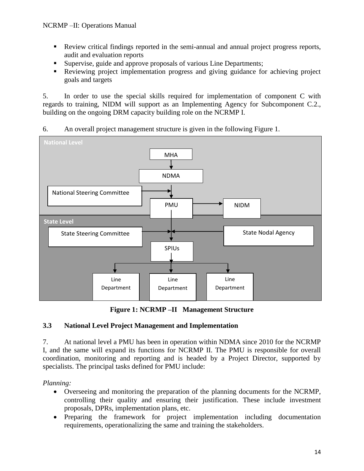- Review critical findings reported in the semi-annual and annual project progress reports, audit and evaluation reports
- Supervise, guide and approve proposals of various Line Departments;
- Reviewing project implementation progress and giving guidance for achieving project goals and targets

5. In order to use the special skills required for implementation of component C with regards to training, NIDM will support as an Implementing Agency for Subcomponent C.2., building on the ongoing DRM capacity building role on the NCRMP I.

#### 6. An overall project management structure is given in the following Figure 1.



**Figure 1: NCRMP –II Management Structure**

#### <span id="page-13-0"></span>**3.3 National Level Project Management and Implementation**

7. At national level a PMU has been in operation within NDMA since 2010 for the NCRMP I, and the same will expand its functions for NCRMP II. The PMU is responsible for overall coordination, monitoring and reporting and is headed by a Project Director, supported by specialists. The principal tasks defined for PMU include:

#### *Planning:*

- Overseeing and monitoring the preparation of the planning documents for the NCRMP, controlling their quality and ensuring their justification. These include investment proposals, DPRs, implementation plans, etc.
- Preparing the framework for project implementation including documentation requirements, operationalizing the same and training the stakeholders.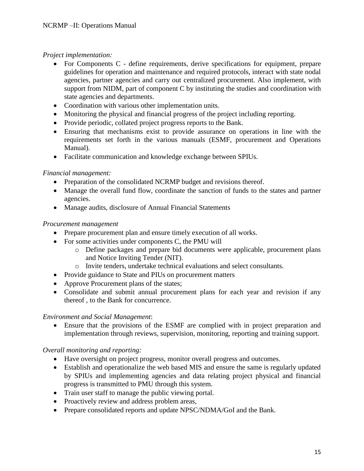#### *Project implementation:*

- For Components C define requirements, derive specifications for equipment, prepare guidelines for operation and maintenance and required protocols, interact with state nodal agencies, partner agencies and carry out centralized procurement. Also implement, with support from NIDM, part of component C by instituting the studies and coordination with state agencies and departments.
- Coordination with various other implementation units.
- Monitoring the physical and financial progress of the project including reporting.
- Provide periodic, collated project progress reports to the Bank.
- Ensuring that mechanisms exist to provide assurance on operations in line with the requirements set forth in the various manuals (ESMF, procurement and Operations Manual).
- Facilitate communication and knowledge exchange between SPIUs.

#### *Financial management:*

- Preparation of the consolidated NCRMP budget and revisions thereof.
- Manage the overall fund flow, coordinate the sanction of funds to the states and partner agencies.
- Manage audits, disclosure of Annual Financial Statements

#### *Procurement management*

- Prepare procurement plan and ensure timely execution of all works.
- For some activities under components C, the PMU will
	- o Define packages and prepare bid documents were applicable, procurement plans and Notice Inviting Tender (NIT).
	- o Invite tenders, undertake technical evaluations and select consultants.
- Provide guidance to State and PIUs on procurement matters
- Approve Procurement plans of the states;
- Consolidate and submit annual procurement plans for each year and revision if any thereof , to the Bank for concurrence.

#### *Environment and Social Management*:

 Ensure that the provisions of the ESMF are complied with in project preparation and implementation through reviews, supervision, monitoring, reporting and training support.

#### *Overall monitoring and reporting:*

- Have oversight on project progress, monitor overall progress and outcomes.
- Establish and operationalize the web based MIS and ensure the same is regularly updated by SPIUs and implementing agencies and data relating project physical and financial progress is transmitted to PMU through this system.
- Train user staff to manage the public viewing portal.
- Proactively review and address problem areas,
- Prepare consolidated reports and update NPSC/NDMA/GoI and the Bank.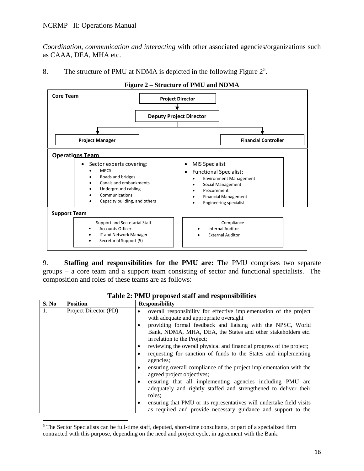$\overline{\phantom{a}}$ 

*Coordination, communication and interacting* with other associated agencies/organizations such as CAAA, DEA, MHA etc.





**Figure 2 – Structure of PMU and NDMA**

9. **Staffing and responsibilities for the PMU are:** The PMU comprises two separate groups – a core team and a support team consisting of sector and functional specialists. The composition and roles of these teams are as follows:

| S. No | <b>Position</b>       |                                                                                                                               |
|-------|-----------------------|-------------------------------------------------------------------------------------------------------------------------------|
|       |                       | <b>Responsibility</b>                                                                                                         |
| 1.    | Project Director (PD) | overall responsibility for effective implementation of the project<br>with adequate and appropriate oversight                 |
|       |                       | providing formal feedback and liaising with the NPSC, World<br>Bank, NDMA, MHA, DEA, the States and other stakeholders etc.   |
|       |                       | in relation to the Project;                                                                                                   |
|       |                       | reviewing the overall physical and financial progress of the project;                                                         |
|       |                       | requesting for sanction of funds to the States and implementing<br>agencies;                                                  |
|       |                       | ensuring overall compliance of the project implementation with the<br>agreed project objectives;                              |
|       |                       | ensuring that all implementing agencies including PMU are<br>adequately and rightly staffed and strengthened to deliver their |
|       |                       | roles:                                                                                                                        |
|       |                       | ensuring that PMU or its representatives will undertake field visits                                                          |
|       |                       | as required and provide necessary guidance and support to the                                                                 |

**Table 2: PMU proposed staff and responsibilities**

<sup>5</sup> The Sector Specialists can be full-time staff, deputed, short-time consultants, or part of a specialized firm contracted with this purpose, depending on the need and project cycle, in agreement with the Bank.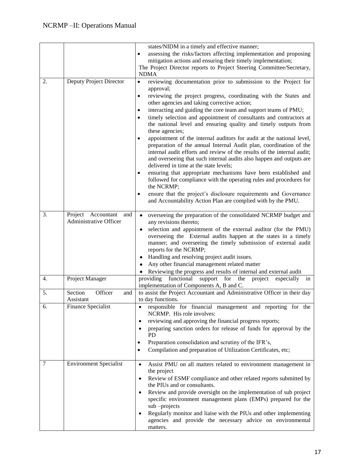|                  |                                                     | states/NIDM in a timely and effective manner;                                                                                                                                                                                                                                                                                                                                                                                                                                                                                                                                                                                                                                        |
|------------------|-----------------------------------------------------|--------------------------------------------------------------------------------------------------------------------------------------------------------------------------------------------------------------------------------------------------------------------------------------------------------------------------------------------------------------------------------------------------------------------------------------------------------------------------------------------------------------------------------------------------------------------------------------------------------------------------------------------------------------------------------------|
|                  |                                                     | assessing the risks/factors affecting implementation and proposing<br>mitigation actions and ensuring their timely implementation;<br>The Project Director reports to Project Steering Committee/Secretary,                                                                                                                                                                                                                                                                                                                                                                                                                                                                          |
|                  |                                                     | <b>NDMA</b>                                                                                                                                                                                                                                                                                                                                                                                                                                                                                                                                                                                                                                                                          |
| 2.               | Deputy Project Director                             | reviewing documentation prior to submission to the Project for<br>٠<br>approval;<br>reviewing the project progress, coordinating with the States and<br>٠<br>other agencies and taking corrective action;<br>interacting and guiding the core team and support teams of PMU;<br>timely selection and appointment of consultants and contractors at<br>٠<br>the national level and ensuring quality and timely outputs from<br>these agencies;<br>appointment of the internal auditors for audit at the national level,<br>$\bullet$<br>preparation of the annual Internal Audit plan, coordination of the<br>internal audit efforts and review of the results of the internal audit; |
|                  |                                                     | and overseeing that such internal audits also happen and outputs are<br>delivered in time at the state levels;<br>ensuring that appropriate mechanisms have been established and<br>٠<br>followed for compliance with the operating rules and procedures for<br>the NCRMP;<br>ensure that the project's disclosure requirements and Governance<br>٠<br>and Accountability Action Plan are complied with by the PMU.                                                                                                                                                                                                                                                                  |
| 3.               | Project Accountant<br>and<br>Administrative Officer | overseeing the preparation of the consolidated NCRMP budget and<br>any revisions thereto;<br>selection and appointment of the external auditor (for the PMU)<br>overseeing the External audits happen at the states in a timely<br>manner; and overseeing the timely submission of external audit<br>reports for the NCRMP;<br>Handling and resolving project audit issues.<br>Any other financial management related matter<br>Reviewing the progress and results of internal and external audit                                                                                                                                                                                    |
| $\overline{4}$ . | Project Manager                                     | providing functional<br>support for the project<br>especially<br>in<br>implementation of Components A, B and C.                                                                                                                                                                                                                                                                                                                                                                                                                                                                                                                                                                      |
| 5.               | Officer<br>Section<br>and<br>Assistant              | to assist the Project Accountant and Administrative Officer in their day<br>to day functions.                                                                                                                                                                                                                                                                                                                                                                                                                                                                                                                                                                                        |
| 6.               | Finance Specialist                                  | responsible for financial management and reporting for the<br>$\bullet$<br>NCRMP. His role involves:<br>reviewing and approving the financial progress reports;<br>preparing sanction orders for release of funds for approval by the<br><b>PD</b><br>Preparation consolidation and scrutiny of the IFR's,<br>Compilation and preparation of Utilization Certificates, etc;<br>٠                                                                                                                                                                                                                                                                                                     |
| 7                | <b>Environment Specialist</b>                       | Assist PMU on all matters related to environment management in<br>$\bullet$<br>the project<br>Review of ESMF compliance and other related reports submitted by<br>٠<br>the PIUs and or consultants.<br>Review and provide oversight on the implementation of sub project<br>specific environment management plans (EMPs) prepared for the<br>sub-projects<br>Regularly monitor and liaise with the PIUs and other implementing<br>agencies and provide the necessary advice on environmental<br>matters.                                                                                                                                                                             |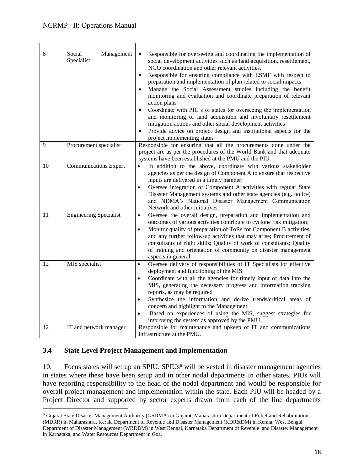| 8  | Social<br>Management<br>Specialist | Responsible for overseeing and coordinating the implementation of<br>$\bullet$<br>social development activities such as land acquisition, resettlement,<br>NGO coordination and other relevant activities.<br>Responsible for ensuring compliance with ESMF with respect to<br>$\bullet$<br>preparation and implementation of plan related to social impacts<br>Manage the Social Assessment studies including the benefit<br>$\bullet$<br>monitoring and evaluation and coordinate preparation of relevant<br>action plans<br>Coordinate with PIU's of states for overseeing the implementation<br>$\bullet$<br>and monitoring of land acquisition and involuntary resettlement<br>mitigation actions and other social development activities<br>Provide advice on project design and institutional aspects for the<br>project implementing states |
|----|------------------------------------|-----------------------------------------------------------------------------------------------------------------------------------------------------------------------------------------------------------------------------------------------------------------------------------------------------------------------------------------------------------------------------------------------------------------------------------------------------------------------------------------------------------------------------------------------------------------------------------------------------------------------------------------------------------------------------------------------------------------------------------------------------------------------------------------------------------------------------------------------------|
| 9  | Procurement specialist             | Responsible for ensuring that all the procurements done under the<br>project are as per the procedures of the World Bank and that adequate<br>systems have been established at the PMU and the PIU.                                                                                                                                                                                                                                                                                                                                                                                                                                                                                                                                                                                                                                                 |
| 10 | <b>Communications Expert</b>       | In addition to the above, coordinate with various stakeholder<br>agencies as per the design of Component A to ensure that respective<br>inputs are delivered in a timely manner.<br>Oversee integration of Component A activities with regular State<br>$\bullet$<br>Disaster Management systems and other state agencies (e.g. police)<br>and NDMA's National Disaster Management Communication<br>Network and other initiatives.                                                                                                                                                                                                                                                                                                                                                                                                                  |
| 11 | <b>Engineering Specialist</b>      | Oversee the overall design, preparation and implementation and<br>$\bullet$<br>outcomes of various activities contribute to cyclone risk mitigation;<br>Monitor quality of preparation of ToRs for Component B activities,<br>$\bullet$<br>and any further follow-up activities that may arise; Procurement of<br>consultants of right skills; Quality of work of consultants; Quality<br>of training and orientation of community on disaster management<br>aspects in general.                                                                                                                                                                                                                                                                                                                                                                    |
| 12 | MIS specialist                     | Oversee delivery of responsibilities of IT Specialists for effective<br>$\bullet$<br>deployment and functioning of the MIS.<br>Coordinate with all the agencies for timely input of data into the<br>$\bullet$<br>MIS, generating the necessary progress and information tracking<br>reports, as may be required<br>Synthesize the information and derive trends/critical areas of<br>$\bullet$<br>concern and highlight to the Management.<br>Based on experiences of using the MIS, suggest strategies for<br>improving the system as approved by the PMU.                                                                                                                                                                                                                                                                                        |
| 12 | IT and network manager             | Responsible for maintenance and upkeep of IT and communications<br>infrastructure at the PMU.                                                                                                                                                                                                                                                                                                                                                                                                                                                                                                                                                                                                                                                                                                                                                       |

#### <span id="page-17-0"></span>**3.4 State Level Project Management and Implementation**

 $\overline{\phantom{a}}$ 

10. Focus states will set up an SPIU. SPIUs<sup> $6$ </sup> will be vested in disaster management agencies in states where these have been setup and in other nodal departments in other states. PIUs will have reporting responsibility to the head of the nodal department and would be responsible for overall project management and implementation within the state. Each PIU will be headed by a Project Director and supported by sector experts drawn from each of the line departments

<sup>&</sup>lt;sup>6</sup> Gujarat State Disaster Management Authority (GSDMA) in Gujarat, Maharashtra Department of Relief and Rehabilitation (MDRR) in Maharashtra, Kerala Department of Revenue and Disaster Management (KDR&DM) in Kerala, West Bengal Department of Disaster Management (WBDDM) in West Bengal, Karnataka Department of Revenue and Disaster Management in Karnataka, and Water Resources Department in Goa.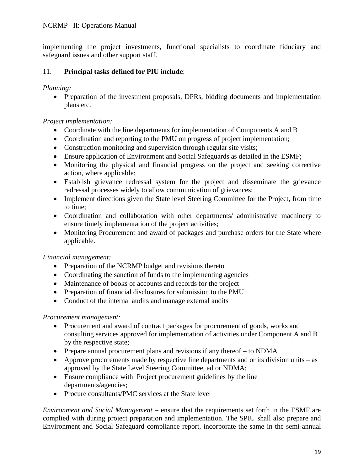implementing the project investments, functional specialists to coordinate fiduciary and safeguard issues and other support staff.

#### 11. **Principal tasks defined for PIU include**:

*Planning:*

 Preparation of the investment proposals, DPRs, bidding documents and implementation plans etc.

#### *Project implementation:*

- Coordinate with the line departments for implementation of Components A and B
- Coordination and reporting to the PMU on progress of project implementation;
- Construction monitoring and supervision through regular site visits;
- Ensure application of Environment and Social Safeguards as detailed in the ESMF;
- Monitoring the physical and financial progress on the project and seeking corrective action, where applicable;
- Establish grievance redressal system for the project and disseminate the grievance redressal processes widely to allow communication of grievances;
- Implement directions given the State level Steering Committee for the Project, from time to time;
- Coordination and collaboration with other departments/ administrative machinery to ensure timely implementation of the project activities;
- Monitoring Procurement and award of packages and purchase orders for the State where applicable.

#### *Financial management:*

- Preparation of the NCRMP budget and revisions thereto
- Coordinating the sanction of funds to the implementing agencies
- Maintenance of books of accounts and records for the project
- Preparation of financial disclosures for submission to the PMU
- Conduct of the internal audits and manage external audits

#### *Procurement management:*

- Procurement and award of contract packages for procurement of goods, works and consulting services approved for implementation of activities under Component A and B by the respective state;
- Prepare annual procurement plans and revisions if any thereof  $-$  to NDMA
- Approve procurements made by respective line departments and or its division units as approved by the State Level Steering Committee, ad or NDMA;
- Ensure compliance with Project procurement guidelines by the line departments/agencies;
- Procure consultants/PMC services at the State level

*Environment and Social Management* – ensure that the requirements set forth in the ESMF are complied with during project preparation and implementation. The SPIU shall also prepare and Environment and Social Safeguard compliance report, incorporate the same in the semi-annual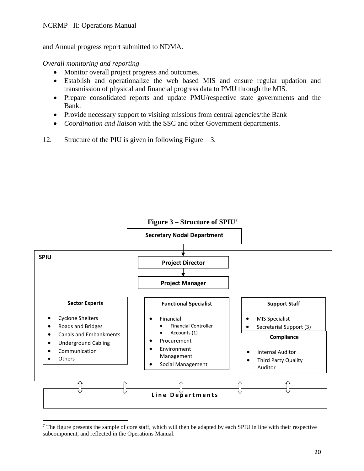#### NCRMP –II: Operations Manual

and Annual progress report submitted to NDMA.

#### *Overall monitoring and reporting*

- Monitor overall project progress and outcomes.
- Establish and operationalize the web based MIS and ensure regular updation and transmission of physical and financial progress data to PMU through the MIS.
- Prepare consolidated reports and update PMU/respective state governments and the Bank.
- Provide necessary support to visiting missions from central agencies/the Bank
- *Coordination and liaison* with the SSC and other Government departments.
- 12. Structure of the PIU is given in following Figure 3.



<sup>7</sup> The figure presents the sample of core staff, which will then be adapted by each SPIU in line with their respective subcomponent, and reflected in the Operations Manual.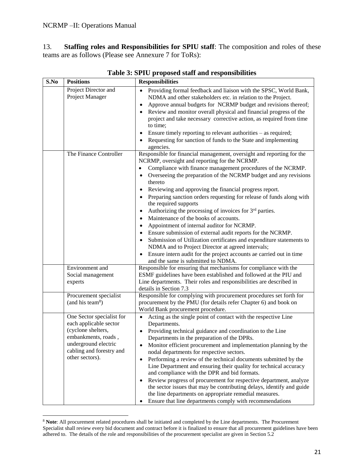$\overline{a}$ 

13. **Staffing roles and Responsibilities for SPIU staff**: The composition and roles of these teams are as follows (Please see Annexure 7 for ToRs):

| S.No | <b>Positions</b>                                                                                                                                                        | <b>Responsibilities</b>                                                                                                                                                                                                                                                                                                                                                                                                                                                                                                                                                                                                                                                                                                                                                                                                                                                                                                         |
|------|-------------------------------------------------------------------------------------------------------------------------------------------------------------------------|---------------------------------------------------------------------------------------------------------------------------------------------------------------------------------------------------------------------------------------------------------------------------------------------------------------------------------------------------------------------------------------------------------------------------------------------------------------------------------------------------------------------------------------------------------------------------------------------------------------------------------------------------------------------------------------------------------------------------------------------------------------------------------------------------------------------------------------------------------------------------------------------------------------------------------|
|      | Project Director and<br>Project Manager                                                                                                                                 | • Providing formal feedback and liaison with the SPSC, World Bank,<br>NDMA and other stakeholders etc. in relation to the Project.<br>Approve annual budgets for NCRMP budget and revisions thereof;<br>Review and monitor overall physical and financial progress of the<br>project and take necessary corrective action, as required from time<br>to time;<br>Ensure timely reporting to relevant authorities $-$ as required;<br>Requesting for sanction of funds to the State and implementing<br>agencies.                                                                                                                                                                                                                                                                                                                                                                                                                 |
|      | The Finance Controller                                                                                                                                                  | Responsible for financial management, oversight and reporting for the<br>NCRMP, oversight and reporting for the NCRMP.<br>Compliance with finance management procedures of the NCRMP.<br>Overseeing the preparation of the NCRMP budget and any revisions<br>thereto<br>Reviewing and approving the financial progress report.<br>Preparing sanction orders requesting for release of funds along with<br>the required supports<br>Authorizing the processing of invoices for 3 <sup>rd</sup> parties.<br>Maintenance of the books of accounts.<br>Appointment of internal auditor for NCRMP.<br>$\bullet$<br>Ensure submission of external audit reports for the NCRMP.<br>$\bullet$<br>Submission of Utilization certificates and expenditure statements to<br>NDMA and to Project Director at agreed intervals;<br>Ensure intern audit for the project accounts ae carried out in time<br>and the same is submitted to NDMA. |
|      | Environment and<br>Social management<br>experts                                                                                                                         | Responsible for ensuring that mechanisms for compliance with the<br>ESMF guidelines have been established and followed at the PIU and<br>Line departments. Their roles and responsibilities are described in<br>details in Section 7.3                                                                                                                                                                                                                                                                                                                                                                                                                                                                                                                                                                                                                                                                                          |
|      | Procurement specialist<br>(and his team <sup>8</sup> )                                                                                                                  | Responsible for complying with procurement procedures set forth for<br>procurement by the PMU (for details refer Chapter 6) and book on<br>World Bank procurement procedure.                                                                                                                                                                                                                                                                                                                                                                                                                                                                                                                                                                                                                                                                                                                                                    |
|      | One Sector specialist for<br>each applicable sector<br>(cyclone shelters,<br>embankments, roads,<br>underground electric<br>cabling and forestry and<br>other sectors). | Acting as the single point of contact with the respective Line<br>$\bullet$<br>Departments.<br>Providing technical guidance and coordination to the Line<br>Departments in the preparation of the DPRs.<br>Monitor efficient procurement and implementation planning by the<br>nodal departments for respective sectors.<br>Performing a review of the technical documents submitted by the<br>Line Department and ensuring their quality for technical accuracy<br>and compliance with the DPR and bid formats.<br>Review progress of procurement for respective department, analyze<br>the sector issues that may be contributing delays, identify and guide<br>the line departments on appropriate remedial measures.<br>Ensure that line departments comply with recommendations                                                                                                                                            |

**Table 3: SPIU proposed staff and responsibilities**

<sup>8</sup> **Note**: All procurement related procedures shall be initiated and completed by the Line departments. The Procurement Specialist shall review every bid document and contract before it is finalized to ensure that all procurement guidelines have been adhered to. The details of the role and responsibilities of the procurement specialist are given in Section 5.2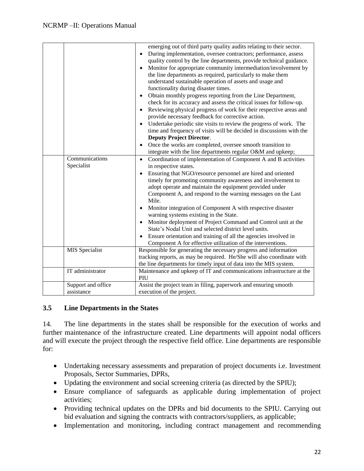|                              | emerging out of third party quality audits relating to their sector.<br>During implementation, oversee contractors; performance, assess<br>quality control by the line departments, provide technical guidance. |
|------------------------------|-----------------------------------------------------------------------------------------------------------------------------------------------------------------------------------------------------------------|
|                              | Monitor for appropriate community intermediation/involvement by                                                                                                                                                 |
|                              | the line departments as required, particularly to make them                                                                                                                                                     |
|                              | understand sustainable operation of assets and usage and                                                                                                                                                        |
|                              | functionality during disaster times.                                                                                                                                                                            |
|                              |                                                                                                                                                                                                                 |
|                              | Obtain monthly progress reporting from the Line Department,<br>check for its accuracy and assess the critical issues for follow-up.                                                                             |
|                              |                                                                                                                                                                                                                 |
|                              | Reviewing physical progress of work for their respective areas and                                                                                                                                              |
|                              | provide necessary feedback for corrective action.                                                                                                                                                               |
|                              | Undertake periodic site visits to review the progress of work. The                                                                                                                                              |
|                              | time and frequency of visits will be decided in discussions with the                                                                                                                                            |
|                              | <b>Deputy Project Director.</b>                                                                                                                                                                                 |
|                              | Once the works are completed, oversee smooth transition to                                                                                                                                                      |
|                              | integrate with the line departments regular O&M and upkeep;                                                                                                                                                     |
| Communications<br>Specialist | Coordination of implementation of Component A and B activities<br>$\bullet$<br>in respective states.                                                                                                            |
|                              | Ensuring that NGO/resource personnel are hired and oriented                                                                                                                                                     |
|                              | timely for promoting community awareness and involvement to                                                                                                                                                     |
|                              | adopt operate and maintain the equipment provided under                                                                                                                                                         |
|                              | Component A, and respond to the warning messages on the Last<br>Mile.                                                                                                                                           |
|                              | Monitor integration of Component A with respective disaster                                                                                                                                                     |
|                              | warning systems existing in the State.                                                                                                                                                                          |
|                              | Monitor deployment of Project Command and Control unit at the<br>State's Nodal Unit and selected district level units.                                                                                          |
|                              | Ensure orientation and training of all the agencies involved in                                                                                                                                                 |
|                              | Component A for effective utilization of the interventions.                                                                                                                                                     |
| MIS Specialist               | Responsible for generating the necessary progress and information                                                                                                                                               |
|                              | tracking reports, as may be required. He/She will also coordinate with                                                                                                                                          |
|                              | the line departments for timely input of data into the MIS system.                                                                                                                                              |
| IT administrator             | Maintenance and upkeep of IT and communications infrastructure at the                                                                                                                                           |
|                              | PIU                                                                                                                                                                                                             |
| Support and office           | Assist the project team in filing, paperwork and ensuring smooth                                                                                                                                                |
| assistance                   | execution of the project.                                                                                                                                                                                       |

#### <span id="page-21-0"></span>**3.5 Line Departments in the States**

14. The line departments in the states shall be responsible for the execution of works and further maintenance of the infrastructure created. Line departments will appoint nodal officers and will execute the project through the respective field office. Line departments are responsible for:

- Undertaking necessary assessments and preparation of project documents i.e. Investment Proposals, Sector Summaries, DPRs,
- Updating the environment and social screening criteria (as directed by the SPIU);
- Ensure compliance of safeguards as applicable during implementation of project activities;
- Providing technical updates on the DPRs and bid documents to the SPIU. Carrying out bid evaluation and signing the contracts with contractors/suppliers, as applicable;
- Implementation and monitoring, including contract management and recommending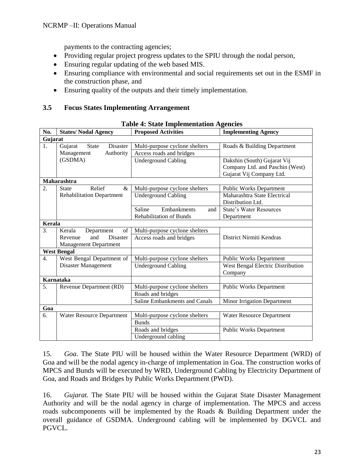payments to the contracting agencies;

- Providing regular project progress updates to the SPIU through the nodal person,
- Ensuring regular updating of the web based MIS.
- Ensuring compliance with environmental and social requirements set out in the ESMF in the construction phase, and
- Ensuring quality of the outputs and their timely implementation.

#### <span id="page-22-0"></span>**3.5 Focus States Implementing Arrangement**

|               | тале т. этак инрепентанон деспекз |                                |                                   |  |  |
|---------------|-----------------------------------|--------------------------------|-----------------------------------|--|--|
| No.           | <b>States/Nodal Agency</b>        | <b>Proposed Activities</b>     | <b>Implementing Agency</b>        |  |  |
|               | Gujarat                           |                                |                                   |  |  |
| 1.            | Gujarat<br>Disaster<br>State      | Multi-purpose cyclone shelters | Roads & Building Department       |  |  |
|               | Management<br>Authority           | Access roads and bridges       |                                   |  |  |
|               | (GSDMA)                           | <b>Underground Cabling</b>     | Dakshin (South) Gujarat Vij       |  |  |
|               |                                   |                                | Company Ltd. and Paschin (West)   |  |  |
|               |                                   |                                | Gujarat Vij Company Ltd.          |  |  |
|               | Maharashtra                       |                                |                                   |  |  |
| 2.            | Relief<br>&<br><b>State</b>       | Multi-purpose cyclone shelters | <b>Public Works Department</b>    |  |  |
|               | <b>Rehabilitation Department</b>  | <b>Underground Cabling</b>     | Maharashtra State Electrical      |  |  |
|               |                                   |                                | Distribution Ltd.                 |  |  |
|               |                                   | Saline<br>Embankments<br>and   | <b>State's Water Resources</b>    |  |  |
|               |                                   | <b>Rehabilitation of Bunds</b> | Department                        |  |  |
| <b>Kerala</b> |                                   |                                |                                   |  |  |
| 3.            | of<br>Kerala<br>Department        | Multi-purpose cyclone shelters |                                   |  |  |
|               | and<br><b>Disaster</b><br>Revenue | Access roads and bridges       | District Nirmiti Kendras          |  |  |
|               | <b>Management Department</b>      |                                |                                   |  |  |
|               | <b>West Bengal</b>                |                                |                                   |  |  |
| 4.            | West Bengal Department of         | Multi-purpose cyclone shelters | <b>Public Works Department</b>    |  |  |
|               | Disaster Management               | <b>Underground Cabling</b>     | West Bengal Electric Distribution |  |  |
|               |                                   |                                | Company                           |  |  |
|               | <b>Karnataka</b>                  |                                |                                   |  |  |
| 5.            | Revenue Department (RD)           | Multi-purpose cyclone shelters | <b>Public Works Department</b>    |  |  |
|               |                                   | Roads and bridges              |                                   |  |  |
|               |                                   | Saline Embankments and Canals  | Minor Irrigation Department       |  |  |
| Goa           |                                   |                                |                                   |  |  |
| 6.            | Water Resource Department         | Multi-purpose cyclone shelters | Water Resource Department         |  |  |
|               |                                   | <b>Bunds</b>                   |                                   |  |  |
|               |                                   | Roads and bridges              | <b>Public Works Department</b>    |  |  |
|               |                                   | Underground cabling            |                                   |  |  |
|               |                                   |                                |                                   |  |  |

|  | <b>Table 4: State Implementation Agencies</b> |  |
|--|-----------------------------------------------|--|
|  |                                               |  |

15. *Goa*. The State PIU will be housed within the Water Resource Department (WRD) of Goa and will be the nodal agency in-charge of implementation in Goa. The construction works of MPCS and Bunds will be executed by WRD, Underground Cabling by Electricity Department of Goa, and Roads and Bridges by Public Works Department (PWD).

16. *Gujarat.* The State PIU will be housed within the Gujarat State Disaster Management Authority and will be the nodal agency in charge of implementation. The MPCS and access roads subcomponents will be implemented by the Roads & Building Department under the overall guidance of GSDMA. Underground cabling will be implemented by DGVCL and PGVCL.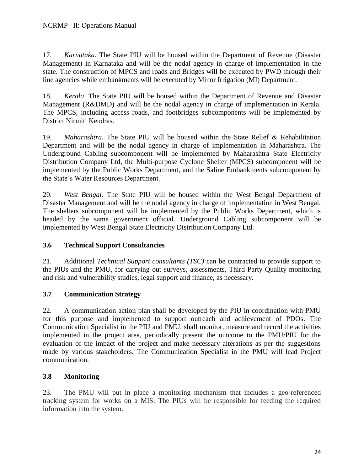#### NCRMP –II: Operations Manual

17. *Karnataka*. The State PIU will be housed within the Department of Revenue (Disaster Management) in Karnataka and will be the nodal agency in charge of implementation in the state. The construction of MPCS and roads and Bridges will be executed by PWD through their line agencies while embankments will be executed by Minor Irrigation (MI) Department.

18. *Kerala*. The State PIU will be housed within the Department of Revenue and Disaster Management (R&DMD) and will be the nodal agency in charge of implementation in Kerala. The MPCS, including access roads, and footbridges subcomponents will be implemented by District Nirmiti Kendras.

19. *Maharashtra.* The State PIU will be housed within the State Relief & Rehabilitation Department and will be the nodal agency in charge of implementation in Maharashtra. The Underground Cabling subcomponent will be implemented by Maharashtra State Electricity Distribution Company Ltd, the Multi-purpose Cyclone Shelter (MPCS) subcomponent will be implemented by the Public Works Department, and the Saline Embankments subcomponent by the State's Water Resources Department.

20. *West Bengal*. The State PIU will be housed within the West Bengal Department of Disaster Management and will be the nodal agency in charge of implementation in West Bengal. The shelters subcomponent will be implemented by the Public Works Department, which is headed by the same government official. Underground Cabling subcomponent will be implemented by West Bengal State Electricity Distribution Company Ltd.

#### <span id="page-23-0"></span>**3.6 Technical Support Consultancies**

21. Additional *Technical Support consultants (TSC)* can be contracted to provide support to the PIUs and the PMU, for carrying out surveys, assessments, Third Party Quality monitoring and risk and vulnerability studies, legal support and finance, as necessary.

#### <span id="page-23-1"></span>**3.7 Communication Strategy**

22. A communication action plan shall be developed by the PIU in coordination with PMU for this purpose and implemented to support outreach and achievement of PDOs. The Communication Specialist in the PIU and PMU, shall monitor, measure and record the activities implemented in the project area, periodically present the outcome to the PMU/PIU for the evaluation of the impact of the project and make necessary alterations as per the suggestions made by various stakeholders. The Communication Specialist in the PMU will lead Project communication.

#### <span id="page-23-2"></span>**3.8 Monitoring**

23. The PMU will put in place a monitoring mechanism that includes a geo-referenced tracking system for works on a MIS. The PIUs will be responsible for feeding the required information into the system.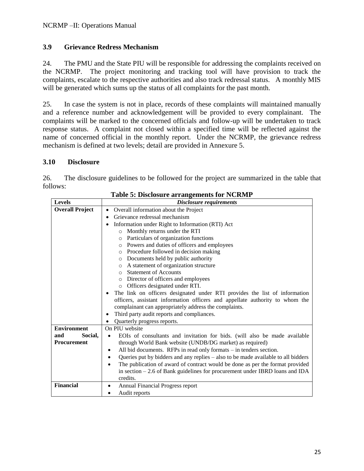#### <span id="page-24-0"></span>**3.9 Grievance Redress Mechanism**

24. The PMU and the State PIU will be responsible for addressing the complaints received on the NCRMP. The project monitoring and tracking tool will have provision to track the complaints, escalate to the respective authorities and also track redressal status. A monthly MIS will be generated which sums up the status of all complaints for the past month.

25. In case the system is not in place, records of these complaints will maintained manually and a reference number and acknowledgement will be provided to every complainant. The complaints will be marked to the concerned officials and follow-up will be undertaken to track response status. A complaint not closed within a specified time will be reflected against the name of concerned official in the monthly report. Under the NCRMP, the grievance redress mechanism is defined at two levels; detail are provided in Annexure 5.

#### <span id="page-24-1"></span>**3.10 Disclosure**

26. The disclosure guidelines to be followed for the project are summarized in the table that follows:

| <b>Levels</b>          | <b>Disclosure requirements</b>                                                             |  |  |  |
|------------------------|--------------------------------------------------------------------------------------------|--|--|--|
| <b>Overall Project</b> | Overall information about the Project<br>$\bullet$                                         |  |  |  |
|                        | Grievance redressal mechanism                                                              |  |  |  |
|                        | Information under Right to Information (RTI) Act                                           |  |  |  |
|                        | Monthly returns under the RTI<br>$\circ$                                                   |  |  |  |
|                        | Particulars of organization functions<br>$\circ$                                           |  |  |  |
|                        | o Powers and duties of officers and employees                                              |  |  |  |
|                        | Procedure followed in decision making<br>$\circ$                                           |  |  |  |
|                        | Documents held by public authority<br>$\circ$                                              |  |  |  |
|                        | A statement of organization structure<br>$\circ$                                           |  |  |  |
|                        | <b>Statement of Accounts</b><br>$\circ$                                                    |  |  |  |
|                        | Director of officers and employees<br>$\circ$                                              |  |  |  |
|                        | Officers designated under RTI.<br>$\circ$                                                  |  |  |  |
|                        | The link on officers designated under RTI provides the list of information                 |  |  |  |
|                        | officers, assistant information officers and appellate authority to whom the               |  |  |  |
|                        | complainant can appropriately address the complaints.                                      |  |  |  |
|                        | Third party audit reports and compliances.                                                 |  |  |  |
|                        | Quarterly progress reports.                                                                |  |  |  |
| <b>Environment</b>     | On PIU website                                                                             |  |  |  |
| and<br>Social,         | EOIs of consultants and invitation for bids. (will also be made available                  |  |  |  |
| <b>Procurement</b>     | through World Bank website (UNDB/DG market) as required)                                   |  |  |  |
|                        | All bid documents. RFPs in read only formats – in tenders section.                         |  |  |  |
|                        | Queries put by bidders and any replies – also to be made available to all bidders          |  |  |  |
|                        | The publication of award of contract would be done as per the format provided<br>$\bullet$ |  |  |  |
|                        | in section - 2.6 of Bank guidelines for procurement under IBRD loans and IDA               |  |  |  |
|                        | credits.                                                                                   |  |  |  |
| <b>Financial</b>       | Annual Financial Progress report                                                           |  |  |  |
|                        | Audit reports                                                                              |  |  |  |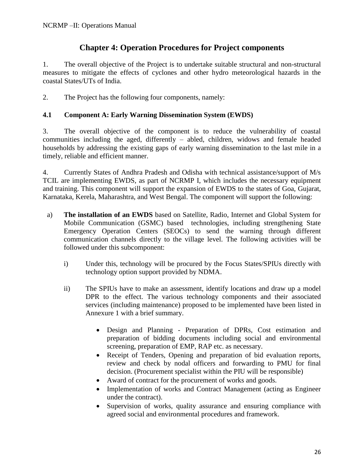#### **Chapter 4: Operation Procedures for Project components**

<span id="page-25-0"></span>1. The overall objective of the Project is to undertake suitable structural and non-structural measures to mitigate the effects of cyclones and other hydro meteorological hazards in the coastal States/UTs of India.

2. The Project has the following four components, namely:

#### <span id="page-25-1"></span>**4.1 Component A: Early Warning Dissemination System (EWDS)**

3. The overall objective of the component is to reduce the vulnerability of coastal communities including the aged, differently – abled, children, widows and female headed households by addressing the existing gaps of early warning dissemination to the last mile in a timely, reliable and efficient manner.

4. Currently States of Andhra Pradesh and Odisha with technical assistance/support of M/s TCIL are implementing EWDS, as part of NCRMP I, which includes the necessary equipment and training. This component will support the expansion of EWDS to the states of Goa, Gujarat, Karnataka, Kerela, Maharashtra, and West Bengal. The component will support the following:

- a) **The installation of an EWDS** based on Satellite, Radio, Internet and Global System for Mobile Communication (GSMC) based technologies, including strengthening State Emergency Operation Centers (SEOCs) to send the warning through different communication channels directly to the village level. The following activities will be followed under this subcomponent:
	- i) Under this, technology will be procured by the Focus States/SPIUs directly with technology option support provided by NDMA.
	- ii) The SPIUs have to make an assessment, identify locations and draw up a model DPR to the effect. The various technology components and their associated services (including maintenance) proposed to be implemented have been listed in Annexure 1 with a brief summary.
		- Design and Planning Preparation of DPRs, Cost estimation and preparation of bidding documents including social and environmental screening, preparation of EMP, RAP etc. as necessary.
		- Receipt of Tenders, Opening and preparation of bid evaluation reports, review and check by nodal officers and forwarding to PMU for final decision. (Procurement specialist within the PIU will be responsible)
		- Award of contract for the procurement of works and goods.
		- Implementation of works and Contract Management (acting as Engineer under the contract).
		- Supervision of works, quality assurance and ensuring compliance with agreed social and environmental procedures and framework.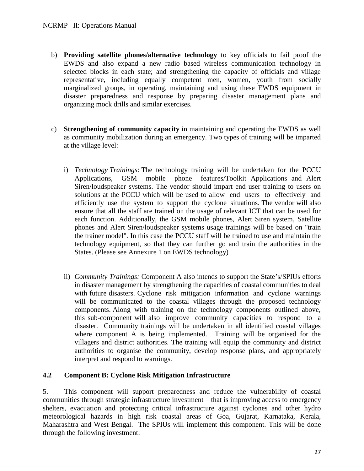- b) **Providing satellite phones/alternative technology** to key officials to fail proof the EWDS and also expand a new radio based wireless communication technology in selected blocks in each state; and strengthening the capacity of officials and village representative, including equally competent men, women, youth from socially marginalized groups, in operating, maintaining and using these EWDS equipment in disaster preparedness and response by preparing disaster management plans and organizing mock drills and similar exercises.
- c) **Strengthening of community capacity** in maintaining and operating the EWDS as well as community mobilization during an emergency. Two types of training will be imparted at the village level:
	- i) *Technology Trainings*: The technology training will be undertaken for the PCCU Applications, GSM mobile phone features/Toolkit Applications and Alert Siren/loudspeaker systems. The vendor should impart end user training to users on solutions at the PCCU which will be used to allow end users to effectively and efficiently use the system to support the cyclone situations. The vendor will also ensure that all the staff are trained on the usage of relevant ICT that can be used for each function. Additionally, the GSM mobile phones, Alert Siren system, Satellite phones and Alert Siren/loudspeaker systems usage trainings will be based on "train the trainer model". In this case the PCCU staff will be trained to use and maintain the technology equipment, so that they can further go and train the authorities in the States. (Please see Annexure 1 on EWDS technology)
	- ii) *Community Trainings:* Component A also intends to support the State's/SPIUs efforts in disaster management by strengthening the capacities of coastal communities to deal with future disasters. Cyclone risk mitigation information and cyclone warnings will be communicated to the coastal villages through the proposed technology components. Along with training on the technology components outlined above, this sub-component will also improve community capacities to respond to a disaster. Community trainings will be undertaken in all identified coastal villages where component A is being implemented. Training will be organised for the villagers and district authorities. The training will equip the community and district authorities to organise the community, develop response plans, and appropriately interpret and respond to warnings.

#### <span id="page-26-0"></span>**4.2 Component B: Cyclone Risk Mitigation Infrastructure**

5. This component will support preparedness and reduce the vulnerability of coastal communities through strategic infrastructure investment – that is improving access to emergency shelters, evacuation and protecting critical infrastructure against cyclones and other hydro meteorological hazards in high risk coastal areas of Goa, Gujarat, Karnataka, Kerala, Maharashtra and West Bengal. The SPIUs will implement this component. This will be done through the following investment: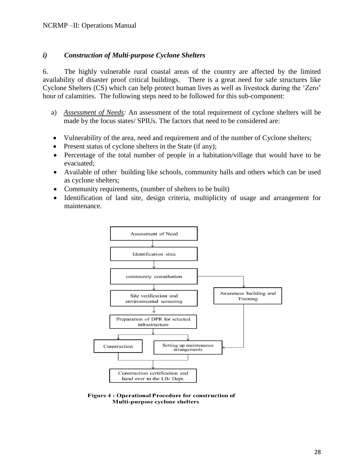#### *i) Construction of Multi-purpose Cyclone Shelters*

6. The highly vulnerable rural coastal areas of the country are affected by the limited availability of disaster proof critical buildings. There is a great need for safe structures like Cyclone Shelters (CS) which can help protect human lives as well as livestock during the 'Zero' hour of calamities. The following steps need to be followed for this sub-component:

- a) *Assessment of Needs:* An assessment of the total requirement of cyclone shelters will be made by the focus states/ SPIUs. The factors that need to be considered are:
- Vulnerability of the area, need and requirement and of the number of Cyclone shelters;
- Present status of cyclone shelters in the State (if any);
- Percentage of the total number of people in a habitation/village that would have to be evacuated;
- Available of other building like schools, community halls and others which can be used as cyclone shelters;
- Community requirements, (number of shelters to be built)
- Identification of land site, design criteria, multiplicity of usage and arrangement for maintenance.



Figure 4 : Operational Procedure for construction of Multi-purpose cyclone shelters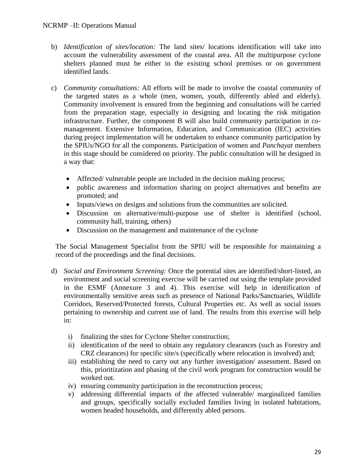- b) *Identification of sites/location:* The land sites/ locations identification will take into account the vulnerability assessment of the coastal area. All the multipurpose cyclone shelters planned must be either in the existing school premises or on government identified lands.
- c) *Community consultations:* All efforts will be made to involve the coastal community of the targeted states as a whole (men, women, youth, differently abled and elderly). Community involvement is ensured from the beginning and consultations will be carried from the preparation stage, especially in designing and locating the risk mitigation infrastructure. Further, the component B will also build community participation in comanagement. Extensive Information, Education, and Communication (IEC) activities during project implementation will be undertaken to enhance community participation by the SPIUs/NGO for all the components. Participation of women and *Panchayat* members in this stage should be considered on priority. The public consultation will be designed in a way that:
	- Affected/ vulnerable people are included in the decision making process;
	- public awareness and information sharing on project alternatives and benefits are promoted; and
	- Inputs/views on designs and solutions from the communities are solicited.
	- Discussion on alternative/multi-purpose use of shelter is identified (school, community hall, training, others)
	- Discussion on the management and maintenance of the cyclone

The Social Management Specialist from the SPIU will be responsible for maintaining a record of the proceedings and the final decisions.

- d) *Social and Environment Screening:* Once the potential sites are identified/short-listed, an environment and social screening exercise will be carried out using the template provided in the ESMF (Annexure 3 and 4). This exercise will help in identification of environmentally sensitive areas such as presence of National Parks/Sanctuaries, Wildlife Corridors, Reserved/Protected forests, Cultural Properties etc. As well as social issues pertaining to ownership and current use of land. The results from this exercise will help in:
	- i) finalizing the sites for Cyclone Shelter construction;
	- ii) identification of the need to obtain any regulatory clearances (such as Forestry and CRZ clearances) for specific site/s (specifically where relocation is involved) and;
	- iii) establishing the need to carry out any further investigation/ assessment. Based on this, prioritization and phasing of the civil work program for construction would be worked out.
	- iv) ensuring community participation in the reconstruction process;
	- v) addressing differential impacts of the affected vulnerable/ marginalized families and groups, specifically socially excluded families living in isolated habitations, women headed households, and differently abled persons.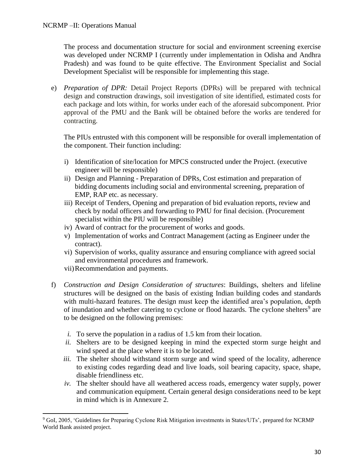The process and documentation structure for social and environment screening exercise was developed under NCRMP I (currently under implementation in Odisha and Andhra Pradesh) and was found to be quite effective. The Environment Specialist and Social Development Specialist will be responsible for implementing this stage.

e) *Preparation of DPR:* Detail Project Reports (DPRs) will be prepared with technical design and construction drawings, soil investigation of site identified, estimated costs for each package and lots within, for works under each of the aforesaid subcomponent. Prior approval of the PMU and the Bank will be obtained before the works are tendered for contracting.

The PIUs entrusted with this component will be responsible for overall implementation of the component. Their function including:

- i) Identification of site/location for MPCS constructed under the Project. (executive engineer will be responsible)
- ii) Design and Planning Preparation of DPRs, Cost estimation and preparation of bidding documents including social and environmental screening, preparation of EMP, RAP etc. as necessary.
- iii) Receipt of Tenders, Opening and preparation of bid evaluation reports, review and check by nodal officers and forwarding to PMU for final decision. (Procurement specialist within the PIU will be responsible)
- iv) Award of contract for the procurement of works and goods.
- v) Implementation of works and Contract Management (acting as Engineer under the contract).
- vi) Supervision of works, quality assurance and ensuring compliance with agreed social and environmental procedures and framework.
- vii)Recommendation and payments.
- f) *Construction and Design Consideration of structures*: Buildings, shelters and lifeline structures will be designed on the basis of existing Indian building codes and standards with multi-hazard features. The design must keep the identified area's population, depth of inundation and whether catering to cyclone or flood hazards. The cyclone shelters<sup>9</sup> are to be designed on the following premises:
	- *i.* To serve the population in a radius of 1.5 km from their location.
	- *ii.* Shelters are to be designed keeping in mind the expected storm surge height and wind speed at the place where it is to be located.
	- *iii.* The shelter should withstand storm surge and wind speed of the locality, adherence to existing codes regarding dead and live loads, soil bearing capacity, space, shape, disable friendliness etc.
	- *iv.* The shelter should have all weathered access roads, emergency water supply, power and communication equipment. Certain general design considerations need to be kept in mind which is in Annexure 2.

 $\overline{a}$ <sup>9</sup> GoI, 2005, 'Guidelines for Preparing Cyclone Risk Mitigation investments in States/UTs', prepared for NCRMP World Bank assisted project.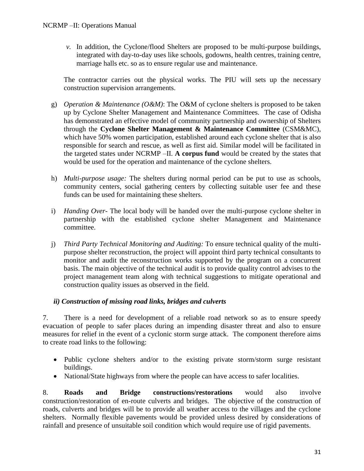*v.* In addition, the Cyclone/flood Shelters are proposed to be multi-purpose buildings, integrated with day-to-day uses like schools, godowns, health centres, training centre, marriage halls etc. so as to ensure regular use and maintenance.

The contractor carries out the physical works. The PIU will sets up the necessary construction supervision arrangements.

- g) *Operation & Maintenance (O&M)*: The O&M of cyclone shelters is proposed to be taken up by Cyclone Shelter Management and Maintenance Committees. The case of Odisha has demonstrated an effective model of community partnership and ownership of Shelters through the **Cyclone Shelter Management & Maintenance Committee** (CSM&MC), which have 50% women participation, established around each cyclone shelter that is also responsible for search and rescue, as well as first aid. Similar model will be facilitated in the targeted states under NCRMP –II. **A corpus fund** would be created by the states that would be used for the operation and maintenance of the cyclone shelters.
- h) *Multi-purpose usage:* The shelters during normal period can be put to use as schools, community centers, social gathering centers by collecting suitable user fee and these funds can be used for maintaining these shelters.
- i) *Handing Over* The local body will be handed over the multi-purpose cyclone shelter in partnership with the established cyclone shelter Management and Maintenance committee.
- j) *Third Party Technical Monitoring and Auditing:* To ensure technical quality of the multipurpose shelter reconstruction, the project will appoint third party technical consultants to monitor and audit the reconstruction works supported by the program on a concurrent basis. The main objective of the technical audit is to provide quality control advises to the project management team along with technical suggestions to mitigate operational and construction quality issues as observed in the field.

#### *ii) Construction of missing road links, bridges and culverts*

7. There is a need for development of a reliable road network so as to ensure speedy evacuation of people to safer places during an impending disaster threat and also to ensure measures for relief in the event of a cyclonic storm surge attack. The component therefore aims to create road links to the following:

- Public cyclone shelters and/or to the existing private storm/storm surge resistant buildings.
- National/State highways from where the people can have access to safer localities.

8. **Roads and Bridge constructions/restorations** would also involve construction/restoration of en-route culverts and bridges. The objective of the construction of roads, culverts and bridges will be to provide all weather access to the villages and the cyclone shelters. Normally flexible pavements would be provided unless desired by considerations of rainfall and presence of unsuitable soil condition which would require use of rigid pavements.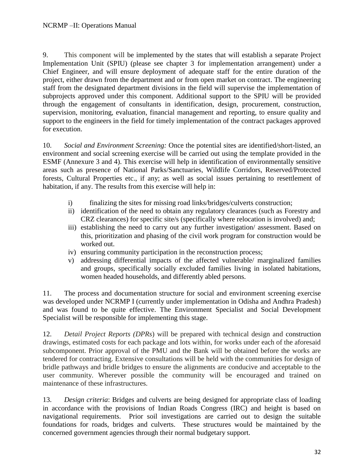9. This component will be implemented by the states that will establish a separate Project Implementation Unit (SPIU) (please see chapter 3 for implementation arrangement) under a Chief Engineer, and will ensure deployment of adequate staff for the entire duration of the project, either drawn from the department and or from open market on contract. The engineering staff from the designated department divisions in the field will supervise the implementation of subprojects approved under this component. Additional support to the SPIU will be provided through the engagement of consultants in identification, design, procurement, construction, supervision, monitoring, evaluation, financial management and reporting, to ensure quality and support to the engineers in the field for timely implementation of the contract packages approved for execution.

10. *Social and Environment Screening:* Once the potential sites are identified/short-listed, an environment and social screening exercise will be carried out using the template provided in the ESMF (Annexure 3 and 4). This exercise will help in identification of environmentally sensitive areas such as presence of National Parks/Sanctuaries, Wildlife Corridors, Reserved/Protected forests, Cultural Properties etc., if any; as well as social issues pertaining to resettlement of habitation, if any. The results from this exercise will help in:

- i) finalizing the sites for missing road links/bridges/culverts construction;
- ii) identification of the need to obtain any regulatory clearances (such as Forestry and CRZ clearances) for specific site/s (specifically where relocation is involved) and;
- iii) establishing the need to carry out any further investigation/ assessment. Based on this, prioritization and phasing of the civil work program for construction would be worked out.
- iv) ensuring community participation in the reconstruction process;
- v) addressing differential impacts of the affected vulnerable/ marginalized families and groups, specifically socially excluded families living in isolated habitations, women headed households, and differently abled persons.

11. The process and documentation structure for social and environment screening exercise was developed under NCRMP I (currently under implementation in Odisha and Andhra Pradesh) and was found to be quite effective. The Environment Specialist and Social Development Specialist will be responsible for implementing this stage.

12. *Detail Project Reports (DPRs*) will be prepared with technical design and construction drawings, estimated costs for each package and lots within, for works under each of the aforesaid subcomponent. Prior approval of the PMU and the Bank will be obtained before the works are tendered for contracting. Extensive consultations will be held with the communities for design of bridle pathways and bridle bridges to ensure the alignments are conducive and acceptable to the user community. Wherever possible the community will be encouraged and trained on maintenance of these infrastructures.

13. *Design criteria*: Bridges and culverts are being designed for appropriate class of loading in accordance with the provisions of Indian Roads Congress (IRC) and height is based on navigational requirements. Prior soil investigations are carried out to design the suitable foundations for roads, bridges and culverts. These structures would be maintained by the concerned government agencies through their normal budgetary support.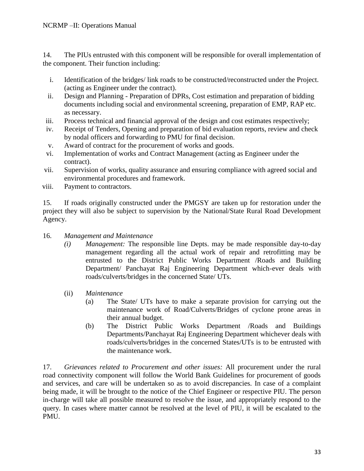14. The PIUs entrusted with this component will be responsible for overall implementation of the component. Their function including:

- i. Identification of the bridges/ link roads to be constructed/reconstructed under the Project. (acting as Engineer under the contract).
- ii. Design and Planning Preparation of DPRs, Cost estimation and preparation of bidding documents including social and environmental screening, preparation of EMP, RAP etc. as necessary.
- iii. Process technical and financial approval of the design and cost estimates respectively;
- iv. Receipt of Tenders, Opening and preparation of bid evaluation reports, review and check by nodal officers and forwarding to PMU for final decision.
- v. Award of contract for the procurement of works and goods.
- vi. Implementation of works and Contract Management (acting as Engineer under the contract).
- vii. Supervision of works, quality assurance and ensuring compliance with agreed social and environmental procedures and framework.
- viii. Payment to contractors.

15. If roads originally constructed under the PMGSY are taken up for restoration under the project they will also be subject to supervision by the National/State Rural Road Development Agency.

- 16. *Management and Maintenance*
	- *(i) Management:* The responsible line Depts. may be made responsible day-to-day management regarding all the actual work of repair and retrofitting may be entrusted to the District Public Works Department /Roads and Building Department/ Panchayat Raj Engineering Department which-ever deals with roads/culverts/bridges in the concerned State/ UTs.
	- (ii) *Maintenance*
		- (a) The State/ UTs have to make a separate provision for carrying out the maintenance work of Road/Culverts/Bridges of cyclone prone areas in their annual budget.
		- (b) The District Public Works Department /Roads and Buildings Departments/Panchayat Raj Engineering Department whichever deals with roads/culverts/bridges in the concerned States/UTs is to be entrusted with the maintenance work.

17. *Grievances related to Procurement and other issues:* All procurement under the rural road connectivity component will follow the World Bank Guidelines for procurement of goods and services, and care will be undertaken so as to avoid discrepancies. In case of a complaint being made, it will be brought to the notice of the Chief Engineer or respective PIU. The person in-charge will take all possible measured to resolve the issue, and appropriately respond to the query. In cases where matter cannot be resolved at the level of PIU, it will be escalated to the PMU.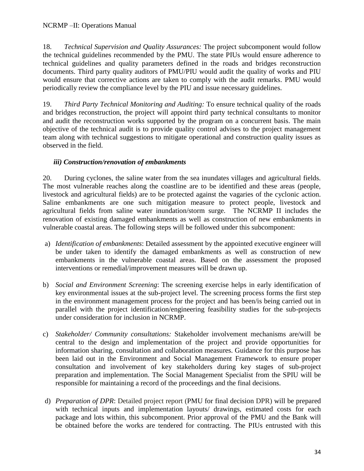#### NCRMP –II: Operations Manual

18. *Technical Supervision and Quality Assurances:* The project subcomponent would follow the technical guidelines recommended by the PMU. The state PIUs would ensure adherence to technical guidelines and quality parameters defined in the roads and bridges reconstruction documents. Third party quality auditors of PMU/PIU would audit the quality of works and PIU would ensure that corrective actions are taken to comply with the audit remarks. PMU would periodically review the compliance level by the PIU and issue necessary guidelines.

19. *Third Party Technical Monitoring and Auditing:* To ensure technical quality of the roads and bridges reconstruction, the project will appoint third party technical consultants to monitor and audit the reconstruction works supported by the program on a concurrent basis. The main objective of the technical audit is to provide quality control advises to the project management team along with technical suggestions to mitigate operational and construction quality issues as observed in the field.

#### *iii) Construction/renovation of embankments*

20. During cyclones, the saline water from the sea inundates villages and agricultural fields. The most vulnerable reaches along the coastline are to be identified and these areas (people, livestock and agricultural fields) are to be protected against the vagaries of the cyclonic action. Saline embankments are one such mitigation measure to protect people, livestock and agricultural fields from saline water inundation/storm surge. The NCRMP II includes the renovation of existing damaged embankments as well as construction of new embankments in vulnerable coastal areas. The following steps will be followed under this subcomponent:

- a) *Identification of embankments*: Detailed assessment by the appointed executive engineer will be under taken to identify the damaged embankments as well as construction of new embankments in the vulnerable coastal areas. Based on the assessment the proposed interventions or remedial/improvement measures will be drawn up.
- b) *Social and Environment Screening*: The screening exercise helps in early identification of key environmental issues at the sub-project level. The screening process forms the first step in the environment management process for the project and has been/is being carried out in parallel with the project identification/engineering feasibility studies for the sub-projects under consideration for inclusion in NCRMP.
- c) *Stakeholder/ Community consultations:* Stakeholder involvement mechanisms are/will be central to the design and implementation of the project and provide opportunities for information sharing, consultation and collaboration measures. Guidance for this purpose has been laid out in the Environment and Social Management Framework to ensure proper consultation and involvement of key stakeholders during key stages of sub-project preparation and implementation. The Social Management Specialist from the SPIU will be responsible for maintaining a record of the proceedings and the final decisions.
- d) *Preparation of DPR*: Detailed project report (PMU for final decision DPR) will be prepared with technical inputs and implementation layouts/ drawings, estimated costs for each package and lots within, this subcomponent. Prior approval of the PMU and the Bank will be obtained before the works are tendered for contracting. The PIUs entrusted with this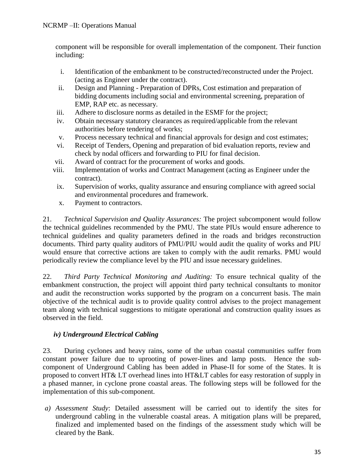component will be responsible for overall implementation of the component. Their function including:

- i. Identification of the embankment to be constructed/reconstructed under the Project. (acting as Engineer under the contract).
- ii. Design and Planning Preparation of DPRs, Cost estimation and preparation of bidding documents including social and environmental screening, preparation of EMP, RAP etc. as necessary.
- iii. Adhere to disclosure norms as detailed in the ESMF for the project;
- iv. Obtain necessary statutory clearances as required/applicable from the relevant authorities before tendering of works;
- v. Process necessary technical and financial approvals for design and cost estimates;
- vi. Receipt of Tenders, Opening and preparation of bid evaluation reports, review and check by nodal officers and forwarding to PIU for final decision.
- vii. Award of contract for the procurement of works and goods.
- viii. Implementation of works and Contract Management (acting as Engineer under the contract).
- ix. Supervision of works, quality assurance and ensuring compliance with agreed social and environmental procedures and framework.
- x. Payment to contractors.

21. *Technical Supervision and Quality Assurances:* The project subcomponent would follow the technical guidelines recommended by the PMU. The state PIUs would ensure adherence to technical guidelines and quality parameters defined in the roads and bridges reconstruction documents. Third party quality auditors of PMU/PIU would audit the quality of works and PIU would ensure that corrective actions are taken to comply with the audit remarks. PMU would periodically review the compliance level by the PIU and issue necessary guidelines.

22. *Third Party Technical Monitoring and Auditing:* To ensure technical quality of the embankment construction, the project will appoint third party technical consultants to monitor and audit the reconstruction works supported by the program on a concurrent basis. The main objective of the technical audit is to provide quality control advises to the project management team along with technical suggestions to mitigate operational and construction quality issues as observed in the field.

#### *iv) Underground Electrical Cabling*

23. During cyclones and heavy rains, some of the urban coastal communities suffer from constant power failure due to uprooting of power-lines and lamp posts. Hence the subcomponent of Underground Cabling has been added in Phase-II for some of the States. It is proposed to convert HT& LT overhead lines into HT&LT cables for easy restoration of supply in a phased manner, in cyclone prone coastal areas. The following steps will be followed for the implementation of this sub-component.

*a) Assessment Study*: Detailed assessment will be carried out to identify the sites for underground cabling in the vulnerable coastal areas. A mitigation plans will be prepared, finalized and implemented based on the findings of the assessment study which will be cleared by the Bank.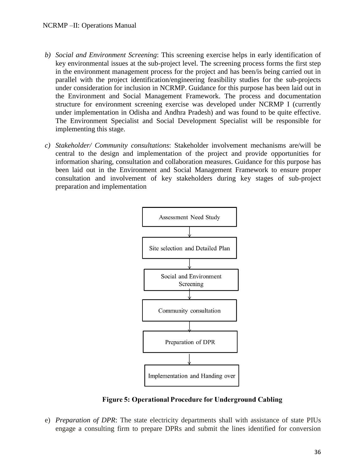- *b) Social and Environment Screening*: This screening exercise helps in early identification of key environmental issues at the sub-project level. The screening process forms the first step in the environment management process for the project and has been/is being carried out in parallel with the project identification/engineering feasibility studies for the sub-projects under consideration for inclusion in NCRMP. Guidance for this purpose has been laid out in the Environment and Social Management Framework. The process and documentation structure for environment screening exercise was developed under NCRMP I (currently under implementation in Odisha and Andhra Pradesh) and was found to be quite effective. The Environment Specialist and Social Development Specialist will be responsible for implementing this stage.
- *c) Stakeholder/ Community consultations*: Stakeholder involvement mechanisms are/will be central to the design and implementation of the project and provide opportunities for information sharing, consultation and collaboration measures. Guidance for this purpose has been laid out in the Environment and Social Management Framework to ensure proper consultation and involvement of key stakeholders during key stages of sub-project preparation and implementation



Figure 5: Operational Procedure for Underground Cabling

e) *Preparation of DPR*: The state electricity departments shall with assistance of state PIUs engage a consulting firm to prepare DPRs and submit the lines identified for conversion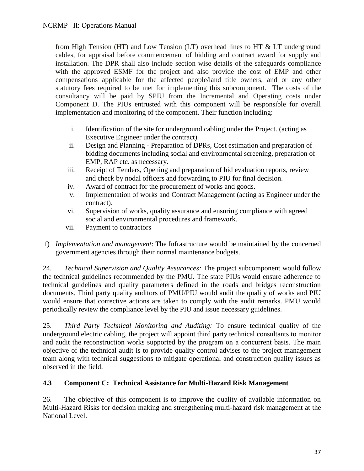from High Tension (HT) and Low Tension (LT) overhead lines to HT & LT underground cables, for appraisal before commencement of bidding and contract award for supply and installation. The DPR shall also include section wise details of the safeguards compliance with the approved ESMF for the project and also provide the cost of EMP and other compensations applicable for the affected people/land title owners, and or any other statutory fees required to be met for implementing this subcomponent. The costs of the consultancy will be paid by SPIU from the Incremental and Operating costs under Component D. The PIUs entrusted with this component will be responsible for overall implementation and monitoring of the component. Their function including:

- i. Identification of the site for underground cabling under the Project. (acting as Executive Engineer under the contract).
- ii. Design and Planning Preparation of DPRs, Cost estimation and preparation of bidding documents including social and environmental screening, preparation of EMP, RAP etc. as necessary.
- iii. Receipt of Tenders, Opening and preparation of bid evaluation reports, review and check by nodal officers and forwarding to PIU for final decision.
- iv. Award of contract for the procurement of works and goods.
- v. Implementation of works and Contract Management (acting as Engineer under the contract).
- vi. Supervision of works, quality assurance and ensuring compliance with agreed social and environmental procedures and framework.
- vii. Payment to contractors
- f) *Implementation and management*: The Infrastructure would be maintained by the concerned government agencies through their normal maintenance budgets.

24. *Technical Supervision and Quality Assurances:* The project subcomponent would follow the technical guidelines recommended by the PMU. The state PIUs would ensure adherence to technical guidelines and quality parameters defined in the roads and bridges reconstruction documents. Third party quality auditors of PMU/PIU would audit the quality of works and PIU would ensure that corrective actions are taken to comply with the audit remarks. PMU would periodically review the compliance level by the PIU and issue necessary guidelines.

25. *Third Party Technical Monitoring and Auditing:* To ensure technical quality of the underground electric cabling, the project will appoint third party technical consultants to monitor and audit the reconstruction works supported by the program on a concurrent basis. The main objective of the technical audit is to provide quality control advises to the project management team along with technical suggestions to mitigate operational and construction quality issues as observed in the field.

# **4.3 Component C: Technical Assistance for Multi-Hazard Risk Management**

26. The objective of this component is to improve the quality of available information on Multi-Hazard Risks for decision making and strengthening multi-hazard risk management at the National Level.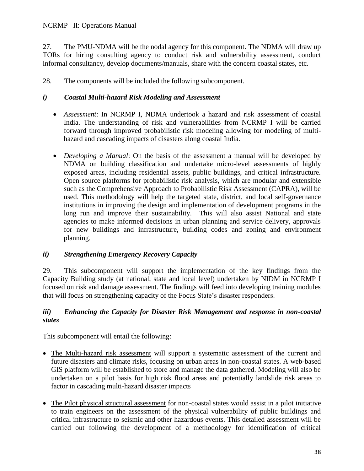#### NCRMP –II: Operations Manual

27. The PMU-NDMA will be the nodal agency for this component. The NDMA will draw up TORs for hiring consulting agency to conduct risk and vulnerability assessment, conduct informal consultancy, develop documents/manuals, share with the concern coastal states, etc.

28. The components will be included the following subcomponent.

# *i) Coastal Multi-hazard Risk Modeling and Assessment*

- *Assessment*: In NCRMP I, NDMA undertook a hazard and risk assessment of coastal India. The understanding of risk and vulnerabilities from NCRMP I will be carried forward through improved probabilistic risk modeling allowing for modeling of multihazard and cascading impacts of disasters along coastal India.
- *Developing a Manual*: On the basis of the assessment a manual will be developed by NDMA on building classification and undertake micro-level assessments of highly exposed areas, including residential assets, public buildings, and critical infrastructure. Open source platforms for probabilistic risk analysis, which are modular and extensible such as the Comprehensive Approach to Probabilistic Risk Assessment (CAPRA), will be used. This methodology will help the targeted state, district, and local self-governance institutions in improving the design and implementation of development programs in the long run and improve their sustainability. This will also assist National and state agencies to make informed decisions in urban planning and service delivery, approvals for new buildings and infrastructure, building codes and zoning and environment planning.

#### *ii) Strengthening Emergency Recovery Capacity*

29. This subcomponent will support the implementation of the key findings from the Capacity Building study (at national, state and local level) undertaken by NIDM in NCRMP I focused on risk and damage assessment. The findings will feed into developing training modules that will focus on strengthening capacity of the Focus State's disaster responders.

#### *iii) Enhancing the Capacity for Disaster Risk Management and response in non-coastal states*

This subcomponent will entail the following:

- The Multi-hazard risk assessment will support a systematic assessment of the current and future disasters and climate risks, focusing on urban areas in non-coastal states. A web-based GIS platform will be established to store and manage the data gathered. Modeling will also be undertaken on a pilot basis for high risk flood areas and potentially landslide risk areas to factor in cascading multi-hazard disaster impacts
- The Pilot physical structural assessment for non-coastal states would assist in a pilot initiative to train engineers on the assessment of the physical vulnerability of public buildings and critical infrastructure to seismic and other hazardous events. This detailed assessment will be carried out following the development of a methodology for identification of critical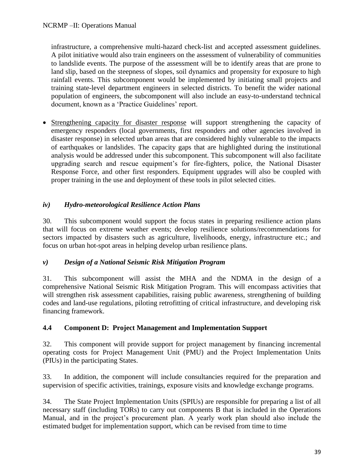infrastructure, a comprehensive multi-hazard check-list and accepted assessment guidelines. A pilot initiative would also train engineers on the assessment of vulnerability of communities to landslide events. The purpose of the assessment will be to identify areas that are prone to land slip, based on the steepness of slopes, soil dynamics and propensity for exposure to high rainfall events. This subcomponent would be implemented by initiating small projects and training state-level department engineers in selected districts. To benefit the wider national population of engineers, the subcomponent will also include an easy-to-understand technical document, known as a 'Practice Guidelines' report.

• Strengthening capacity for disaster response will support strengthening the capacity of emergency responders (local governments, first responders and other agencies involved in disaster response) in selected urban areas that are considered highly vulnerable to the impacts of earthquakes or landslides. The capacity gaps that are highlighted during the institutional analysis would be addressed under this subcomponent. This subcomponent will also facilitate upgrading search and rescue equipment's for fire-fighters, police, the National Disaster Response Force, and other first responders. Equipment upgrades will also be coupled with proper training in the use and deployment of these tools in pilot selected cities.

# *iv) Hydro-meteorological Resilience Action Plans*

30. This subcomponent would support the focus states in preparing resilience action plans that will focus on extreme weather events; develop resilience solutions/recommendations for sectors impacted by disasters such as agriculture, livelihoods, energy, infrastructure etc.; and focus on urban hot-spot areas in helping develop urban resilience plans.

# *v) Design of a National Seismic Risk Mitigation Program*

31. This subcomponent will assist the MHA and the NDMA in the design of a comprehensive National Seismic Risk Mitigation Program. This will encompass activities that will strengthen risk assessment capabilities, raising public awareness, strengthening of building codes and land-use regulations, piloting retrofitting of critical infrastructure, and developing risk financing framework.

# **4.4 Component D: Project Management and Implementation Support**

32. This component will provide support for project management by financing incremental operating costs for Project Management Unit (PMU) and the Project Implementation Units (PIUs) in the participating States.

33. In addition, the component will include consultancies required for the preparation and supervision of specific activities, trainings, exposure visits and knowledge exchange programs.

34. The State Project Implementation Units (SPIUs) are responsible for preparing a list of all necessary staff (including TORs) to carry out components B that is included in the Operations Manual, and in the project's procurement plan. A yearly work plan should also include the estimated budget for implementation support, which can be revised from time to time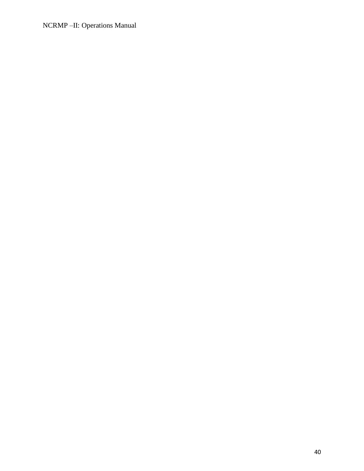NCRMP –II: Operations Manual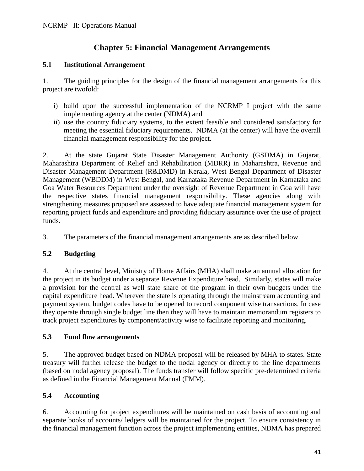# **Chapter 5: Financial Management Arrangements**

# **5.1 Institutional Arrangement**

1. The guiding principles for the design of the financial management arrangements for this project are twofold:

- i) build upon the successful implementation of the NCRMP I project with the same implementing agency at the center (NDMA) and
- ii) use the country fiduciary systems, to the extent feasible and considered satisfactory for meeting the essential fiduciary requirements. NDMA (at the center) will have the overall financial management responsibility for the project.

2. At the state Gujarat State Disaster Management Authority (GSDMA) in Gujarat, Maharashtra Department of Relief and Rehabilitation (MDRR) in Maharashtra, Revenue and Disaster Management Department (R&DMD) in Kerala, West Bengal Department of Disaster Management (WBDDM) in West Bengal, and Karnataka Revenue Department in Karnataka and Goa Water Resources Department under the oversight of Revenue Department in Goa will have the respective states financial management responsibility. These agencies along with strengthening measures proposed are assessed to have adequate financial management system for reporting project funds and expenditure and providing fiduciary assurance over the use of project funds.

3. The parameters of the financial management arrangements are as described below.

# **5.2 Budgeting**

4. At the central level, Ministry of Home Affairs (MHA) shall make an annual allocation for the project in its budget under a separate Revenue Expenditure head. Similarly, states will make a provision for the central as well state share of the program in their own budgets under the capital expenditure head. Wherever the state is operating through the mainstream accounting and payment system, budget codes have to be opened to record component wise transactions. In case they operate through single budget line then they will have to maintain memorandum registers to track project expenditures by component/activity wise to facilitate reporting and monitoring.

# **5.3 Fund flow arrangements**

5. The approved budget based on NDMA proposal will be released by MHA to states. State treasury will further release the budget to the nodal agency or directly to the line departments (based on nodal agency proposal). The funds transfer will follow specific pre-determined criteria as defined in the Financial Management Manual (FMM).

# **5.4 Accounting**

6. Accounting for project expenditures will be maintained on cash basis of accounting and separate books of accounts/ ledgers will be maintained for the project. To ensure consistency in the financial management function across the project implementing entities, NDMA has prepared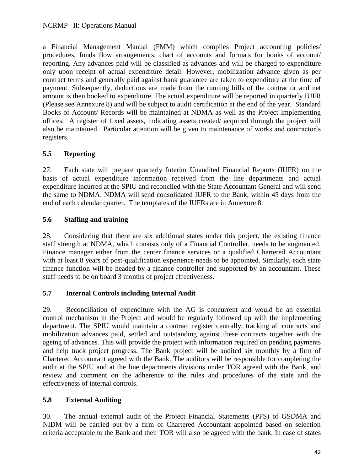a Financial Management Manual (FMM) which compiles Project accounting policies/ procedures, funds flow arrangements, chart of accounts and formats for books of account/ reporting. Any advances paid will be classified as advances and will be charged to expenditure only upon receipt of actual expenditure detail. However, mobilization advance given as per contract terms and generally paid against bank guarantee are taken to expenditure at the time of payment. Subsequently, deductions are made from the running bills of the contractor and net amount is then booked to expenditure. The actual expenditure will be reported in quarterly IUFR (Please see Annexure 8) and will be subject to audit certification at the end of the year. Standard Books of Account/ Records will be maintained at NDMA as well as the Project Implementing offices. A register of fixed assets, indicating assets created/ acquired through the project will also be maintained. Particular attention will be given to maintenance of works and contractor's registers.

# **5.5 Reporting**

27. Each state will prepare quarterly Interim Unaudited Financial Reports (IUFR) on the basis of actual expenditure information received from the line departments and actual expenditure incurred at the SPIU and reconciled with the State Accountant General and will send the same to NDMA. NDMA will send consolidated IUFR to the Bank, within 45 days from the end of each calendar quarter. The templates of the IUFRs are in Annexure 8.

## **5.6 Staffing and training**

28. Considering that there are six additional states under this project, the existing finance staff strength at NDMA, which consists only of a Financial Controller, needs to be augmented. Finance manager either from the center finance services or a qualified Chartered Accountant with at least 8 years of post-qualification experience needs to be appointed. Similarly, each state finance function will be headed by a finance controller and supported by an accountant. These staff needs to be on board 3 months of project effectiveness.

#### **5.7 Internal Controls including Internal Audit**

29. Reconciliation of expenditure with the AG is concurrent and would be an essential control mechanism in the Project and would be regularly followed up with the implementing department. The SPIU would maintain a contract register centrally, tracking all contracts and mobilization advances paid, settled and outstanding against these contracts together with the ageing of advances. This will provide the project with information required on pending payments and help track project progress. The Bank project will be audited six monthly by a firm of Chartered Accountant agreed with the Bank. The auditors will be responsible for completing the audit at the SPIU and at the line departments divisions under TOR agreed with the Bank, and review and comment on the adherence to the rules and procedures of the state and the effectiveness of internal controls.

#### **5.8 External Auditing**

30. The annual external audit of the Project Financial Statements (PFS) of GSDMA and NIDM will be carried out by a firm of Chartered Accountant appointed based on selection criteria acceptable to the Bank and their TOR will also be agreed with the bank. In case of states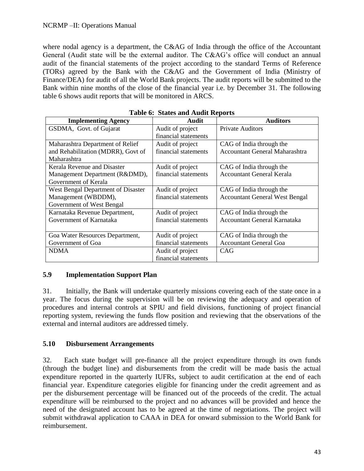where nodal agency is a department, the C&AG of India through the office of the Accountant General (Audit state will be the external auditor. The C&AG's office will conduct an annual audit of the financial statements of the project according to the standard Terms of Reference (TORs) agreed by the Bank with the C&AG and the Government of India (Ministry of Finance/DEA) for audit of all the World Bank projects. The audit reports will be submitted to the Bank within nine months of the close of the financial year i.e. by December 31. The following table 6 shows audit reports that will be monitored in ARCS.

| <b>Implementing Agency</b>         | Audit                | <b>Auditors</b>                       |
|------------------------------------|----------------------|---------------------------------------|
| GSDMA, Govt. of Gujarat            | Audit of project     | <b>Private Auditors</b>               |
|                                    | financial statements |                                       |
| Maharashtra Department of Relief   | Audit of project     | CAG of India through the              |
| and Rehabilitation (MDRR), Govt of | financial statements | <b>Accountant General Maharashtra</b> |
| Maharashtra                        |                      |                                       |
| Kerala Revenue and Disaster        | Audit of project     | CAG of India through the              |
| Management Department (R&DMD),     | financial statements | <b>Accountant General Kerala</b>      |
| Government of Kerala               |                      |                                       |
| West Bengal Department of Disaster | Audit of project     | CAG of India through the              |
| Management (WBDDM),                | financial statements | <b>Accountant General West Bengal</b> |
| Government of West Bengal          |                      |                                       |
| Karnataka Revenue Department,      | Audit of project     | CAG of India through the              |
| Government of Karnataka            | financial statements | Accountant General Karnataka          |
|                                    |                      |                                       |
| Goa Water Resources Department,    | Audit of project     | CAG of India through the              |
| Government of Goa                  | financial statements | <b>Accountant General Goa</b>         |
| <b>NDMA</b>                        | Audit of project     | CAG                                   |
|                                    | financial statements |                                       |

| <b>Table 6: States and Audit Reports</b> |  |  |  |  |  |
|------------------------------------------|--|--|--|--|--|
|------------------------------------------|--|--|--|--|--|

#### **5.9 Implementation Support Plan**

31. Initially, the Bank will undertake quarterly missions covering each of the state once in a year. The focus during the supervision will be on reviewing the adequacy and operation of procedures and internal controls at SPIU and field divisions, functioning of project financial reporting system, reviewing the funds flow position and reviewing that the observations of the external and internal auditors are addressed timely.

#### **5.10 Disbursement Arrangements**

32. Each state budget will pre-finance all the project expenditure through its own funds (through the budget line) and disbursements from the credit will be made basis the actual expenditure reported in the quarterly IUFRs, subject to audit certification at the end of each financial year. Expenditure categories eligible for financing under the credit agreement and as per the disbursement percentage will be financed out of the proceeds of the credit. The actual expenditure will be reimbursed to the project and no advances will be provided and hence the need of the designated account has to be agreed at the time of negotiations. The project will submit withdrawal application to CAAA in DEA for onward submission to the World Bank for reimbursement.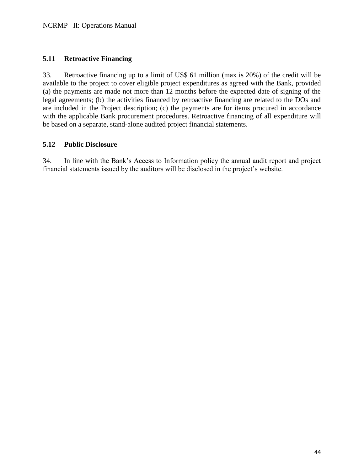## **5.11 Retroactive Financing**

33. Retroactive financing up to a limit of US\$ 61 million (max is 20%) of the credit will be available to the project to cover eligible project expenditures as agreed with the Bank, provided (a) the payments are made not more than 12 months before the expected date of signing of the legal agreements; (b) the activities financed by retroactive financing are related to the DOs and are included in the Project description; (c) the payments are for items procured in accordance with the applicable Bank procurement procedures. Retroactive financing of all expenditure will be based on a separate, stand-alone audited project financial statements.

## **5.12 Public Disclosure**

34. In line with the Bank's Access to Information policy the annual audit report and project financial statements issued by the auditors will be disclosed in the project's website.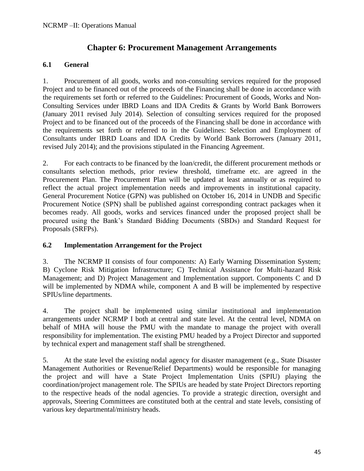# **Chapter 6: Procurement Management Arrangements**

## **6.1 General**

1. Procurement of all goods, works and non-consulting services required for the proposed Project and to be financed out of the proceeds of the Financing shall be done in accordance with the requirements set forth or referred to the Guidelines: Procurement of Goods, Works and Non-Consulting Services under IBRD Loans and IDA Credits & Grants by World Bank Borrowers (January 2011 revised July 2014). Selection of consulting services required for the proposed Project and to be financed out of the proceeds of the Financing shall be done in accordance with the requirements set forth or referred to in the Guidelines: Selection and Employment of Consultants under IBRD Loans and IDA Credits by World Bank Borrowers (January 2011, revised July 2014); and the provisions stipulated in the Financing Agreement.

2. For each contracts to be financed by the loan/credit, the different procurement methods or consultants selection methods, prior review threshold, timeframe etc. are agreed in the Procurement Plan. The Procurement Plan will be updated at least annually or as required to reflect the actual project implementation needs and improvements in institutional capacity. General Procurement Notice (GPN) was published on October 16, 2014 in UNDB and Specific Procurement Notice (SPN) shall be published against corresponding contract packages when it becomes ready. All goods, works and services financed under the proposed project shall be procured using the Bank's Standard Bidding Documents (SBDs) and Standard Request for Proposals (SRFPs).

# **6.2 Implementation Arrangement for the Project**

3. The NCRMP II consists of four components: A) Early Warning Dissemination System; B) Cyclone Risk Mitigation Infrastructure; C) Technical Assistance for Multi-hazard Risk Management; and D) Project Management and Implementation support. Components C and D will be implemented by NDMA while, component A and B will be implemented by respective SPIUs/line departments.

4. The project shall be implemented using similar institutional and implementation arrangements under NCRMP I both at central and state level. At the central level, NDMA on behalf of MHA will house the PMU with the mandate to manage the project with overall responsibility for implementation. The existing PMU headed by a Project Director and supported by technical expert and management staff shall be strengthened.

5. At the state level the existing nodal agency for disaster management (e.g., State Disaster Management Authorities or Revenue/Relief Departments) would be responsible for managing the project and will have a State Project Implementation Units (SPIU) playing the coordination/project management role. The SPIUs are headed by state Project Directors reporting to the respective heads of the nodal agencies. To provide a strategic direction, oversight and approvals, Steering Committees are constituted both at the central and state levels, consisting of various key departmental/ministry heads.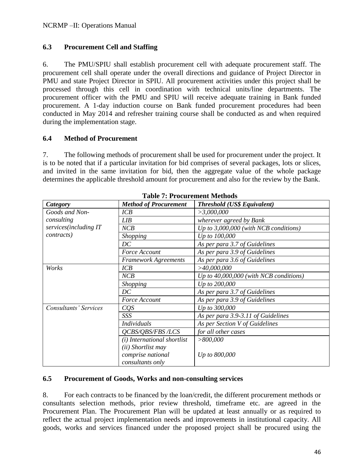# **6.3 Procurement Cell and Staffing**

6. The PMU/SPIU shall establish procurement cell with adequate procurement staff. The procurement cell shall operate under the overall directions and guidance of Project Director in PMU and state Project Director in SPIU. All procurement activities under this project shall be processed through this cell in coordination with technical units/line departments. The procurement officer with the PMU and SPIU will receive adequate training in Bank funded procurement. A 1-day induction course on Bank funded procurement procedures had been conducted in May 2014 and refresher training course shall be conducted as and when required during the implementation stage.

#### **6.4 Method of Procurement**

7. The following methods of procurement shall be used for procurement under the project. It is to be noted that if a particular invitation for bid comprises of several packages, lots or slices, and invited in the same invitation for bid, then the aggregate value of the whole package determines the applicable threshold amount for procurement and also for the review by the Bank.

| Table 7. I Tocul chicht Michigus |                              |                                          |  |  |  |  |  |
|----------------------------------|------------------------------|------------------------------------------|--|--|--|--|--|
| Category                         | <b>Method of Procurement</b> | <b>Threshold (US\$ Equivalent)</b>       |  |  |  |  |  |
| Goods and Non-                   | <b>ICB</b>                   | >3,000,000                               |  |  |  |  |  |
| consulting                       | LIB                          | wherever agreed by Bank                  |  |  |  |  |  |
| services(including IT            | NCB                          | Up to $3,000,000$ (with NCB conditions)  |  |  |  |  |  |
| contracts)                       | <b>Shopping</b>              | Up to 100,000                            |  |  |  |  |  |
|                                  | DC                           | As per para 3.7 of Guidelines            |  |  |  |  |  |
|                                  | Force Account                | As per para 3.9 of Guidelines            |  |  |  |  |  |
|                                  | <b>Framework Agreements</b>  | As per para 3.6 of Guidelines            |  |  |  |  |  |
| Works                            | ICB                          | >40,000,000                              |  |  |  |  |  |
|                                  | NCB                          | Up to $40,000,000$ (with NCB conditions) |  |  |  |  |  |
|                                  | <b>Shopping</b>              | Up to 200,000                            |  |  |  |  |  |
|                                  | DC                           | As per para 3.7 of Guidelines            |  |  |  |  |  |
|                                  | Force Account                | As per para 3.9 of Guidelines            |  |  |  |  |  |
| Consultants' Services            | CQS                          | Up to 300,000                            |  |  |  |  |  |
|                                  | SSS                          | As per para 3.9-3.11 of Guidelines       |  |  |  |  |  |
|                                  | <b>Individuals</b>           | As per Section V of Guidelines           |  |  |  |  |  |
|                                  | QCBS/QBS/FBS/LCS             | for all other cases                      |  |  |  |  |  |
|                                  | (i) International shortlist  | >800,000                                 |  |  |  |  |  |
|                                  | ( <i>ii</i> ) Shortlist may  |                                          |  |  |  |  |  |
|                                  | comprise national            | Up to 800,000                            |  |  |  |  |  |
|                                  | consultants only             |                                          |  |  |  |  |  |

**Table 7: Procurement Methods**

#### **6.5 Procurement of Goods, Works and non-consulting services**

8. For each contracts to be financed by the loan/credit, the different procurement methods or consultants selection methods, prior review threshold, timeframe etc. are agreed in the Procurement Plan. The Procurement Plan will be updated at least annually or as required to reflect the actual project implementation needs and improvements in institutional capacity. All goods, works and services financed under the proposed project shall be procured using the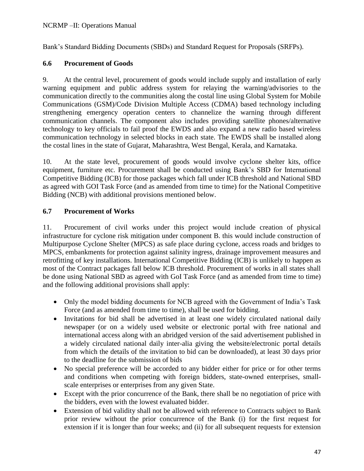Bank's Standard Bidding Documents (SBDs) and Standard Request for Proposals (SRFPs).

## **6.6 Procurement of Goods**

9. At the central level, procurement of goods would include supply and installation of early warning equipment and public address system for relaying the warning/advisories to the communication directly to the communities along the costal line using Global System for Mobile Communications (GSM)/Code Division Multiple Access (CDMA) based technology including strengthening emergency operation centers to channelize the warning through different communication channels. The component also includes providing satellite phones/alternative technology to key officials to fail proof the EWDS and also expand a new radio based wireless communication technology in selected blocks in each state. The EWDS shall be installed along the costal lines in the state of Gujarat, Maharashtra, West Bengal, Kerala, and Karnataka.

10. At the state level, procurement of goods would involve cyclone shelter kits, office equipment, furniture etc. Procurement shall be conducted using Bank's SBD for International Competitive Bidding (ICB) for those packages which fall under ICB threshold and National SBD as agreed with GOI Task Force (and as amended from time to time) for the National Competitive Bidding (NCB) with additional provisions mentioned below.

## **6.7 Procurement of Works**

11. Procurement of civil works under this project would include creation of physical infrastructure for cyclone risk mitigation under component B. this would include construction of Multipurpose Cyclone Shelter (MPCS) as safe place during cyclone, access roads and bridges to MPCS, embankments for protection against salinity ingress, drainage improvement measures and retrofitting of key installations. International Competitive Bidding (ICB) is unlikely to happen as most of the Contract packages fall below ICB threshold. Procurement of works in all states shall be done using National SBD as agreed with GoI Task Force (and as amended from time to time) and the following additional provisions shall apply:

- Only the model bidding documents for NCB agreed with the Government of India's Task Force (and as amended from time to time), shall be used for bidding.
- Invitations for bid shall be advertised in at least one widely circulated national daily newspaper (or on a widely used website or electronic portal with free national and international access along with an abridged version of the said advertisement published in a widely circulated national daily inter-alia giving the website/electronic portal details from which the details of the invitation to bid can be downloaded), at least 30 days prior to the deadline for the submission of bids
- No special preference will be accorded to any bidder either for price or for other terms and conditions when competing with foreign bidders, state-owned enterprises, smallscale enterprises or enterprises from any given State.
- Except with the prior concurrence of the Bank, there shall be no negotiation of price with the bidders, even with the lowest evaluated bidder.
- Extension of bid validity shall not be allowed with reference to Contracts subject to Bank prior review without the prior concurrence of the Bank (i) for the first request for extension if it is longer than four weeks; and (ii) for all subsequent requests for extension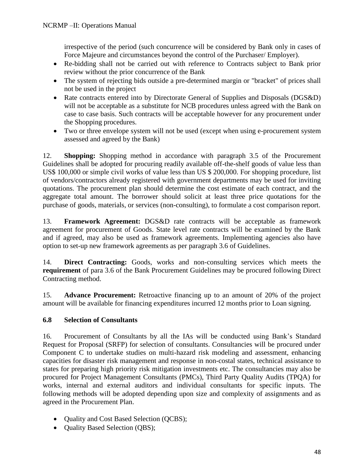irrespective of the period (such concurrence will be considered by Bank only in cases of Force Majeure and circumstances beyond the control of the Purchaser/ Employer).

- Re-bidding shall not be carried out with reference to Contracts subject to Bank prior review without the prior concurrence of the Bank
- The system of rejecting bids outside a pre-determined margin or "bracket" of prices shall not be used in the project
- Rate contracts entered into by Directorate General of Supplies and Disposals (DGS&D) will not be acceptable as a substitute for NCB procedures unless agreed with the Bank on case to case basis. Such contracts will be acceptable however for any procurement under the Shopping procedures.
- Two or three envelope system will not be used (except when using e-procurement system assessed and agreed by the Bank)

12. **Shopping:** Shopping method in accordance with paragraph 3.5 of the Procurement Guidelines shall be adopted for procuring readily available off-the-shelf goods of value less than US\$ 100,000 or simple civil works of value less than US \$ 200,000. For shopping procedure, list of vendors/contractors already registered with government departments may be used for inviting quotations. The procurement plan should determine the cost estimate of each contract, and the aggregate total amount. The borrower should solicit at least three price quotations for the purchase of goods, materials, or services (non-consulting), to formulate a cost comparison report.

13. **Framework Agreement:** DGS&D rate contracts will be acceptable as framework agreement for procurement of Goods. State level rate contracts will be examined by the Bank and if agreed, may also be used as framework agreements. Implementing agencies also have option to set-up new framework agreements as per paragraph 3.6 of Guidelines.

14. **Direct Contracting:** Goods, works and non-consulting services which meets the **requirement** of para 3.6 of the Bank Procurement Guidelines may be procured following Direct Contracting method.

15. **Advance Procurement:** Retroactive financing up to an amount of 20% of the project amount will be available for financing expenditures incurred 12 months prior to Loan signing.

# **6.8 Selection of Consultants**

16. Procurement of Consultants by all the IAs will be conducted using Bank's Standard Request for Proposal (SRFP) for selection of consultants. Consultancies will be procured under Component C to undertake studies on multi-hazard risk modeling and assessment, enhancing capacities for disaster risk management and response in non-costal states, technical assistance to states for preparing high priority risk mitigation investments etc. The consultancies may also be procured for Project Management Consultants (PMCs), Third Party Quality Audits (TPQA) for works, internal and external auditors and individual consultants for specific inputs. The following methods will be adopted depending upon size and complexity of assignments and as agreed in the Procurement Plan.

- Quality and Cost Based Selection (QCBS);
- Quality Based Selection (QBS);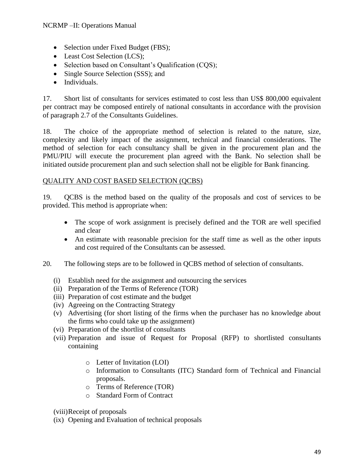- Selection under Fixed Budget (FBS);
- Least Cost Selection (LCS);
- Selection based on Consultant's Qualification (CQS);
- Single Source Selection (SSS); and
- Individuals.

17. Short list of consultants for services estimated to cost less than US\$ 800,000 equivalent per contract may be composed entirely of national consultants in accordance with the provision of paragraph 2.7 of the Consultants Guidelines.

18. The choice of the appropriate method of selection is related to the nature, size, complexity and likely impact of the assignment, technical and financial considerations. The method of selection for each consultancy shall be given in the procurement plan and the PMU/PIU will execute the procurement plan agreed with the Bank. No selection shall be initiated outside procurement plan and such selection shall not be eligible for Bank financing.

## QUALITY AND COST BASED SELECTION (QCBS)

19. QCBS is the method based on the quality of the proposals and cost of services to be provided. This method is appropriate when:

- The scope of work assignment is precisely defined and the TOR are well specified and clear
- An estimate with reasonable precision for the staff time as well as the other inputs and cost required of the Consultants can be assessed.
- 20. The following steps are to be followed in QCBS method of selection of consultants.
	- (i) Establish need for the assignment and outsourcing the services
	- (ii) Preparation of the Terms of Reference (TOR)
	- (iii) Preparation of cost estimate and the budget
	- (iv) Agreeing on the Contracting Strategy
	- (v) Advertising (for short listing of the firms when the purchaser has no knowledge about the firms who could take up the assignment)
	- (vi) Preparation of the shortlist of consultants
	- (vii) Preparation and issue of Request for Proposal (RFP) to shortlisted consultants containing
		- o Letter of Invitation (LOI)
		- o Information to Consultants (ITC) Standard form of Technical and Financial proposals.
		- o Terms of Reference (TOR)
		- o Standard Form of Contract

(viii)Receipt of proposals

(ix) Opening and Evaluation of technical proposals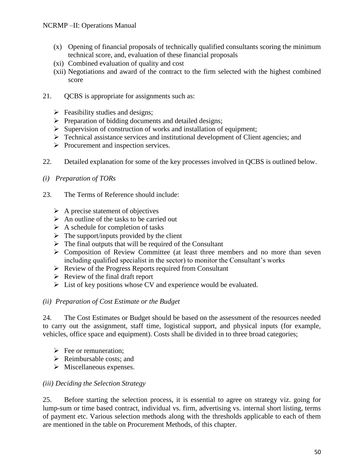- (x) Opening of financial proposals of technically qualified consultants scoring the minimum technical score, and, evaluation of these financial proposals
- (xi) Combined evaluation of quality and cost
- (xii) Negotiations and award of the contract to the firm selected with the highest combined score
- 21. QCBS is appropriate for assignments such as:
	- $\triangleright$  Feasibility studies and designs;
	- $\triangleright$  Preparation of bidding documents and detailed designs;
	- $\triangleright$  Supervision of construction of works and installation of equipment;
	- $\triangleright$  Technical assistance services and institutional development of Client agencies; and
	- $\triangleright$  Procurement and inspection services.
- 22. Detailed explanation for some of the key processes involved in QCBS is outlined below.
- *(i) Preparation of TORs*
- 23. The Terms of Reference should include:
	- $\triangleright$  A precise statement of objectives
	- $\triangleright$  An outline of the tasks to be carried out
	- $\triangleright$  A schedule for completion of tasks
	- $\triangleright$  The support/inputs provided by the client
	- $\triangleright$  The final outputs that will be required of the Consultant
	- Composition of Review Committee (at least three members and no more than seven including qualified specialist in the sector) to monitor the Consultant's works
	- $\triangleright$  Review of the Progress Reports required from Consultant
	- $\triangleright$  Review of the final draft report
	- $\triangleright$  List of key positions whose CV and experience would be evaluated.

#### *(ii) Preparation of Cost Estimate or the Budget*

24. The Cost Estimates or Budget should be based on the assessment of the resources needed to carry out the assignment, staff time, logistical support, and physical inputs (for example, vehicles, office space and equipment). Costs shall be divided in to three broad categories;

- $\triangleright$  Fee or remuneration:
- $\triangleright$  Reimbursable costs; and
- $\triangleright$  Miscellaneous expenses.

#### *(iii) Deciding the Selection Strategy*

25. Before starting the selection process, it is essential to agree on strategy viz. going for lump-sum or time based contract, individual vs. firm, advertising vs. internal short listing, terms of payment etc. Various selection methods along with the thresholds applicable to each of them are mentioned in the table on Procurement Methods, of this chapter.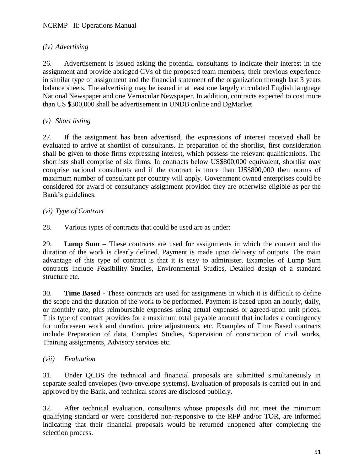# *(iv) Advertising*

26. Advertisement is issued asking the potential consultants to indicate their interest in the assignment and provide abridged CVs of the proposed team members, their previous experience in similar type of assignment and the financial statement of the organization through last 3 years balance sheets. The advertising may be issued in at least one largely circulated English language National Newspaper and one Vernacular Newspaper. In addition, contracts expected to cost more than US \$300,000 shall be advertisement in UNDB online and DgMarket.

# *(v) Short listing*

27. If the assignment has been advertised, the expressions of interest received shall be evaluated to arrive at shortlist of consultants. In preparation of the shortlist, first consideration shall be given to those firms expressing interest, which possess the relevant qualifications. The shortlists shall comprise of six firms. In contracts below US\$800,000 equivalent, shortlist may comprise national consultants and if the contract is more than US\$800,000 then norms of maximum number of consultant per country will apply. Government owned enterprises could be considered for award of consultancy assignment provided they are otherwise eligible as per the Bank's guidelines.

# *(vi) Type of Contract*

28. Various types of contracts that could be used are as under:

29. **Lump Sum** – These contracts are used for assignments in which the content and the duration of the work is clearly defined. Payment is made upon delivery of outputs. The main advantage of this type of contract is that it is easy to administer. Examples of Lump Sum contracts include Feasibility Studies, Environmental Studies, Detailed design of a standard structure etc.

30. **Time Based** - These contracts are used for assignments in which it is difficult to define the scope and the duration of the work to be performed. Payment is based upon an hourly, daily, or monthly rate, plus reimbursable expenses using actual expenses or agreed-upon unit prices. This type of contract provides for a maximum total payable amount that includes a contingency for unforeseen work and duration, price adjustments, etc. Examples of Time Based contracts include Preparation of data, Complex Studies, Supervision of construction of civil works, Training assignments, Advisory services etc.

# *(vii) Evaluation*

31. Under QCBS the technical and financial proposals are submitted simultaneously in separate sealed envelopes (two-envelope systems). Evaluation of proposals is carried out in and approved by the Bank, and technical scores are disclosed publicly.

32. After technical evaluation, consultants whose proposals did not meet the minimum qualifying standard or were considered non-responsive to the RFP and/or TOR, are informed indicating that their financial proposals would be returned unopened after completing the selection process.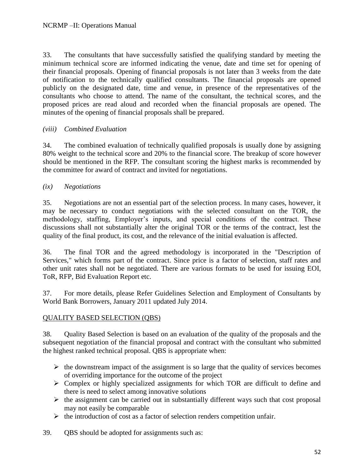33. The consultants that have successfully satisfied the qualifying standard by meeting the minimum technical score are informed indicating the venue, date and time set for opening of their financial proposals. Opening of financial proposals is not later than 3 weeks from the date of notification to the technically qualified consultants. The financial proposals are opened publicly on the designated date, time and venue, in presence of the representatives of the consultants who choose to attend. The name of the consultant, the technical scores, and the proposed prices are read aloud and recorded when the financial proposals are opened. The minutes of the opening of financial proposals shall be prepared.

## *(viii) Combined Evaluation*

34. The combined evaluation of technically qualified proposals is usually done by assigning 80% weight to the technical score and 20% to the financial score. The breakup of score however should be mentioned in the RFP. The consultant scoring the highest marks is recommended by the committee for award of contract and invited for negotiations.

#### *(ix) Negotiations*

35. Negotiations are not an essential part of the selection process. In many cases, however, it may be necessary to conduct negotiations with the selected consultant on the TOR, the methodology, staffing, Employer's inputs, and special conditions of the contract. These discussions shall not substantially alter the original TOR or the terms of the contract, lest the quality of the final product, its cost, and the relevance of the initial evaluation is affected.

36. The final TOR and the agreed methodology is incorporated in the "Description of Services," which forms part of the contract. Since price is a factor of selection, staff rates and other unit rates shall not be negotiated. There are various formats to be used for issuing EOI, ToR, RFP, Bid Evaluation Report etc.

37. For more details, please Refer Guidelines Selection and Employment of Consultants by World Bank Borrowers, January 2011 updated July 2014.

#### QUALITY BASED SELECTION (QBS)

38. Quality Based Selection is based on an evaluation of the quality of the proposals and the subsequent negotiation of the financial proposal and contract with the consultant who submitted the highest ranked technical proposal. QBS is appropriate when:

- $\triangleright$  the downstream impact of the assignment is so large that the quality of services becomes of overriding importance for the outcome of the project
- $\triangleright$  Complex or highly specialized assignments for which TOR are difficult to define and there is need to select among innovative solutions
- $\triangleright$  the assignment can be carried out in substantially different ways such that cost proposal may not easily be comparable
- $\triangleright$  the introduction of cost as a factor of selection renders competition unfair.
- 39. QBS should be adopted for assignments such as: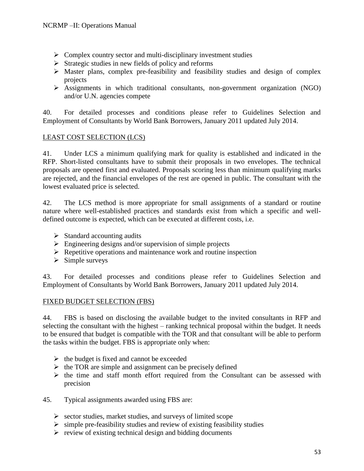- $\triangleright$  Complex country sector and multi-disciplinary investment studies
- $\triangleright$  Strategic studies in new fields of policy and reforms
- $\triangleright$  Master plans, complex pre-feasibility and feasibility studies and design of complex projects
- Assignments in which traditional consultants, non-government organization (NGO) and/or U.N. agencies compete

40. For detailed processes and conditions please refer to Guidelines Selection and Employment of Consultants by World Bank Borrowers, January 2011 updated July 2014.

#### LEAST COST SELECTION (LCS)

41. Under LCS a minimum qualifying mark for quality is established and indicated in the RFP. Short-listed consultants have to submit their proposals in two envelopes. The technical proposals are opened first and evaluated. Proposals scoring less than minimum qualifying marks are rejected, and the financial envelopes of the rest are opened in public. The consultant with the lowest evaluated price is selected.

42. The LCS method is more appropriate for small assignments of a standard or routine nature where well-established practices and standards exist from which a specific and welldefined outcome is expected, which can be executed at different costs, i.e.

- $\triangleright$  Standard accounting audits
- $\triangleright$  Engineering designs and/or supervision of simple projects
- $\triangleright$  Repetitive operations and maintenance work and routine inspection
- $\triangleright$  Simple surveys

43. For detailed processes and conditions please refer to Guidelines Selection and Employment of Consultants by World Bank Borrowers, January 2011 updated July 2014.

#### FIXED BUDGET SELECTION (FBS)

44. FBS is based on disclosing the available budget to the invited consultants in RFP and selecting the consultant with the highest – ranking technical proposal within the budget. It needs to be ensured that budget is compatible with the TOR and that consultant will be able to perform the tasks within the budget. FBS is appropriate only when:

- $\triangleright$  the budget is fixed and cannot be exceeded
- $\triangleright$  the TOR are simple and assignment can be precisely defined
- $\triangleright$  the time and staff month effort required from the Consultant can be assessed with precision
- 45. Typical assignments awarded using FBS are:
	- $\triangleright$  sector studies, market studies, and surveys of limited scope
	- $\triangleright$  simple pre-feasibility studies and review of existing feasibility studies
	- $\triangleright$  review of existing technical design and bidding documents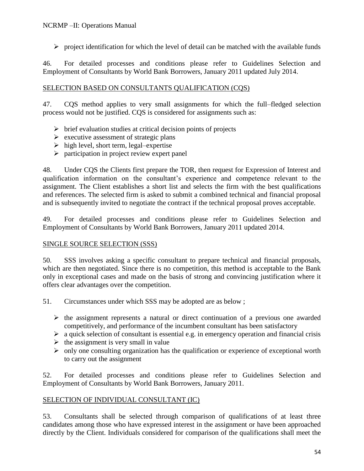$\triangleright$  project identification for which the level of detail can be matched with the available funds

46. For detailed processes and conditions please refer to Guidelines Selection and Employment of Consultants by World Bank Borrowers, January 2011 updated July 2014.

# SELECTION BASED ON CONSULTANTS QUALIFICATION (CQS)

47. CQS method applies to very small assignments for which the full–fledged selection process would not be justified. CQS is considered for assignments such as:

- $\triangleright$  brief evaluation studies at critical decision points of projects
- $\triangleright$  executive assessment of strategic plans
- $\triangleright$  high level, short term, legal–expertise
- $\triangleright$  participation in project review expert panel

48. Under CQS the Clients first prepare the TOR, then request for Expression of Interest and qualification information on the consultant's experience and competence relevant to the assignment. The Client establishes a short list and selects the firm with the best qualifications and references. The selected firm is asked to submit a combined technical and financial proposal and is subsequently invited to negotiate the contract if the technical proposal proves acceptable.

49. For detailed processes and conditions please refer to Guidelines Selection and Employment of Consultants by World Bank Borrowers, January 2011 updated 2014.

# SINGLE SOURCE SELECTION (SSS)

50. SSS involves asking a specific consultant to prepare technical and financial proposals, which are then negotiated. Since there is no competition, this method is acceptable to the Bank only in exceptional cases and made on the basis of strong and convincing justification where it offers clear advantages over the competition.

51. Circumstances under which SSS may be adopted are as below ;

- $\triangleright$  the assignment represents a natural or direct continuation of a previous one awarded competitively, and performance of the incumbent consultant has been satisfactory
- $\triangleright$  a quick selection of consultant is essential e.g. in emergency operation and financial crisis
- $\triangleright$  the assignment is very small in value
- $\triangleright$  only one consulting organization has the qualification or experience of exceptional worth to carry out the assignment

52. For detailed processes and conditions please refer to Guidelines Selection and Employment of Consultants by World Bank Borrowers, January 2011.

#### SELECTION OF INDIVIDUAL CONSULTANT (IC)

53. Consultants shall be selected through comparison of qualifications of at least three candidates among those who have expressed interest in the assignment or have been approached directly by the Client. Individuals considered for comparison of the qualifications shall meet the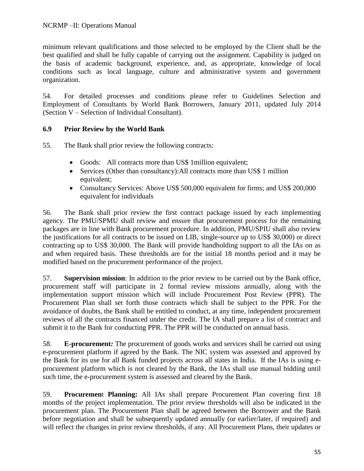minimum relevant qualifications and those selected to be employed by the Client shall be the best qualified and shall be fully capable of carrying out the assignment. Capability is judged on the basis of academic background, experience, and, as appropriate, knowledge of local conditions such as local language, culture and administrative system and government organization.

54. For detailed processes and conditions please refer to Guidelines Selection and Employment of Consultants by World Bank Borrowers, January 2011, updated July 2014 (Section V – Selection of Individual Consultant).

# **6.9 Prior Review by the World Bank**

55. The Bank shall prior review the following contracts:

- Goods: All contracts more than US\$ 1 million equivalent;
- Services (Other than consultancy): All contracts more than US\$ 1 million equivalent;
- Consultancy Services: Above US\$ 500,000 equivalent for firms; and US\$ 200,000 equivalent for individuals

56. The Bank shall prior review the first contract package issued by each implementing agency. The PMU/SPMU shall review and ensure that procurement process for the remaining packages are in line with Bank procurement procedure. In addition, PMU/SPIU shall also review the justifications for all contracts to be issued on LIB, single-source up to US\$ 30,000) or direct contracting up to US\$ 30,000. The Bank will provide handholding support to all the IAs on as and when required basis. These thresholds are for the initial 18 months period and it may be modified based on the procurement performance of the project.

57. **Supervision mission**: In addition to the prior review to be carried out by the Bank office, procurement staff will participate in 2 formal review missions annually, along with the implementation support mission which will include Procurement Post Review (PPR). The Procurement Plan shall set forth those contracts which shall be subject to the PPR. For the avoidance of doubts, the Bank shall be entitled to conduct, at any time, independent procurement reviews of all the contracts financed under the credit. The IA shall prepare a list of contract and submit it to the Bank for conducting PPR. The PPR will be conducted on annual basis.

58. **E-procurement***:* The procurement of goods works and services shall be carried out using e-procurement platform if agreed by the Bank. The NIC system was assessed and approved by the Bank for its use for all Bank funded projects across all states in India. If the IAs is using eprocurement platform which is not cleared by the Bank, the IAs shall use manual bidding until such time, the e-procurement system is assessed and cleared by the Bank.

59. **Procuremen**t **Planning:** All IAs shall prepare Procurement Plan covering first 18 months of the project implementation. The prior review thresholds will also be indicated in the procurement plan. The Procurement Plan shall be agreed between the Borrower and the Bank before negotiation and shall be subsequently updated annually (or earlier/later, if required) and will reflect the changes in prior review thresholds, if any. All Procurement Plans, their updates or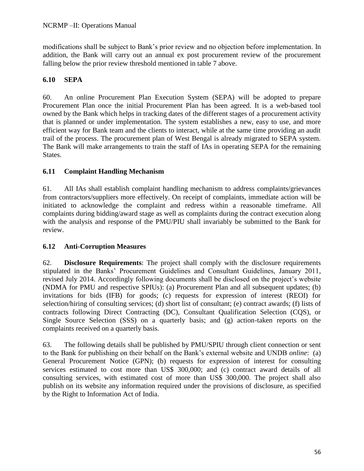modifications shall be subject to Bank's prior review and no objection before implementation. In addition, the Bank will carry out an annual ex post procurement review of the procurement falling below the prior review threshold mentioned in table 7 above.

# **6.10 SEPA**

60. An online Procurement Plan Execution System (SEPA) will be adopted to prepare Procurement Plan once the initial Procurement Plan has been agreed. It is a web-based tool owned by the Bank which helps in tracking dates of the different stages of a procurement activity that is planned or under implementation. The system establishes a new, easy to use, and more efficient way for Bank team and the clients to interact, while at the same time providing an audit trail of the process. The procurement plan of West Bengal is already migrated to SEPA system. The Bank will make arrangements to train the staff of IAs in operating SEPA for the remaining States.

# **6.11 Complaint Handling Mechanism**

61. All IAs shall establish complaint handling mechanism to address complaints/grievances from contractors/suppliers more effectively. On receipt of complaints, immediate action will be initiated to acknowledge the complaint and redress within a reasonable timeframe. All complaints during bidding/award stage as well as complaints during the contract execution along with the analysis and response of the PMU/PIU shall invariably be submitted to the Bank for review.

#### **6.12 Anti-Corruption Measures**

62. **Disclosure Requirements**: The project shall comply with the disclosure requirements stipulated in the Banks' Procurement Guidelines and Consultant Guidelines, January 2011, revised July 2014. Accordingly following documents shall be disclosed on the project's website (NDMA for PMU and respective SPIUs): (a) Procurement Plan and all subsequent updates; (b) invitations for bids (IFB) for goods; (c) requests for expression of interest (REOI) for selection/hiring of consulting services; (d) short list of consultant; (e) contract awards; (f) lists of contracts following Direct Contracting (DC), Consultant Qualification Selection (CQS), or Single Source Selection (SSS) on a quarterly basis; and (g) action-taken reports on the complaints received on a quarterly basis.

63. The following details shall be published by PMU/SPIU through client connection or sent to the Bank for publishing on their behalf on the Bank's external website and UNDB *online*: (a) General Procurement Notice (GPN); (b) requests for expression of interest for consulting services estimated to cost more than US\$ 300,000; and (c) contract award details of all consulting services, with estimated cost of more than US\$ 300,000. The project shall also publish on its website any information required under the provisions of disclosure, as specified by the Right to Information Act of India.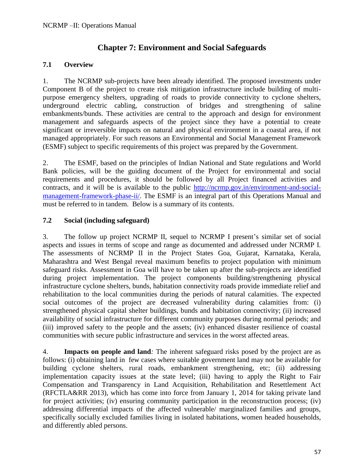# **Chapter 7: Environment and Social Safeguards**

# **7.1 Overview**

1. The NCRMP sub-projects have been already identified. The proposed investments under Component B of the project to create risk mitigation infrastructure include building of multipurpose emergency shelters, upgrading of roads to provide connectivity to cyclone shelters, underground electric cabling, construction of bridges and strengthening of saline embankments/bunds. These activities are central to the approach and design for environment management and safeguards aspects of the project since they have a potential to create significant or irreversible impacts on natural and physical environment in a coastal area, if not managed appropriately. For such reasons an Environmental and Social Management Framework (ESMF) subject to specific requirements of this project was prepared by the Government.

2. The ESMF, based on the principles of Indian National and State regulations and World Bank policies, will be the guiding document of the Project for environmental and social requirements and procedures, it should be followed by all Project financed activities and contracts, and it will be is available to the public http://ncrmp.gov.in/environment-and-socialmanagement-framework-phase-ii/. The ESMF is an integral part of this Operations Manual and must be referred to in tandem. Below is a summary of its contents.

# **7.2 Social (including safeguard)**

3. The follow up project NCRMP II, sequel to NCRMP I present's similar set of social aspects and issues in terms of scope and range as documented and addressed under NCRMP I. The assessments of NCRMP II in the Project States Goa, Gujarat, Karnataka, Kerala, Maharashtra and West Bengal reveal maximum benefits to project population with minimum safeguard risks. Assessment in Goa will have to be taken up after the sub-projects are identified during project implementation. The project components building/strengthening physical infrastructure cyclone shelters, bunds, habitation connectivity roads provide immediate relief and rehabilitation to the local communities during the periods of natural calamities. The expected social outcomes of the project are decreased vulnerability during calamities from: (i) strengthened physical capital shelter buildings, bunds and habitation connectivity; (ii) increased availability of social infrastructure for different community purposes during normal periods; and (iii) improved safety to the people and the assets; (iv) enhanced disaster resilience of coastal communities with secure public infrastructure and services in the worst affected areas.

4. **Impacts on people and land***:* The inherent safeguard risks posed by the project are as follows: (i) obtaining land in few cases where suitable government land may not be available for building cyclone shelters, rural roads, embankment strengthening, etc; (ii) addressing implementation capacity issues at the state level; (iii) having to apply the Right to Fair Compensation and Transparency in Land Acquisition, Rehabilitation and Resettlement Act (RFCTLA&RR 2013), which has come into force from January 1, 2014 for taking private land for project activities; (iv) ensuring community participation in the reconstruction process; (iv) addressing differential impacts of the affected vulnerable/ marginalized families and groups, specifically socially excluded families living in isolated habitations, women headed households, and differently abled persons.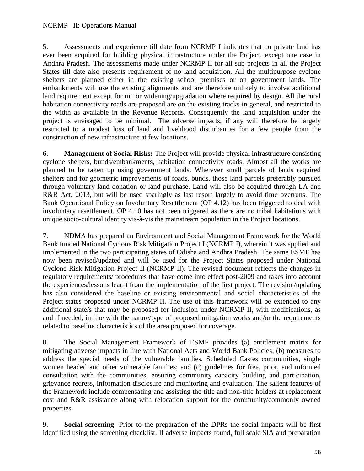#### NCRMP –II: Operations Manual

5. Assessments and experience till date from NCRMP I indicates that no private land has ever been acquired for building physical infrastructure under the Project, except one case in Andhra Pradesh. The assessments made under NCRMP II for all sub projects in all the Project States till date also presents requirement of no land acquisition. All the multipurpose cyclone shelters are planned either in the existing school premises or on government lands. The embankments will use the existing alignments and are therefore unlikely to involve additional land requirement except for minor widening/upgradation where required by design. All the rural habitation connectivity roads are proposed are on the existing tracks in general, and restricted to the width as available in the Revenue Records. Consequently the land acquisition under the project is envisaged to be minimal. The adverse impacts, if any will therefore be largely restricted to a modest loss of land and livelihood disturbances for a few people from the construction of new infrastructure at few locations.

6. **Management of Social Risks:** The Project will provide physical infrastructure consisting cyclone shelters, bunds/embankments, habitation connectivity roads. Almost all the works are planned to be taken up using government lands. Wherever small parcels of lands required shelters and for geometric improvements of roads, bunds, those land parcels preferably pursued through voluntary land donation or land purchase. Land will also be acquired through LA and R&R Act, 2013, but will be used sparingly as last resort largely to avoid time overruns. The Bank Operational Policy on Involuntary Resettlement (OP 4.12) has been triggered to deal with involuntary resettlement. OP 4.10 has not been triggered as there are no tribal habitations with unique socio-cultural identity vis-à-vis the mainstream population in the Project locations.

7. NDMA has prepared an Environment and Social Management Framework for the World Bank funded National Cyclone Risk Mitigation Project I (NCRMP I), wherein it was applied and implemented in the two participating states of Odisha and Andhra Pradesh. The same ESMF has now been revised/updated and will be used for the Project States proposed under National Cyclone Risk Mitigation Project II (NCRMP II). The revised document reflects the changes in regulatory requirements/ procedures that have come into effect post-2009 and takes into account the experiences/lessons learnt from the implementation of the first project. The revision/updating has also considered the baseline or existing environmental and social characteristics of the Project states proposed under NCRMP II. The use of this framework will be extended to any additional state/s that may be proposed for inclusion under NCRMP II, with modifications, as and if needed, in line with the nature/type of proposed mitigation works and/or the requirements related to baseline characteristics of the area proposed for coverage.

8. The Social Management Framework of ESMF provides (a) entitlement matrix for mitigating adverse impacts in line with National Acts and World Bank Policies; (b) measures to address the special needs of the vulnerable families, Scheduled Castes communities, single women headed and other vulnerable families; and (c) guidelines for free, prior, and informed consultation with the communities, ensuring community capacity building and participation, grievance redress, information disclosure and monitoring and evaluation. The salient features of the Framework include compensating and assisting the title and non-title holders at replacement cost and R&R assistance along with relocation support for the community/commonly owned properties.

9. **Social screening***-* Prior to the preparation of the DPRs the social impacts will be first identified using the screening checklist. If adverse impacts found, full scale SIA and preparation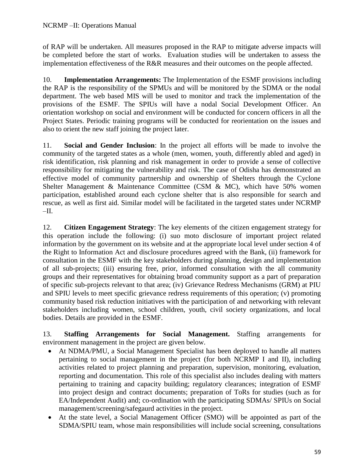of RAP will be undertaken. All measures proposed in the RAP to mitigate adverse impacts will be completed before the start of works. Evaluation studies will be undertaken to assess the implementation effectiveness of the R&R measures and their outcomes on the people affected.

10. **Implementation Arrangements:** The Implementation of the ESMF provisions including the RAP is the responsibility of the SPMUs and will be monitored by the SDMA or the nodal department. The web based MIS will be used to monitor and track the implementation of the provisions of the ESMF. The SPIUs will have a nodal Social Development Officer. An orientation workshop on social and environment will be conducted for concern officers in all the Project States. Periodic training programs will be conducted for reorientation on the issues and also to orient the new staff joining the project later.

11. **Social and Gender Inclusion**: In the project all efforts will be made to involve the community of the targeted states as a whole (men, women, youth, differently abled and aged) in risk identification, risk planning and risk management in order to provide a sense of collective responsibility for mitigating the vulnerability and risk. The case of Odisha has demonstrated an effective model of community partnership and ownership of Shelters through the Cyclone Shelter Management & Maintenance Committee (CSM  $\&$  MC), which have 50% women participation, established around each cyclone shelter that is also responsible for search and rescue, as well as first aid. Similar model will be facilitated in the targeted states under NCRMP  $-II$ .

12. **Citizen Engagement Strategy**: The key elements of the citizen engagement strategy for this operation include the following: (i) suo moto disclosure of important project related information by the government on its website and at the appropriate local level under section 4 of the Right to Information Act and disclosure procedures agreed with the Bank, (ii) framework for consultation in the ESMF with the key stakeholders during planning, design and implementation of all sub-projects; (iii) ensuring free, prior, informed consultation with the all community groups and their representatives for obtaining broad community support as a part of preparation of specific sub-projects relevant to that area; (iv) Grievance Redress Mechanisms (GRM) at PIU and SPIU levels to meet specific grievance redress requirements of this operation; (v) promoting community based risk reduction initiatives with the participation of and networking with relevant stakeholders including women, school children, youth, civil society organizations, and local bodies. Details are provided in the ESMF.

13. **Staffing Arrangements for Social Management.** Staffing arrangements for environment management in the project are given below.

- At NDMA/PMU, a Social Management Specialist has been deployed to handle all matters pertaining to social management in the project (for both NCRMP I and II), including activities related to project planning and preparation, supervision, monitoring, evaluation, reporting and documentation. This role of this specialist also includes dealing with matters pertaining to training and capacity building; regulatory clearances; integration of ESMF into project design and contract documents; preparation of ToRs for studies (such as for EA/Independent Audit) and; co-ordination with the participating SDMAs/ SPIUs on Social management/screening/safegaurd activities in the project.
- At the state level, a Social Management Officer (SMO) will be appointed as part of the SDMA/SPIU team, whose main responsibilities will include social screening, consultations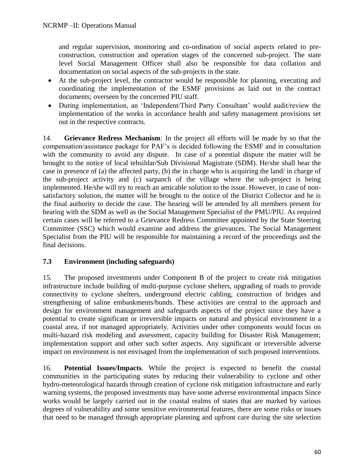and regular supervision, monitoring and co-ordination of social aspects related to preconstruction, construction and operation stages of the concerned sub-project. The state level Social Management Officer shall also be responsible for data collation and documentation on social aspects of the sub-projects in the state.

- At the sub-project level, the contractor would be responsible for planning, executing and coordinating the implementation of the ESMF provisions as laid out in the contract documents; overseen by the concerned PIU staff.
- During implementation, an 'Independent/Third Party Consultant' would audit/review the implementation of the works in accordance health and safety management provisions set out in the respective contracts.

14. **Grievance Redress Mechanism***:* In the project all efforts will be made by so that the compensation/assistance package for PAF's is decided following the ESMF and in consultation with the community to avoid any dispute. In case of a potential dispute the matter will be brought to the notice of local tehsildar/Sub Divisional Magistrate (SDM). He/she shall hear the case in presence of (a) the affected party, (b) the in charge who is acquiring the land/ in charge of the sub-project activity and (c) sarpanch of the village where the sub-project is being implemented. He/she will try to reach an amicable solution to the issue. However, in case of nonsatisfactory solution, the matter will be brought to the notice of the District Collector and he is the final authority to decide the case. The hearing will be attended by all members present for hearing with the SDM as well as the Social Management Specialist of the PMU/PIU. As required certain cases will be referred to a Grievance Redress Committee appointed by the State Steering Committee (SSC) which would examine and address the grievances. The Social Management Specialist from the PIU will be responsible for maintaining a record of the proceedings and the final decisions.

# **7.3 Environment (including safeguards)**

15. The proposed investments under Component B of the project to create risk mitigation infrastructure include building of multi-purpose cyclone shelters, upgrading of roads to provide connectivity to cyclone shelters, underground electric cabling, construction of bridges and strengthening of saline embankments/bunds. These activities are central to the approach and design for environment management and safeguards aspects of the project since they have a potential to create significant or irreversible impacts on natural and physical environment in a coastal area, if not managed appropriately. Activities under other components would focus on multi-hazard risk modeling and assessment, capacity building for Disaster Risk Management; implementation support and other such softer aspects. Any significant or irreversible adverse impact on environment is not envisaged from the implementation of such proposed interventions.

16. **Potential Issues/Impacts***.* While the project is expected to benefit the coastal communities in the participating states by reducing their vulnerability to cyclone and other hydro-meteorological hazards through creation of cyclone risk mitigation infrastructure and early warning systems, the proposed investments may have some adverse environmental impacts Since works would be largely carried out in the coastal realms of states that are marked by various degrees of vulnerability and some sensitive environmental features, there are some risks or issues that need to be managed through appropriate planning and upfront care during the site selection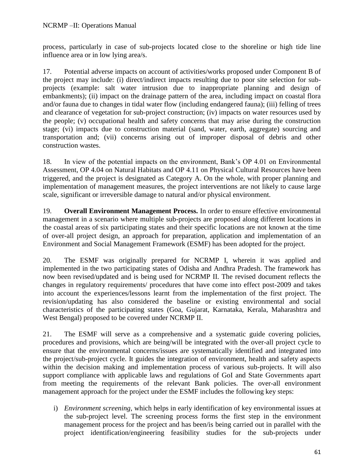process, particularly in case of sub-projects located close to the shoreline or high tide line influence area or in low lying area/s.

17. Potential adverse impacts on account of activities/works proposed under Component B of the project may include: (i) direct/indirect impacts resulting due to poor site selection for subprojects (example: salt water intrusion due to inappropriate planning and design of embankments); (ii) impact on the drainage pattern of the area, including impact on coastal flora and/or fauna due to changes in tidal water flow (including endangered fauna); (iii) felling of trees and clearance of vegetation for sub-project construction; (iv) impacts on water resources used by the people; (v) occupational health and safety concerns that may arise during the construction stage; (vi) impacts due to construction material (sand, water, earth, aggregate) sourcing and transportation and; (vii) concerns arising out of improper disposal of debris and other construction wastes.

18. In view of the potential impacts on the environment, Bank's OP 4.01 on Environmental Assessment, OP 4.04 on Natural Habitats and OP 4.11 on Physical Cultural Resources have been triggered, and the project is designated as Category A. On the whole, with proper planning and implementation of management measures, the project interventions are not likely to cause large scale, significant or irreversible damage to natural and/or physical environment.

19. **Overall Environment Management Process.** In order to ensure effective environmental management in a scenario where multiple sub-projects are proposed along different locations in the coastal areas of six participating states and their specific locations are not known at the time of over-all project design, an approach for preparation, application and implementation of an Environment and Social Management Framework (ESMF) has been adopted for the project.

20. The ESMF was originally prepared for NCRMP I, wherein it was applied and implemented in the two participating states of Odisha and Andhra Pradesh. The framework has now been revised/updated and is being used for NCRMP II. The revised document reflects the changes in regulatory requirements/ procedures that have come into effect post-2009 and takes into account the experiences/lessons learnt from the implementation of the first project. The revision/updating has also considered the baseline or existing environmental and social characteristics of the participating states (Goa, Gujarat, Karnataka, Kerala, Maharashtra and West Bengal) proposed to be covered under NCRMP II.

21. The ESMF will serve as a comprehensive and a systematic guide covering policies, procedures and provisions, which are being/will be integrated with the over-all project cycle to ensure that the environmental concerns/issues are systematically identified and integrated into the project/sub-project cycle. It guides the integration of environment, health and safety aspects within the decision making and implementation process of various sub-projects. It will also support compliance with applicable laws and regulations of GoI and State Governments apart from meeting the requirements of the relevant Bank policies. The over-all environment management approach for the project under the ESMF includes the following key steps:

i) *Environment screening*, which helps in early identification of key environmental issues at the sub-project level. The screening process forms the first step in the environment management process for the project and has been/is being carried out in parallel with the project identification/engineering feasibility studies for the sub-projects under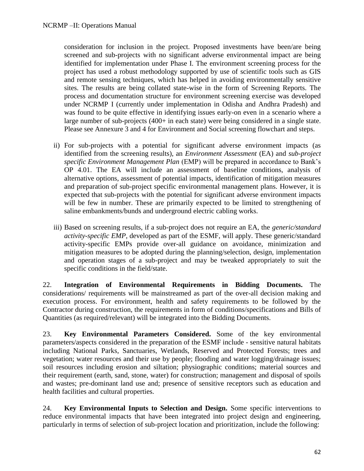consideration for inclusion in the project. Proposed investments have been/are being screened and sub-projects with no significant adverse environmental impact are being identified for implementation under Phase I. The environment screening process for the project has used a robust methodology supported by use of scientific tools such as GIS and remote sensing techniques, which has helped in avoiding environmentally sensitive sites. The results are being collated state-wise in the form of Screening Reports. The process and documentation structure for environment screening exercise was developed under NCRMP I (currently under implementation in Odisha and Andhra Pradesh) and was found to be quite effective in identifying issues early-on even in a scenario where a large number of sub-projects (400+ in each state) were being considered in a single state. Please see Annexure 3 and 4 for Environment and Social screening flowchart and steps.

- ii) For sub-projects with a potential for significant adverse environment impacts (as identified from the screening results), an *Environment Assessment* (EA) and *sub-project specific Environment Management Plan* (EMP) will be prepared in accordance to Bank's OP 4.01. The EA will include an assessment of baseline conditions, analysis of alternative options, assessment of potential impacts, identification of mitigation measures and preparation of sub-project specific environmental management plans. However, it is expected that sub-projects with the potential for significant adverse environment impacts will be few in number. These are primarily expected to be limited to strengthening of saline embankments/bunds and underground electric cabling works.
- iii) Based on screening results, if a sub-project does not require an EA, the *generic/standard activity-specific EMP*, developed as part of the ESMF, will apply. These generic/standard activity-specific EMPs provide over-all guidance on avoidance, minimization and mitigation measures to be adopted during the planning/selection, design, implementation and operation stages of a sub-project and may be tweaked appropriately to suit the specific conditions in the field/state.

22. **Integration of Environmental Requirements in Bidding Documents.** The considerations/ requirements will be mainstreamed as part of the over-all decision making and execution process. For environment, health and safety requirements to be followed by the Contractor during construction, the requirements in form of conditions/specifications and Bills of Quantities (as required/relevant) will be integrated into the Bidding Documents.

23. **Key Environmental Parameters Considered.** Some of the key environmental parameters/aspects considered in the preparation of the ESMF include - sensitive natural habitats including National Parks, Sanctuaries, Wetlands, Reserved and Protected Forests; trees and vegetation; water resources and their use by people; flooding and water logging/drainage issues; soil resources including erosion and siltation; physiographic conditions; material sources and their requirement (earth, sand, stone, water) for construction; management and disposal of spoils and wastes; pre-dominant land use and; presence of sensitive receptors such as education and health facilities and cultural properties.

24. **Key Environmental Inputs to Selection and Design.** Some specific interventions to reduce environmental impacts that have been integrated into project design and engineering, particularly in terms of selection of sub-project location and prioritization, include the following: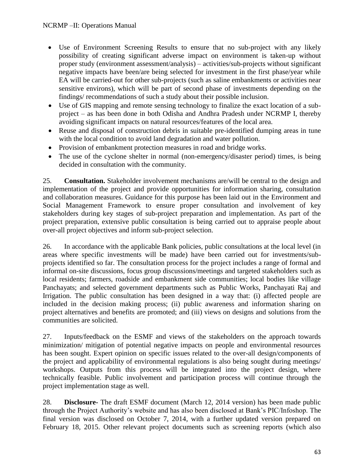- Use of Environment Screening Results to ensure that no sub-project with any likely possibility of creating significant adverse impact on environment is taken-up without proper study (environment assessment/analysis) – activities/sub-projects without significant negative impacts have been/are being selected for investment in the first phase/year while EA will be carried-out for other sub-projects (such as saline embankments or activities near sensitive environs), which will be part of second phase of investments depending on the findings/ recommendations of such a study about their possible inclusion.
- Use of GIS mapping and remote sensing technology to finalize the exact location of a subproject – as has been done in both Odisha and Andhra Pradesh under NCRMP I, thereby avoiding significant impacts on natural resources/features of the local area.
- Reuse and disposal of construction debris in suitable pre-identified dumping areas in tune with the local condition to avoid land degradation and water pollution.
- Provision of embankment protection measures in road and bridge works.
- The use of the cyclone shelter in normal (non-emergency/disaster period) times, is being decided in consultation with the community.

25. **Consultation.** Stakeholder involvement mechanisms are/will be central to the design and implementation of the project and provide opportunities for information sharing, consultation and collaboration measures. Guidance for this purpose has been laid out in the Environment and Social Management Framework to ensure proper consultation and involvement of key stakeholders during key stages of sub-project preparation and implementation. As part of the project preparation, extensive public consultation is being carried out to appraise people about over-all project objectives and inform sub-project selection.

26. In accordance with the applicable Bank policies, public consultations at the local level (in areas where specific investments will be made) have been carried out for investments/subprojects identified so far. The consultation process for the project includes a range of formal and informal on-site discussions, focus group discussions/meetings and targeted stakeholders such as local residents; farmers, roadside and embankment side communities; local bodies like village Panchayats; and selected government departments such as Public Works, Panchayati Raj and Irrigation. The public consultation has been designed in a way that: (i) affected people are included in the decision making process; (ii) public awareness and information sharing on project alternatives and benefits are promoted; and (iii) views on designs and solutions from the communities are solicited.

27. Inputs/feedback on the ESMF and views of the stakeholders on the approach towards minimization/ mitigation of potential negative impacts on people and environmental resources has been sought. Expert opinion on specific issues related to the over-all design/components of the project and applicability of environmental regulations is also being sought during meetings/ workshops. Outputs from this process will be integrated into the project design, where technically feasible. Public involvement and participation process will continue through the project implementation stage as well.

28. **Disclosure-** The draft ESMF document (March 12, 2014 version) has been made public through the Project Authority's website and has also been disclosed at Bank's PIC/Infoshop. The final version was disclosed on October 7, 2014, with a further updated version prepared on February 18, 2015. Other relevant project documents such as screening reports (which also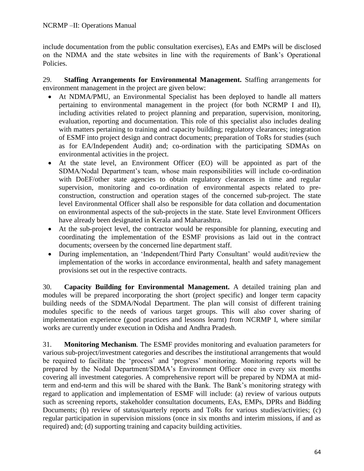include documentation from the public consultation exercises), EAs and EMPs will be disclosed on the NDMA and the state websites in line with the requirements of Bank's Operational Policies.

29. **Staffing Arrangements for Environmental Management.** Staffing arrangements for environment management in the project are given below:

- At NDMA/PMU, an Environmental Specialist has been deployed to handle all matters pertaining to environmental management in the project (for both NCRMP I and II), including activities related to project planning and preparation, supervision, monitoring, evaluation, reporting and documentation. This role of this specialist also includes dealing with matters pertaining to training and capacity building; regulatory clearances; integration of ESMF into project design and contract documents; preparation of ToRs for studies (such as for EA/Independent Audit) and; co-ordination with the participating SDMAs on environmental activities in the project.
- At the state level, an Environment Officer (EO) will be appointed as part of the SDMA/Nodal Department's team, whose main responsibilities will include co-ordination with DoEF/other state agencies to obtain regulatory clearances in time and regular supervision, monitoring and co-ordination of environmental aspects related to preconstruction, construction and operation stages of the concerned sub-project. The state level Environmental Officer shall also be responsible for data collation and documentation on environmental aspects of the sub-projects in the state. State level Environment Officers have already been designated in Kerala and Maharashtra.
- At the sub-project level, the contractor would be responsible for planning, executing and coordinating the implementation of the ESMF provisions as laid out in the contract documents; overseen by the concerned line department staff.
- During implementation, an 'Independent/Third Party Consultant' would audit/review the implementation of the works in accordance environmental, health and safety management provisions set out in the respective contracts.

30. **Capacity Building for Environmental Management.** A detailed training plan and modules will be prepared incorporating the short (project specific) and longer term capacity building needs of the SDMA/Nodal Department. The plan will consist of different training modules specific to the needs of various target groups. This will also cover sharing of implementation experience (good practices and lessons learnt) from NCRMP I, where similar works are currently under execution in Odisha and Andhra Pradesh.

31. **Monitoring Mechanism***.* The ESMF provides monitoring and evaluation parameters for various sub-project/investment categories and describes the institutional arrangements that would be required to facilitate the 'process' and 'progress' monitoring. Monitoring reports will be prepared by the Nodal Department/SDMA's Environment Officer once in every six months covering all investment categories. A comprehensive report will be prepared by NDMA at midterm and end-term and this will be shared with the Bank. The Bank's monitoring strategy with regard to application and implementation of ESMF will include: (a) review of various outputs such as screening reports, stakeholder consultation documents, EAs, EMPs, DPRs and Bidding Documents; (b) review of status/quarterly reports and ToRs for various studies/activities; (c) regular participation in supervision missions (once in six months and interim missions, if and as required) and; (d) supporting training and capacity building activities.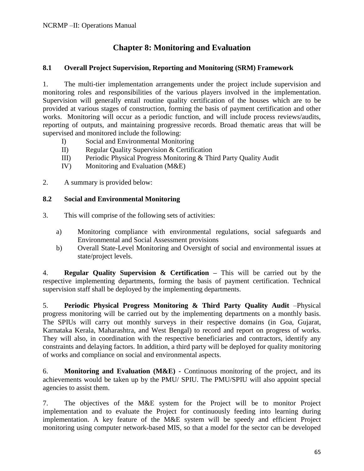# **Chapter 8: Monitoring and Evaluation**

# **8.1 Overall Project Supervision, Reporting and Monitoring (SRM) Framework**

1. The multi-tier implementation arrangements under the project include supervision and monitoring roles and responsibilities of the various players involved in the implementation. Supervision will generally entail routine quality certification of the houses which are to be provided at various stages of construction, forming the basis of payment certification and other works. Monitoring will occur as a periodic function, and will include process reviews/audits, reporting of outputs, and maintaining progressive records. Broad thematic areas that will be supervised and monitored include the following:

- I) Social and Environmental Monitoring
- II) Regular Quality Supervision & Certification
- III) Periodic Physical Progress Monitoring & Third Party Quality Audit
- IV) Monitoring and Evaluation (M&E)
- 2. A summary is provided below:

## **8.2 Social and Environmental Monitoring**

- 3. This will comprise of the following sets of activities:
	- a) Monitoring compliance with environmental regulations, social safeguards and Environmental and Social Assessment provisions
	- b) Overall State-Level Monitoring and Oversight of social and environmental issues at state/project levels.

4. **Regular Quality Supervision & Certification –** This will be carried out by the respective implementing departments, forming the basis of payment certification. Technical supervision staff shall be deployed by the implementing departments.

5. **Periodic Physical Progress Monitoring & Third Party Quality Audit** –Physical progress monitoring will be carried out by the implementing departments on a monthly basis. The SPIUs will carry out monthly surveys in their respective domains (in Goa, Gujarat, Karnataka Kerala, Maharashtra, and West Bengal) to record and report on progress of works. They will also, in coordination with the respective beneficiaries and contractors, identify any constraints and delaying factors. In addition, a third party will be deployed for quality monitoring of works and compliance on social and environmental aspects.

6. **Monitoring and Evaluation (M&E) -** Continuous monitoring of the project, and its achievements would be taken up by the PMU/ SPIU. The PMU/SPIU will also appoint special agencies to assist them.

7. The objectives of the M&E system for the Project will be to monitor Project implementation and to evaluate the Project for continuously feeding into learning during implementation. A key feature of the M&E system will be speedy and efficient Project monitoring using computer network-based MIS, so that a model for the sector can be developed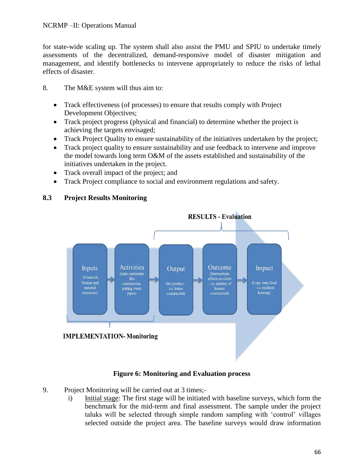#### NCRMP –II: Operations Manual

for state-wide scaling up. The system shall also assist the PMU and SPIU to undertake timely assessments of the decentralized, demand-responsive model of disaster mitigation and management, and identify bottlenecks to intervene appropriately to reduce the risks of lethal effects of disaster.

- 8. The M&E system will thus aim to:
	- Track effectiveness (of processes) to ensure that results comply with Project Development Objectives;
	- Track project progress (physical and financial) to determine whether the project is achieving the targets envisaged;
	- Track Project Quality to ensure sustainability of the initiatives undertaken by the project;
	- Track project quality to ensure sustainability and use feedback to intervene and improve the model towards long term O&M of the assets established and sustainability of the initiatives undertaken in the project.
	- Track overall impact of the project; and
	- Track Project compliance to social and environment regulations and safety.



#### **8.3 Project Results Monitoring**

#### **Figure 6: Monitoring and Evaluation process**

- 9. Project Monitoring will be carried out at 3 times;
	- i) Initial stage: The first stage will be initiated with baseline surveys, which form the benchmark for the mid-term and final assessment. The sample under the project taluks will be selected through simple random sampling with 'control' villages selected outside the project area. The baseline surveys would draw information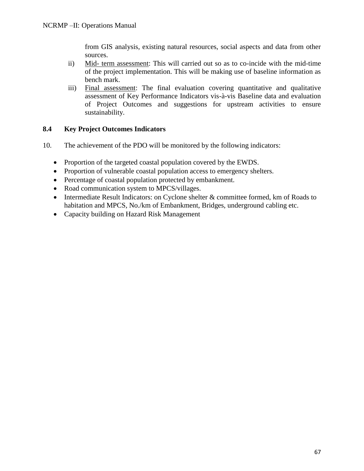from GIS analysis, existing natural resources, social aspects and data from other sources.

- ii) Mid- term assessment: This will carried out so as to co-incide with the mid-time of the project implementation. This will be making use of baseline information as bench mark.
- iii) Final assessment: The final evaluation covering quantitative and qualitative assessment of Key Performance Indicators vis-à-vis Baseline data and evaluation of Project Outcomes and suggestions for upstream activities to ensure sustainability.

## **8.4 Key Project Outcomes Indicators**

- 10. The achievement of the PDO will be monitored by the following indicators:
	- Proportion of the targeted coastal population covered by the EWDS.
	- Proportion of vulnerable coastal population access to emergency shelters.
	- Percentage of coastal population protected by embankment.
	- Road communication system to MPCS/villages.
	- Intermediate Result Indicators: on Cyclone shelter & committee formed, km of Roads to habitation and MPCS, No./km of Embankment, Bridges, underground cabling etc.
	- Capacity building on Hazard Risk Management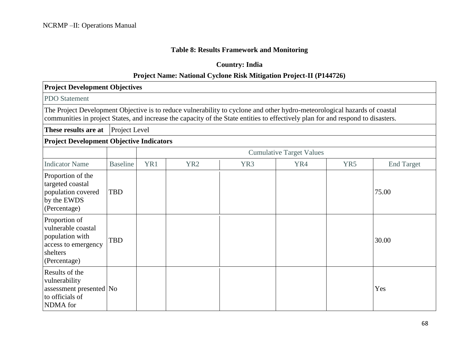#### **Table 8: Results Framework and Monitoring**

#### **Country: India**

#### **Project Name: National Cyclone Risk Mitigation Project-II (P144726)**

#### **Project Development Objectives** PDO Statement The Project Development Objective is to reduce vulnerability to cyclone and other hydro-meteorological hazards of coastal communities in project States, and increase the capacity of the State entities to effectively plan for and respond to disasters. **These results are at Project Level Project Development Objective Indicators** Cumulative Target Values Indicator Name Baseline YR1 YR2 YR3 YR4 YR5 End Target Proportion of the targeted coastal population covered by the EWDS (Percentage) TBD 75.00 Proportion of vulnerable coastal population with access to emergency shelters (Percentage) TBD 30.00 Results of the vulnerability assessment presented to officials of NDMA for No No No Nes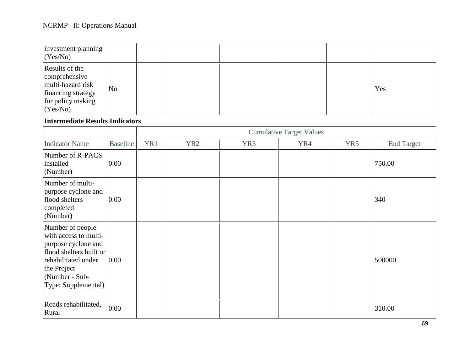| investment planning<br>(Yes/No)                                                                                                                                            |                 |     |                 |     |                                 |     |                   |
|----------------------------------------------------------------------------------------------------------------------------------------------------------------------------|-----------------|-----|-----------------|-----|---------------------------------|-----|-------------------|
| Results of the<br>comprehensive<br>multi-hazard risk<br>financing strategy<br>for policy making<br>(Yes/No)                                                                | N <sub>o</sub>  |     |                 |     |                                 |     | Yes               |
| <b>Intermediate Results Indicators</b>                                                                                                                                     |                 |     |                 |     |                                 |     |                   |
|                                                                                                                                                                            |                 |     |                 |     | <b>Cumulative Target Values</b> |     |                   |
| <b>Indicator Name</b>                                                                                                                                                      | <b>Baseline</b> | YR1 | YR <sub>2</sub> | YR3 | YR4                             | YR5 | <b>End Target</b> |
| Number of R-PACS<br>installed<br>(Number)                                                                                                                                  | 0.00            |     |                 |     |                                 |     | 750.00            |
| Number of multi-<br>purpose cyclone and<br>flood shelters<br>completed<br>(Number)                                                                                         | 0.00            |     |                 |     |                                 |     | 340               |
| Number of people<br>with access to multi-<br>purpose cyclone and<br>flood shelters built or<br>rehabilitated under<br>the Project<br>(Number - Sub-<br>Type: Supplemental) | 0.00            |     |                 |     |                                 |     | 500000            |
| Roads rehabilitated,<br>Rural                                                                                                                                              | 0.00            |     |                 |     |                                 |     | 310.00            |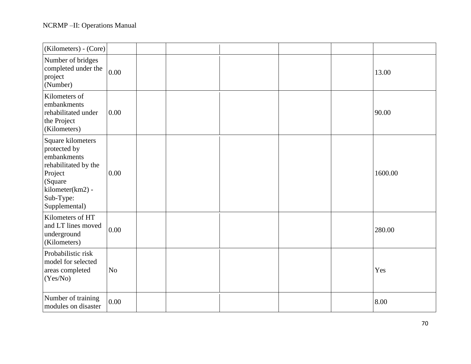#### NCRMP –II: Operations Manual

| (Kilometers) - (Core)                                                                                                                            |                |  |  |         |
|--------------------------------------------------------------------------------------------------------------------------------------------------|----------------|--|--|---------|
| Number of bridges<br>completed under the<br>project<br>(Number)                                                                                  | 0.00           |  |  | 13.00   |
| Kilometers of<br>embankments<br>rehabilitated under<br>the Project<br>(Kilometers)                                                               | 0.00           |  |  | 90.00   |
| Square kilometers<br>protected by<br>embankments<br>rehabilitated by the<br>Project<br>(Square<br>kilometer(km2) -<br>Sub-Type:<br>Supplemental) | 0.00           |  |  | 1600.00 |
| Kilometers of HT<br>and LT lines moved<br>underground<br>(Kilometers)                                                                            | 0.00           |  |  | 280.00  |
| Probabilistic risk<br>model for selected<br>areas completed<br>(Yes/No)                                                                          | N <sub>o</sub> |  |  | Yes     |
| Number of training<br>modules on disaster                                                                                                        | 0.00           |  |  | 8.00    |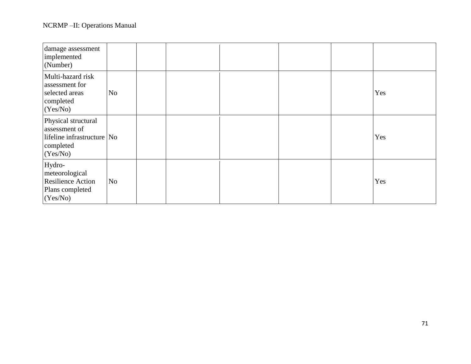#### NCRMP –II: Operations Manual

| damage assessment<br>implemented<br>(Number)                                                |                |  |  |     |
|---------------------------------------------------------------------------------------------|----------------|--|--|-----|
| Multi-hazard risk<br>assessment for<br>selected areas<br>completed<br>(Yes/No)              | N <sub>o</sub> |  |  | Yes |
| Physical structural<br>assessment of<br>lifeline infrastructure No<br>completed<br>(Yes/No) |                |  |  | Yes |
| Hydro-<br>meteorological<br><b>Resilience Action</b><br>Plans completed<br>(Yes/No)         | <b>No</b>      |  |  | Yes |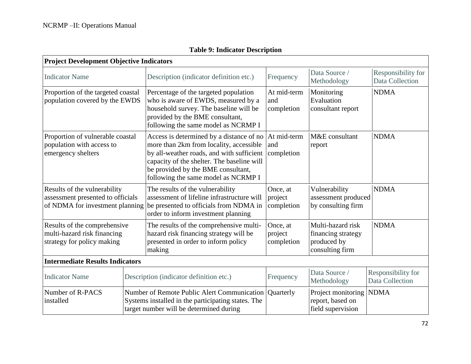| <b>Project Development Objective Indicators</b>                                                                                                                               |                                         |                                                                                                                                                                                                                                                             |                                                             |                                                                           |                                              |  |  |  |  |
|-------------------------------------------------------------------------------------------------------------------------------------------------------------------------------|-----------------------------------------|-------------------------------------------------------------------------------------------------------------------------------------------------------------------------------------------------------------------------------------------------------------|-------------------------------------------------------------|---------------------------------------------------------------------------|----------------------------------------------|--|--|--|--|
| <b>Indicator Name</b>                                                                                                                                                         |                                         | Description (indicator definition etc.)                                                                                                                                                                                                                     | Frequency                                                   | Data Source /<br>Methodology                                              | Responsibility for<br><b>Data Collection</b> |  |  |  |  |
| Proportion of the targeted coastal<br>population covered by the EWDS                                                                                                          |                                         | Percentage of the targeted population<br>who is aware of EWDS, measured by a<br>household survey. The baseline will be<br>provided by the BME consultant,<br>following the same model as NCRMP I                                                            | At mid-term<br>and<br>completion                            | Monitoring<br>Evaluation<br>consultant report                             | <b>NDMA</b>                                  |  |  |  |  |
| Proportion of vulnerable coastal<br>population with access to<br>emergency shelters                                                                                           |                                         | Access is determined by a distance of no<br>more than 2km from locality, accessible<br>by all-weather roads, and with sufficient<br>capacity of the shelter. The baseline will<br>be provided by the BME consultant,<br>following the same model as NCRMP I | At mid-term<br>and<br>completion                            | M&E consultant<br>report                                                  | <b>NDMA</b>                                  |  |  |  |  |
| Results of the vulnerability<br>assessment presented to officials<br>of NDMA for investment planning                                                                          |                                         | The results of the vulnerability<br>assessment of lifeline infrastructure will<br>be presented to officials from NDMA in<br>order to inform investment planning                                                                                             | Once, at<br>project<br>completion                           | Vulnerability<br>assessment produced<br>by consulting firm                | <b>NDMA</b>                                  |  |  |  |  |
| Results of the comprehensive<br>multi-hazard risk financing<br>strategy for policy making                                                                                     |                                         | The results of the comprehensive multi-<br>hazard risk financing strategy will be<br>presented in order to inform policy<br>making                                                                                                                          | Once, at<br>project<br>completion                           | Multi-hazard risk<br>financing strategy<br>produced by<br>consulting firm | <b>NDMA</b>                                  |  |  |  |  |
| <b>Intermediate Results Indicators</b>                                                                                                                                        |                                         |                                                                                                                                                                                                                                                             |                                                             |                                                                           |                                              |  |  |  |  |
| <b>Indicator Name</b>                                                                                                                                                         | Description (indicator definition etc.) |                                                                                                                                                                                                                                                             | Frequency                                                   | Data Source /<br>Methodology                                              | Responsibility for<br>Data Collection        |  |  |  |  |
| Number of R-PACS<br>Number of Remote Public Alert Communication<br>installed<br>Systems installed in the participating states. The<br>target number will be determined during |                                         | Quarterly                                                                                                                                                                                                                                                   | Project monitoring<br>report, based on<br>field supervision | <b>NDMA</b>                                                               |                                              |  |  |  |  |

# **Table 9: Indicator Description**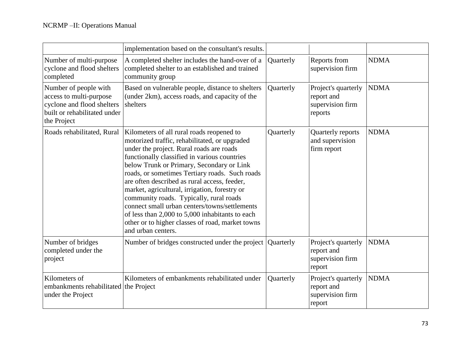|                                                                                                                               | implementation based on the consultant's results.                                                                                                                                                                                                                                                                                                                                                                                                                                                                                                                                                               |           |                                                                  |             |
|-------------------------------------------------------------------------------------------------------------------------------|-----------------------------------------------------------------------------------------------------------------------------------------------------------------------------------------------------------------------------------------------------------------------------------------------------------------------------------------------------------------------------------------------------------------------------------------------------------------------------------------------------------------------------------------------------------------------------------------------------------------|-----------|------------------------------------------------------------------|-------------|
| Number of multi-purpose<br>cyclone and flood shelters<br>completed                                                            | A completed shelter includes the hand-over of a<br>completed shelter to an established and trained<br>community group                                                                                                                                                                                                                                                                                                                                                                                                                                                                                           | Quarterly | Reports from<br>supervision firm                                 | <b>NDMA</b> |
| Number of people with<br>access to multi-purpose<br>cyclone and flood shelters<br>built or rehabilitated under<br>the Project | Based on vulnerable people, distance to shelters<br>(under 2km), access roads, and capacity of the<br>shelters                                                                                                                                                                                                                                                                                                                                                                                                                                                                                                  | Quarterly | Project's quarterly<br>report and<br>supervision firm<br>reports | <b>NDMA</b> |
| Roads rehabilitated, Rural                                                                                                    | Kilometers of all rural roads reopened to<br>motorized traffic, rehabilitated, or upgraded<br>under the project. Rural roads are roads<br>functionally classified in various countries<br>below Trunk or Primary, Secondary or Link<br>roads, or sometimes Tertiary roads. Such roads<br>are often described as rural access, feeder,<br>market, agricultural, irrigation, forestry or<br>community roads. Typically, rural roads<br>connect small urban centers/towns/settlements<br>of less than 2,000 to 5,000 inhabitants to each<br>other or to higher classes of road, market towns<br>and urban centers. | Quarterly | Quarterly reports<br>and supervision<br>firm report              | <b>NDMA</b> |
| Number of bridges<br>completed under the<br>project                                                                           | Number of bridges constructed under the project Quarterly                                                                                                                                                                                                                                                                                                                                                                                                                                                                                                                                                       |           | Project's quarterly<br>report and<br>supervision firm<br>report  | <b>NDMA</b> |
| Kilometers of<br>embankments rehabilitated the Project<br>under the Project                                                   | Kilometers of embankments rehabilitated under                                                                                                                                                                                                                                                                                                                                                                                                                                                                                                                                                                   | Quarterly | Project's quarterly<br>report and<br>supervision firm<br>report  | <b>NDMA</b> |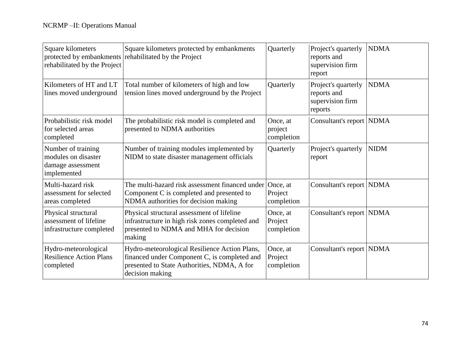| Square kilometers<br>rehabilitated by the Project                             | Square kilometers protected by embankments<br>protected by embankments rehabilitated by the Project                                                             | Quarterly                         | Project's quarterly<br>reports and<br>supervision firm<br>report  | <b>NDMA</b> |
|-------------------------------------------------------------------------------|-----------------------------------------------------------------------------------------------------------------------------------------------------------------|-----------------------------------|-------------------------------------------------------------------|-------------|
| Kilometers of HT and LT<br>lines moved underground                            | Total number of kilometers of high and low<br>tension lines moved underground by the Project                                                                    | Quarterly                         | Project's quarterly<br>reports and<br>supervision firm<br>reports | <b>NDMA</b> |
| Probabilistic risk model<br>for selected areas<br>completed                   | The probabilistic risk model is completed and<br>presented to NDMA authorities                                                                                  | Once, at<br>project<br>completion | Consultant's report NDMA                                          |             |
| Number of training<br>modules on disaster<br>damage assessment<br>implemented | Number of training modules implemented by<br>NIDM to state disaster management officials                                                                        | Quarterly                         | Project's quarterly<br>report                                     | <b>NIDM</b> |
| Multi-hazard risk<br>assessment for selected<br>areas completed               | The multi-hazard risk assessment financed under<br>Component C is completed and presented to<br>NDMA authorities for decision making                            | Once, at<br>Project<br>completion | Consultant's report NDMA                                          |             |
| Physical structural<br>assessment of lifeline<br>infrastructure completed     | Physical structural assessment of lifeline<br>infrastructure in high risk zones completed and<br>presented to NDMA and MHA for decision<br>making               | Once, at<br>Project<br>completion | Consultant's report NDMA                                          |             |
| Hydro-meteorological<br><b>Resilience Action Plans</b><br>completed           | Hydro-meteorological Resilience Action Plans,<br>financed under Component C, is completed and<br>presented to State Authorities, NDMA, A for<br>decision making | Once, at<br>Project<br>completion | Consultant's report NDMA                                          |             |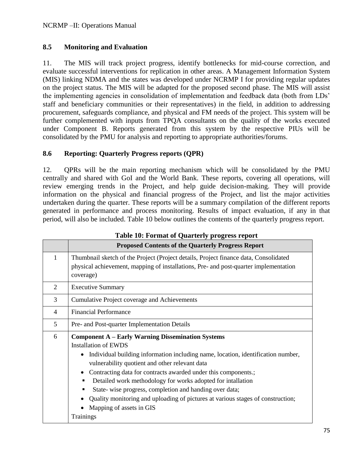# **8.5 Monitoring and Evaluation**

11. The MIS will track project progress, identify bottlenecks for mid-course correction, and evaluate successful interventions for replication in other areas. A Management Information System (MIS) linking NDMA and the states was developed under NCRMP I for providing regular updates on the project status. The MIS will be adapted for the proposed second phase. The MIS will assist the implementing agencies in consolidation of implementation and feedback data (both from LDs' staff and beneficiary communities or their representatives) in the field, in addition to addressing procurement, safeguards compliance, and physical and FM needs of the project. This system will be further complemented with inputs from TPQA consultants on the quality of the works executed under Component B. Reports generated from this system by the respective PIUs will be consolidated by the PMU for analysis and reporting to appropriate authorities/forums.

# **8.6 Reporting: Quarterly Progress reports (QPR)**

12. QPRs will be the main reporting mechanism which will be consolidated by the PMU centrally and shared with GoI and the World Bank. These reports, covering all operations, will review emerging trends in the Project, and help guide decision-making. They will provide information on the physical and financial progress of the Project, and list the major activities undertaken during the quarter. These reports will be a summary compilation of the different reports generated in performance and process monitoring. Results of impact evaluation, if any in that period, will also be included. Table 10 below outlines the contents of the quarterly progress report.

|   | <b>Proposed Contents of the Quarterly Progress Report</b>                                                                                                                                                                                                                                                                                                                                                                                                                                                                                                                           |
|---|-------------------------------------------------------------------------------------------------------------------------------------------------------------------------------------------------------------------------------------------------------------------------------------------------------------------------------------------------------------------------------------------------------------------------------------------------------------------------------------------------------------------------------------------------------------------------------------|
| 1 | Thumbnail sketch of the Project (Project details, Project finance data, Consolidated<br>physical achievement, mapping of installations, Pre- and post-quarter implementation<br>coverage)                                                                                                                                                                                                                                                                                                                                                                                           |
| 2 | <b>Executive Summary</b>                                                                                                                                                                                                                                                                                                                                                                                                                                                                                                                                                            |
| 3 | Cumulative Project coverage and Achievements                                                                                                                                                                                                                                                                                                                                                                                                                                                                                                                                        |
| 4 | <b>Financial Performance</b>                                                                                                                                                                                                                                                                                                                                                                                                                                                                                                                                                        |
| 5 | Pre- and Post-quarter Implementation Details                                                                                                                                                                                                                                                                                                                                                                                                                                                                                                                                        |
| 6 | <b>Component A – Early Warning Dissemination Systems</b><br><b>Installation of EWDS</b><br>Individual building information including name, location, identification number,<br>$\bullet$<br>vulnerability quotient and other relevant data<br>Contracting data for contracts awarded under this components.;<br>$\bullet$<br>Detailed work methodology for works adopted for intallation<br>٠<br>State-wise progress, completion and handing over data;<br>Quality monitoring and uploading of pictures at various stages of construction;<br>Mapping of assets in GIS<br>Trainings |

**Table 10: Format of Quarterly progress report**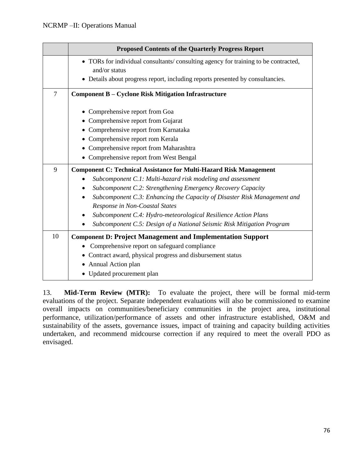#### NCRMP –II: Operations Manual

|                | <b>Proposed Contents of the Quarterly Progress Report</b>                                                                                                                                                                                                                                                                                                                                                                                                                      |
|----------------|--------------------------------------------------------------------------------------------------------------------------------------------------------------------------------------------------------------------------------------------------------------------------------------------------------------------------------------------------------------------------------------------------------------------------------------------------------------------------------|
|                | • TORs for individual consultants/consulting agency for training to be contracted,<br>and/or status                                                                                                                                                                                                                                                                                                                                                                            |
|                | • Details about progress report, including reports presented by consultancies.                                                                                                                                                                                                                                                                                                                                                                                                 |
| $\overline{7}$ | <b>Component B – Cyclone Risk Mitigation Infrastructure</b>                                                                                                                                                                                                                                                                                                                                                                                                                    |
|                | • Comprehensive report from Goa<br>• Comprehensive report from Gujarat<br>• Comprehensive report from Karnataka<br>• Comprehensive report rom Kerala<br>• Comprehensive report from Maharashtra                                                                                                                                                                                                                                                                                |
|                | • Comprehensive report from West Bengal                                                                                                                                                                                                                                                                                                                                                                                                                                        |
| 9              | <b>Component C: Technical Assistance for Multi-Hazard Risk Management</b><br>Subcomponent C.1: Multi-hazard risk modeling and assessment<br>Subcomponent C.2: Strengthening Emergency Recovery Capacity<br>Subcomponent C.3: Enhancing the Capacity of Disaster Risk Management and<br>$\bullet$<br>Response in Non-Coastal States<br>Subcomponent C.4: Hydro-meteorological Resilience Action Plans<br>Subcomponent C.5: Design of a National Seismic Risk Mitigation Program |
| 10             | <b>Component D: Project Management and Implementation Support</b><br>Comprehensive report on safeguard compliance<br>• Contract award, physical progress and disbursement status<br>• Annual Action plan<br>• Updated procurement plan                                                                                                                                                                                                                                         |

13. **Mid-Term Review (MTR):** To evaluate the project, there will be formal mid-term evaluations of the project. Separate independent evaluations will also be commissioned to examine overall impacts on communities/beneficiary communities in the project area, institutional performance, utilization/performance of assets and other infrastructure established, O&M and sustainability of the assets, governance issues, impact of training and capacity building activities undertaken, and recommend midcourse correction if any required to meet the overall PDO as envisaged.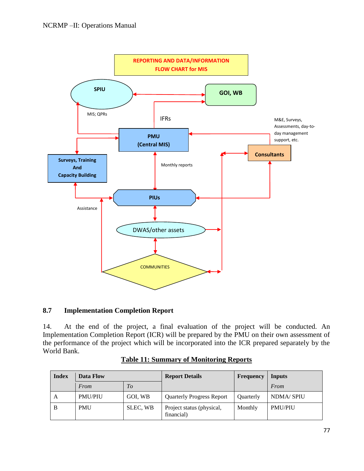

### **8.7 Implementation Completion Report**

14. At the end of the project, a final evaluation of the project will be conducted. An Implementation Completion Report (ICR) will be prepared by the PMU on their own assessment of the performance of the project which will be incorporated into the ICR prepared separately by the World Bank.

| Index | Data Flow      |          | <b>Report Details</b>                   | Frequency | Inputs           |
|-------|----------------|----------|-----------------------------------------|-----------|------------------|
|       | From           | To       |                                         |           | From             |
| A     | <b>PMU/PIU</b> | GOI, WB  | <b>Quarterly Progress Report</b>        | Quarterly | <b>NDMA/SPIU</b> |
| B     | <b>PMU</b>     | SLEC, WB | Project status (physical,<br>financial) | Monthly   | <b>PMU/PIU</b>   |

### **Table 11: Summary of Monitoring Reports**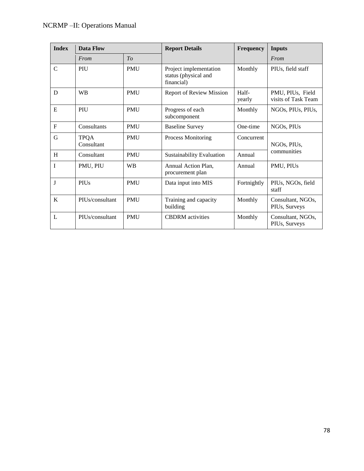| <b>Index</b>  | <b>Data Flow</b>             |            | <b>Report Details</b>                                        | <b>Frequency</b> | <b>Inputs</b>                           |
|---------------|------------------------------|------------|--------------------------------------------------------------|------------------|-----------------------------------------|
|               | From                         | To         |                                                              |                  | From                                    |
| $\mathcal{C}$ | PIU                          | <b>PMU</b> | Project implementation<br>status (physical and<br>financial) | Monthly          | PIUs, field staff                       |
| D             | <b>WB</b>                    | <b>PMU</b> | Report of Review Mission                                     | Half-<br>yearly  | PMU, PIUs, Field<br>visits of Task Team |
| E             | PIU                          | <b>PMU</b> | Progress of each<br>subcomponent                             | Monthly          | NGOs, PIUs, PIUs,                       |
| $\mathbf{F}$  | Consultants                  | <b>PMU</b> | <b>Baseline Survey</b>                                       | One-time         | NGOs, PIUs                              |
| G             | <b>TPQA</b><br>Consultant    | <b>PMU</b> | Process Monitoring                                           | Concurrent       | NGOs, PIUs,                             |
| H             | Consultant                   | <b>PMU</b> | <b>Sustainability Evaluation</b>                             | Annual           | communities                             |
| I             | PMU, PIU                     | <b>WB</b>  | Annual Action Plan,<br>procurement plan                      | Annual           | PMU, PIUs                               |
| J             | <b>PIUs</b>                  | <b>PMU</b> | Data input into MIS                                          | Fortnightly      | PIUs, NGOs, field<br>staff              |
| K             | PIU <sub>s</sub> /consultant | <b>PMU</b> | Training and capacity<br>building                            | Monthly          | Consultant, NGOs,<br>PIUs, Surveys      |
| L             | PIU <sub>s</sub> /consultant | <b>PMU</b> | <b>CBDRM</b> activities                                      | Monthly          | Consultant, NGOs,<br>PIUs, Surveys      |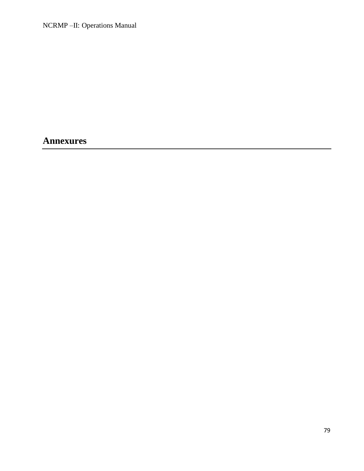NCRMP –II: Operations Manual

**Annexures**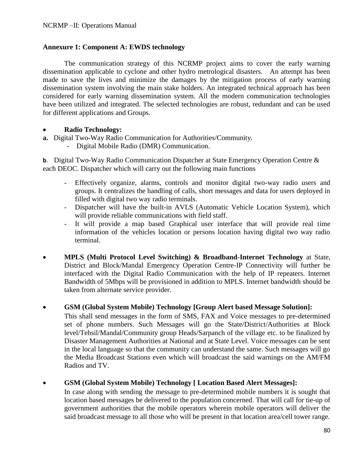### **Annexure 1: Component A: EWDS technology**

The communication strategy of this NCRMP project aims to cover the early warning dissemination applicable to cyclone and other hydro metrological disasters. An attempt has been made to save the lives and minimize the damages by the mitigation process of early warning dissemination system involving the main stake holders. An integrated technical approach has been considered for early warning dissemination system. All the modern communication technologies have been utilized and integrated. The selected technologies are robust, redundant and can be used for different applications and Groups.

### **Radio Technology:**

**a.** Digital Two-Way Radio Communication for Authorities/Community.

- Digital Mobile Radio (DMR) Communication.

**b**. Digital Two-Way Radio Communication Dispatcher at State Emergency Operation Centre & each DEOC. Dispatcher which will carry out the following main functions

- Effectively organize, alarms, controls and monitor digital two-way radio users and groups. It centralizes the handling of calls, short messages and data for users deployed in filled with digital two way radio terminals.
- Dispatcher will have the built-in AVLS (Automatic Vehicle Location System), which will provide reliable communications with field staff.
- It will provide a map based Graphical user interface that will provide real time information of the vehicles location or persons location having digital two way radio terminal.
- **MPLS (Multi Protocol Level Switching) & Broadband-Internet Technology** at State, District and Block/Mandal Emergency Operation Centre-IP Connectivity will further be interfaced with the Digital Radio Communication with the help of IP repeaters. Internet Bandwidth of 5Mbps will be provisioned in addition to MPLS. Internet bandwidth should be taken from alternate service provider.

# **GSM (Global System Mobile) Technology [Group Alert based Message Solution]:**

This shall send messages in the form of SMS, FAX and Voice messages to pre-determined set of phone numbers. Such Messages will go the State/District/Authorities at Block level/Tehsil/Mandal/Community group Heads/Sarpanch of the village etc. to be finalized by Disaster Management Authorities at National and at State Level. Voice messages can be sent in the local language so that the community can understand the same. Such messages will go the Media Broadcast Stations even which will broadcast the said warnings on the AM/FM Radios and TV.

# **GSM (Global System Mobile) Technology [ Location Based Alert Messages]:**

In case along with sending the message to pre-determined mobile numbers it is sought that location based messages be delivered to the population concerned. That will call for tie-up of government authorities that the mobile operators wherein mobile operators will deliver the said broadcast message to all those who will be present in that location area/cell tower range.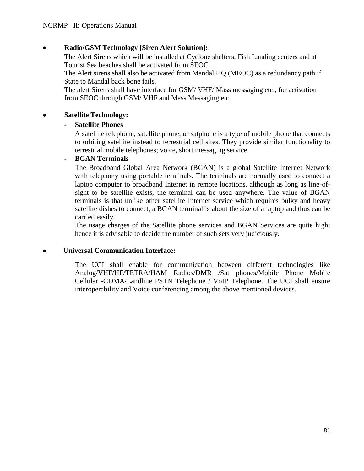# **Radio/GSM Technology [Siren Alert Solution]:**

The Alert Sirens which will be installed at Cyclone shelters, Fish Landing centers and at Tourist Sea beaches shall be activated from SEOC.

The Alert sirens shall also be activated from Mandal HQ (MEOC) as a redundancy path if State to Mandal back bone fails.

The alert Sirens shall have interface for GSM/ VHF/ Mass messaging etc., for activation from SEOC through GSM/ VHF and Mass Messaging etc.

# **Satellite Technology:**

### - **Satellite Phones**

A satellite telephone, satellite phone, or satphone is a type of mobile phone that connects to orbiting satellite instead to terrestrial cell sites. They provide similar functionality to terrestrial mobile telephones; voice, short messaging service.

### - **BGAN Terminals**

The Broadband Global Area Network (BGAN) is a global Satellite Internet Network with telephony using portable terminals. The terminals are normally used to connect a laptop computer to broadband Internet in remote locations, although as long as line-ofsight to be satellite exists, the terminal can be used anywhere. The value of BGAN terminals is that unlike other satellite Internet service which requires bulky and heavy satellite dishes to connect, a BGAN terminal is about the size of a laptop and thus can be carried easily.

The usage charges of the Satellite phone services and BGAN Services are quite high; hence it is advisable to decide the number of such sets very judiciously.

### **Universal Communication Interface:**

The UCI shall enable for communication between different technologies like Analog/VHF/HF/TETRA/HAM Radios/DMR /Sat phones/Mobile Phone Mobile Cellular -CDMA/Landline PSTN Telephone / VoIP Telephone. The UCI shall ensure interoperability and Voice conferencing among the above mentioned devices.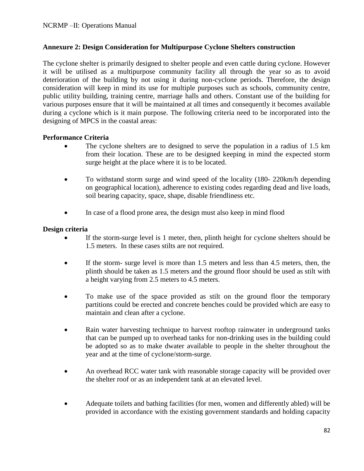### **Annexure 2: Design Consideration for Multipurpose Cyclone Shelters construction**

The cyclone shelter is primarily designed to shelter people and even cattle during cyclone. However it will be utilised as a multipurpose community facility all through the year so as to avoid deterioration of the building by not using it during non-cyclone periods. Therefore, the design consideration will keep in mind its use for multiple purposes such as schools, community centre, public utility building, training centre, marriage halls and others. Constant use of the building for various purposes ensure that it will be maintained at all times and consequently it becomes available during a cyclone which is it main purpose. The following criteria need to be incorporated into the designing of MPCS in the coastal areas:

### **Performance Criteria**

- The cyclone shelters are to designed to serve the population in a radius of 1.5 km from their location. These are to be designed keeping in mind the expected storm surge height at the place where it is to be located.
- To withstand storm surge and wind speed of the locality (180- 220km/h depending on geographical location), adherence to existing codes regarding dead and live loads, soil bearing capacity, space, shape, disable friendliness etc.
- In case of a flood prone area, the design must also keep in mind flood

### **Design criteria**

- If the storm-surge level is 1 meter, then, plinth height for cyclone shelters should be 1.5 meters. In these cases stilts are not required.
- If the storm- surge level is more than 1.5 meters and less than 4.5 meters, then, the plinth should be taken as 1.5 meters and the ground floor should be used as stilt with a height varying from 2.5 meters to 4.5 meters.
- To make use of the space provided as stilt on the ground floor the temporary partitions could be erected and concrete benches could be provided which are easy to maintain and clean after a cyclone.
- Rain water harvesting technique to harvest rooftop rainwater in underground tanks that can be pumped up to overhead tanks for non-drinking uses in the building could be adopted so as to make dwater available to people in the shelter throughout the year and at the time of cyclone/storm-surge.
- An overhead RCC water tank with reasonable storage capacity will be provided over the shelter roof or as an independent tank at an elevated level.
- Adequate toilets and bathing facilities (for men, women and differently abled) will be provided in accordance with the existing government standards and holding capacity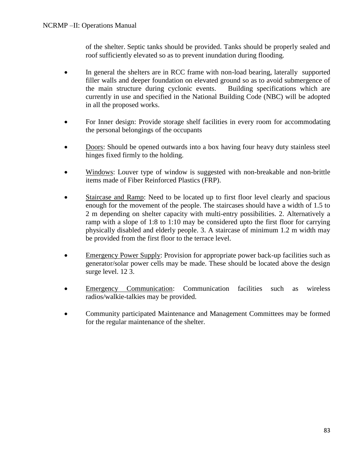of the shelter. Septic tanks should be provided. Tanks should be properly sealed and roof sufficiently elevated so as to prevent inundation during flooding.

- In general the shelters are in RCC frame with non-load bearing, laterally supported filler walls and deeper foundation on elevated ground so as to avoid submergence of the main structure during cyclonic events. Building specifications which are currently in use and specified in the National Building Code (NBC) will be adopted in all the proposed works.
- For Inner design: Provide storage shelf facilities in every room for accommodating the personal belongings of the occupants
- Doors: Should be opened outwards into a box having four heavy duty stainless steel hinges fixed firmly to the holding.
- Windows: Louver type of window is suggested with non-breakable and non-brittle items made of Fiber Reinforced Plastics (FRP).
- Staircase and Ramp: Need to be located up to first floor level clearly and spacious enough for the movement of the people. The staircases should have a width of 1.5 to 2 m depending on shelter capacity with multi-entry possibilities. 2. Alternatively a ramp with a slope of 1:8 to 1:10 may be considered upto the first floor for carrying physically disabled and elderly people. 3. A staircase of minimum 1.2 m width may be provided from the first floor to the terrace level.
- Emergency Power Supply: Provision for appropriate power back-up facilities such as generator/solar power cells may be made. These should be located above the design surge level. 12 3.
- Emergency Communication: Communication facilities such as wireless radios/walkie-talkies may be provided.
- Community participated Maintenance and Management Committees may be formed for the regular maintenance of the shelter.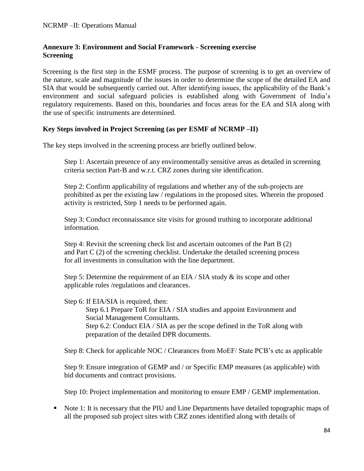# **Annexure 3: Environment and Social Framework - Screening exercise Screening**

Screening is the first step in the ESMF process. The purpose of screening is to get an overview of the nature, scale and magnitude of the issues in order to determine the scope of the detailed EA and SIA that would be subsequently carried out. After identifying issues, the applicability of the Bank's environment and social safeguard policies is established along with Government of India's regulatory requirements. Based on this, boundaries and focus areas for the EA and SIA along with the use of specific instruments are determined.

### **Key Steps involved in Project Screening (as per ESMF of NCRMP –II)**

The key steps involved in the screening process are briefly outlined below.

Step 1: Ascertain presence of any environmentally sensitive areas as detailed in screening criteria section Part-B and w.r.t. CRZ zones during site identification.

Step 2: Confirm applicability of regulations and whether any of the sub-projects are prohibited as per the existing law / regulations in the proposed sites. Wherein the proposed activity is restricted, Step 1 needs to be performed again.

Step 3: Conduct reconnaissance site visits for ground truthing to incorporate additional information.

Step 4: Revisit the screening check list and ascertain outcomes of the Part B (2) and Part C (2) of the screening checklist. Undertake the detailed screening process for all investments in consultation with the line department.

Step 5: Determine the requirement of an EIA / SIA study & its scope and other applicable rules /regulations and clearances.

Step 6: If EIA/SIA is required, then:

Step 6.1 Prepare ToR for EIA / SIA studies and appoint Environment and Social Management Consultants. Step 6.2: Conduct EIA / SIA as per the scope defined in the ToR along with preparation of the detailed DPR documents.

Step 8: Check for applicable NOC / Clearances from MoEF/ State PCB's etc as applicable

Step 9: Ensure integration of GEMP and / or Specific EMP measures (as applicable) with bid documents and contract provisions.

Step 10: Project implementation and monitoring to ensure EMP / GEMP implementation.

 Note 1: It is necessary that the PIU and Line Departments have detailed topographic maps of all the proposed sub project sites with CRZ zones identified along with details of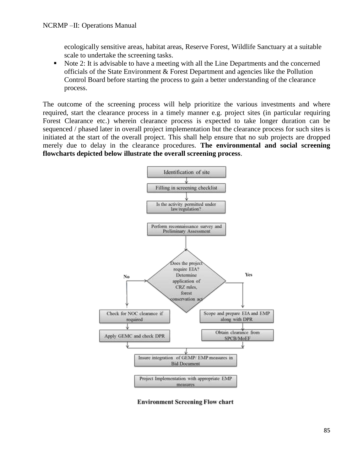ecologically sensitive areas, habitat areas, Reserve Forest, Wildlife Sanctuary at a suitable scale to undertake the screening tasks.

• Note 2: It is advisable to have a meeting with all the Line Departments and the concerned officials of the State Environment  $\&$  Forest Department and agencies like the Pollution Control Board before starting the process to gain a better understanding of the clearance process.

The outcome of the screening process will help prioritize the various investments and where required, start the clearance process in a timely manner e.g. project sites (in particular requiring Forest Clearance etc.) wherein clearance process is expected to take longer duration can be sequenced / phased later in overall project implementation but the clearance process for such sites is initiated at the start of the overall project. This shall help ensure that no sub projects are dropped merely due to delay in the clearance procedures. **The environmental and social screening flowcharts depicted below illustrate the overall screening process**.



**Environment Screening Flow chart**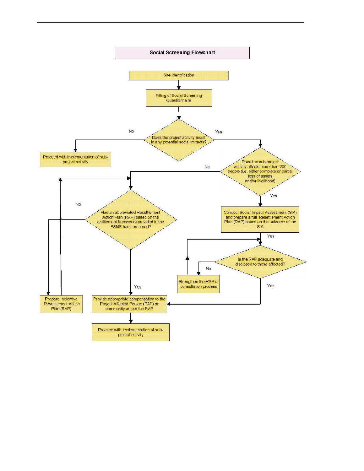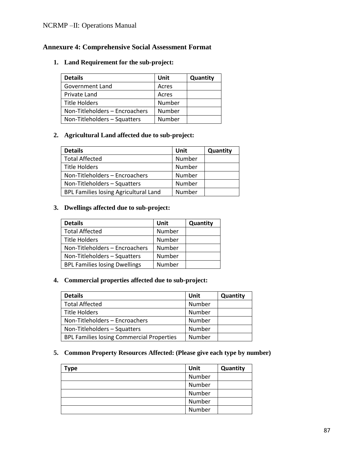#### NCRMP –II: Operations Manual

# **Annexure 4: Comprehensive Social Assessment Format**

**1. Land Requirement for the sub-project:**

| <b>Details</b>                 | Unit   | Quantity |
|--------------------------------|--------|----------|
| Government Land                | Acres  |          |
| Private Land                   | Acres  |          |
| <b>Title Holders</b>           | Number |          |
| Non-Titleholders - Encroachers | Number |          |
| Non-Titleholders - Squatters   | Number |          |

# **2. Agricultural Land affected due to sub-project:**

| <b>Details</b>                               | Unit   | Quantity |
|----------------------------------------------|--------|----------|
| <b>Total Affected</b>                        | Number |          |
| <b>Title Holders</b>                         | Number |          |
| Non-Titleholders - Encroachers               | Number |          |
| Non-Titleholders - Squatters                 | Number |          |
| <b>BPL Families losing Agricultural Land</b> | Number |          |

### **3. Dwellings affected due to sub-project:**

| <b>Details</b>                       | Unit   | Quantity |
|--------------------------------------|--------|----------|
| <b>Total Affected</b>                | Number |          |
| <b>Title Holders</b>                 | Number |          |
| Non-Titleholders – Encroachers       | Number |          |
| Non-Titleholders - Squatters         | Number |          |
| <b>BPL Families losing Dwellings</b> | Number |          |

### **4. Commercial properties affected due to sub-project:**

| <b>Details</b>                                   | Unit   | Quantity |
|--------------------------------------------------|--------|----------|
| <b>Total Affected</b>                            | Number |          |
| Title Holders                                    | Number |          |
| Non-Titleholders - Encroachers                   | Number |          |
| Non-Titleholders - Squatters                     | Number |          |
| <b>BPL Families losing Commercial Properties</b> | Number |          |

### **5. Common Property Resources Affected: (Please give each type by number)**

| Type | Unit   | Quantity |
|------|--------|----------|
|      | Number |          |
|      | Number |          |
|      | Number |          |
|      | Number |          |
|      | Number |          |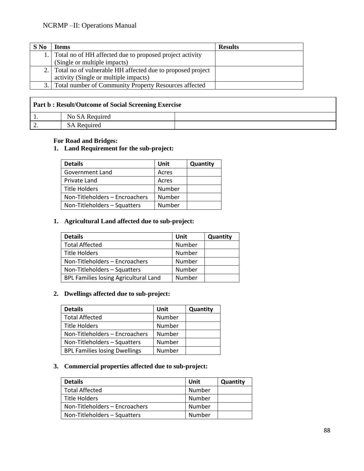| $S$ No | <b>Items</b>                                                  | <b>Results</b> |
|--------|---------------------------------------------------------------|----------------|
|        | 1. Total no of HH affected due to proposed project activity   |                |
|        | (Single or multiple impacts)                                  |                |
|        | 2. Total no of vulnerable HH affected due to proposed project |                |
|        | activity (Single or multiple impacts)                         |                |
| 3.     | Total number of Community Property Resources affected         |                |

#### **Part b : Result/Outcome of Social Screening Exercise**

| . .                    | N <sub>0</sub><br>. SA Required |  |
|------------------------|---------------------------------|--|
| $\sqrt{2}$<br><u>.</u> | 1 CU<br>ັ້<br>$ -$              |  |

#### **For Road and Bridges:**

# **1. Land Requirement for the sub-project:**

| <b>Details</b>                 | Unit   | Quantity |
|--------------------------------|--------|----------|
| <b>Government Land</b>         | Acres  |          |
| Private Land                   | Acres  |          |
| <b>Title Holders</b>           | Number |          |
| Non-Titleholders - Encroachers | Number |          |
| Non-Titleholders - Squatters   | Number |          |

#### **1. Agricultural Land affected due to sub-project:**

| <b>Details</b>                               | Unit   | Quantity |
|----------------------------------------------|--------|----------|
| <b>Total Affected</b>                        | Number |          |
| <b>Title Holders</b>                         | Number |          |
| Non-Titleholders - Encroachers               | Number |          |
| Non-Titleholders - Squatters                 | Number |          |
| <b>BPL Families losing Agricultural Land</b> | Number |          |

#### **2. Dwellings affected due to sub-project:**

| <b>Details</b>                       | Unit   | Quantity |
|--------------------------------------|--------|----------|
| <b>Total Affected</b>                | Number |          |
| <b>Title Holders</b>                 | Number |          |
| Non-Titleholders - Encroachers       | Number |          |
| Non-Titleholders - Squatters         | Number |          |
| <b>BPL Families losing Dwellings</b> | Number |          |

#### **3. Commercial properties affected due to sub-project:**

| <b>Details</b>                 | Unit   | Quantity |
|--------------------------------|--------|----------|
| <b>Total Affected</b>          | Number |          |
| Title Holders                  | Number |          |
| Non-Titleholders - Encroachers | Number |          |
| Non-Titleholders - Squatters   | Number |          |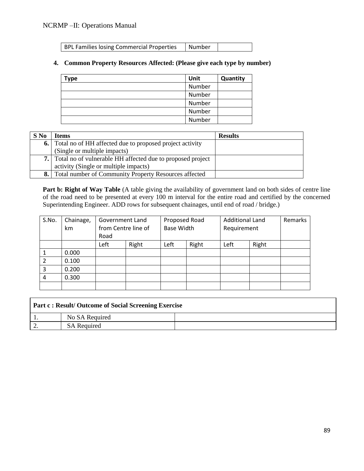| <b>BPL Families losing Commercial Properties</b> | Number |  |
|--------------------------------------------------|--------|--|

# **4. Common Property Resources Affected: (Please give each type by number)**

| Type | Unit   | Quantity |
|------|--------|----------|
|      | Number |          |
|      | Number |          |
|      | Number |          |
|      | Number |          |
|      | Number |          |

| $S$ No | <b>Items</b>                                                       | <b>Results</b> |
|--------|--------------------------------------------------------------------|----------------|
|        | <b>6.</b> Total no of HH affected due to proposed project activity |                |
|        | (Single or multiple impacts)                                       |                |
|        | 7. Total no of vulnerable HH affected due to proposed project      |                |
|        | activity (Single or multiple impacts)                              |                |
| 8.     | Total number of Community Property Resources affected              |                |

Part b: Right of Way Table (A table giving the availability of government land on both sides of centre line of the road need to be presented at every 100 m interval for the entire road and certified by the concerned Superintending Engineer. ADD rows for subsequent chainages, until end of road / bridge.)

| S.No. | Chainage,<br>km | Government Land<br>from Centre line of<br>Road |       | Proposed Road<br><b>Base Width</b> |       | <b>Additional Land</b><br>Requirement |       | Remarks |
|-------|-----------------|------------------------------------------------|-------|------------------------------------|-------|---------------------------------------|-------|---------|
|       |                 | Left                                           | Right | Left                               | Right | Left                                  | Right |         |
|       | 0.000           |                                                |       |                                    |       |                                       |       |         |
| 2     | 0.100           |                                                |       |                                    |       |                                       |       |         |
| 3     | 0.200           |                                                |       |                                    |       |                                       |       |         |
| 4     | 0.300           |                                                |       |                                    |       |                                       |       |         |
|       |                 |                                                |       |                                    |       |                                       |       |         |

| Part c: Result/ Outcome of Social Screening Exercise |                    |  |
|------------------------------------------------------|--------------------|--|
|                                                      | No SA Required     |  |
| <u>.</u>                                             | <b>SA</b> Required |  |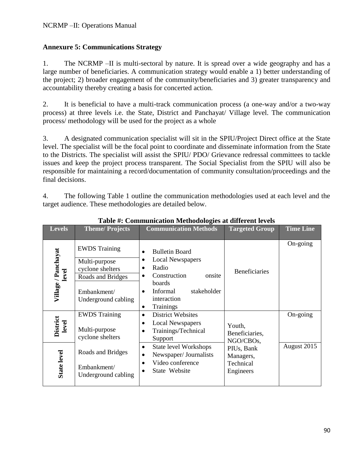# **Annexure 5: Communications Strategy**

1. The NCRMP –II is multi-sectoral by nature. It is spread over a wide geography and has a large number of beneficiaries. A communication strategy would enable a 1) better understanding of the project; 2) broader engagement of the community/beneficiaries and 3) greater transparency and accountability thereby creating a basis for concerted action.

2. It is beneficial to have a multi-track communication process (a one-way and/or a two-way process) at three levels i.e. the State, District and Panchayat/ Village level. The communication process/ methodology will be used for the project as a whole

3. A designated communication specialist will sit in the SPIU/Project Direct office at the State level. The specialist will be the focal point to coordinate and disseminate information from the State to the Districts. The specialist will assist the SPIU/ PDO/ Grievance redressal committees to tackle issues and keep the project process transparent. The Social Specialist from the SPIU will also be responsible for maintaining a record/documentation of community consultation/proceedings and the final decisions.

4. The following Table 1 outline the communication methodologies used at each level and the target audience. These methodologies are detailed below.

| <b>Levels</b>                    | <b>Theme/Projects</b>                                                                                                | raoic ## communication methodologies at unferent fevels<br><b>Communication Methods</b>                                                                                                                 | <b>Targeted Group</b>                                                                      | <b>Time Line</b>        |
|----------------------------------|----------------------------------------------------------------------------------------------------------------------|---------------------------------------------------------------------------------------------------------------------------------------------------------------------------------------------------------|--------------------------------------------------------------------------------------------|-------------------------|
| Village / Panchayat<br>level     | <b>EWDS</b> Training<br>Multi-purpose<br>cyclone shelters<br>Roads and Bridges<br>Embankment/<br>Underground cabling | <b>Bulletin Board</b><br><b>Local Newspapers</b><br>$\bullet$<br>Radio<br>$\bullet$<br>Construction<br>onsite<br>$\bullet$<br>boards<br>stakeholder<br>Informal<br>interaction<br><b>Trainings</b><br>٠ | <b>Beneficiaries</b>                                                                       | On-going                |
| District<br>level<br>State level | <b>EWDS</b> Training<br>Multi-purpose<br>cyclone shelters<br>Roads and Bridges<br>Embankment/<br>Underground cabling | <b>District Websites</b><br>$\bullet$<br><b>Local Newspapers</b><br>Trainings/Technical<br>Support<br>State level Workshops<br>$\bullet$<br>Newspaper/Journalists<br>Video conference<br>State Website  | Youth,<br>Beneficiaries,<br>NGO/CBOs,<br>PIUs, Bank<br>Managers,<br>Technical<br>Engineers | On-going<br>August 2015 |

# **Table #: Communication Methodologies at different levels**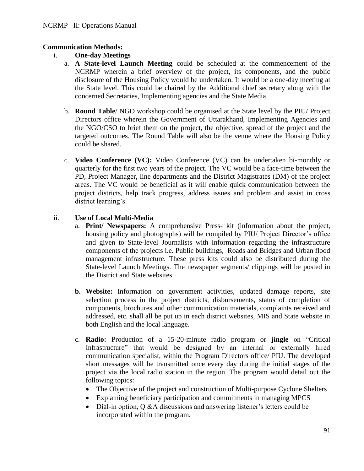## **Communication Methods:**

- i. **One-day Meetings**
	- a. **A State-level Launch Meeting** could be scheduled at the commencement of the NCRMP wherein a brief overview of the project, its components, and the public disclosure of the Housing Policy would be undertaken. It would be a one-day meeting at the State level. This could be chaired by the Additional chief secretary along with the concerned Secretaries, Implementing agencies and the State Media.
	- b. **Round Table**/ NGO workshop could be organised at the State level by the PIU/ Project Directors office wherein the Government of Uttarakhand, Implementing Agencies and the NGO/CSO to brief them on the project, the objective, spread of the project and the targeted outcomes. The Round Table will also be the venue where the Housing Policy could be shared.
	- c. **Video Conference (VC):** Video Conference (VC) can be undertaken bi-monthly or quarterly for the first two years of the project. The VC would be a face-time between the PD, Project Manager, line departments and the District Magistrates (DM) of the project areas. The VC would be beneficial as it will enable quick communication between the project districts, help track progress, address issues and problem and assist in cross district learning's.

### ii. **Use of Local Multi-Media**

- a. **Print/ Newspapers:** A comprehensive Press- kit (information about the project, housing policy and photographs) will be compiled by PIU/ Project Director's office and given to State-level Journalists with information regarding the infrastructure components of the projects i.e. Public buildings, Roads and Bridges and Urban flood management infrastructure. These press kits could also be distributed during the State-level Launch Meetings. The newspaper segments/ clippings will be posted in the District and State websites.
- **b. Website:** Information on government activities, updated damage reports, site selection process in the project districts, disbursements, status of completion of components, brochures and other communication materials, complaints received and addressed, etc. shall all be put up in each district websites, MIS and State website in both English and the local language.
- c. **Radio:** Production of a 15-20-minute radio program or **jingle** on "Critical Infrastructure" that would be designed by an internal or externally hired communication specialist, within the Program Directors office/ PIU. The developed short messages will be transmitted once every day during the initial stages of the project via the local radio station in the region. The program would detail out the following topics:
	- The Objective of the project and construction of Multi-purpose Cyclone Shelters
	- Explaining beneficiary participation and commitments in managing MPCS
	- Dial-in option, O &A discussions and answering listener's letters could be incorporated within the program.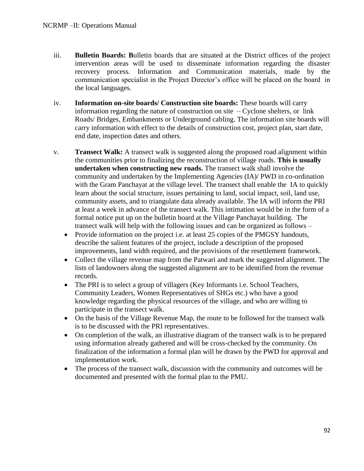- iii. **Bulletin Boards: B**ulletin boards that are situated at the District offices of the project intervention areas will be used to disseminate information regarding the disaster recovery process. Information and Communication materials, made by the communication specialist in the Project Director's office will be placed on the board in the local languages.
- iv. **Information on-site boards/ Construction site boards:** These boards will carry information regarding the nature of construction on site  $-$  Cyclone shelters, or link Roads/ Bridges, Embankments or Underground cabling. The information site boards will carry information with effect to the details of construction cost, project plan, start date, end date, inspection dates and others.
- v. **Transect Walk:** A transect walk is suggested along the proposed road alignment within the communities prior to finalizing the reconstruction of village roads. **This is usually undertaken when constructing new roads.** The transect walk shall involve the community and undertaken by the Implementing Agencies (IA)/ PWD in co-ordination with the Gram Panchayat at the village level. The transect shall enable the IA to quickly learn about the social structure, issues pertaining to land, social impact, soil, land use, community assets, and to triangulate data already available. The IA will inform the PRI at least a week in advance of the transect walk. This intimation would be in the form of a formal notice put up on the bulletin board at the Village Panchayat building. The transect walk will help with the following issues and can be organized as follows –
	- Provide information on the project i.e. at least 25 copies of the PMGSY handouts, describe the salient features of the project, include a description of the proposed improvements, land width required, and the provisions of the resettlement framework.
	- Collect the village revenue map from the Patwari and mark the suggested alignment. The lists of landowners along the suggested alignment are to be identified from the revenue records.
	- The PRI is to select a group of villagers (Key Informants i.e. School Teachers, Community Leaders, Women Representatives of SHGs etc.) who have a good knowledge regarding the physical resources of the village, and who are willing to participate in the transect walk.
	- On the basis of the Village Revenue Map, the route to be followed for the transect walk is to be discussed with the PRI representatives.
	- On completion of the walk, an illustrative diagram of the transect walk is to be prepared using information already gathered and will be cross-checked by the community. On finalization of the information a formal plan will be drawn by the PWD for approval and implementation work.
	- The process of the transect walk, discussion with the community and outcomes will be documented and presented with the formal plan to the PMU.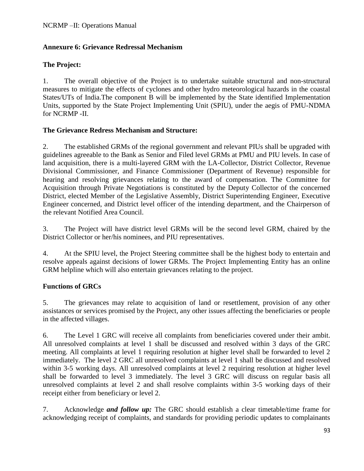# **Annexure 6: Grievance Redressal Mechanism**

# **The Project:**

1. The overall objective of the Project is to undertake suitable structural and non-structural measures to mitigate the effects of cyclones and other hydro meteorological hazards in the coastal States/UTs of India.The component B will be implemented by the State identified Implementation Units, supported by the State Project Implementing Unit (SPIU), under the aegis of PMU-NDMA for NCRMP -II.

# **The Grievance Redress Mechanism and Structure:**

2. The established GRMs of the regional government and relevant PIUs shall be upgraded with guidelines agreeable to the Bank as Senior and Filed level GRMs at PMU and PIU levels. In case of land acquisition, there is a multi-layered GRM with the LA-Collector, District Collector, Revenue Divisional Commissioner, and Finance Commissioner (Department of Revenue) responsible for hearing and resolving grievances relating to the award of compensation. The Committee for Acquisition through Private Negotiations is constituted by the Deputy Collector of the concerned District, elected Member of the Legislative Assembly, District Superintending Engineer, Executive Engineer concerned, and District level officer of the intending department, and the Chairperson of the relevant Notified Area Council.

3. The Project will have district level GRMs will be the second level GRM, chaired by the District Collector or her/his nominees, and PIU representatives.

4. At the SPIU level, the Project Steering committee shall be the highest body to entertain and resolve appeals against decisions of lower GRMs. The Project Implementing Entity has an online GRM helpline which will also entertain grievances relating to the project.

### **Functions of GRCs**

5. The grievances may relate to acquisition of land or resettlement, provision of any other assistances or services promised by the Project, any other issues affecting the beneficiaries or people in the affected villages.

6. The Level 1 GRC will receive all complaints from beneficiaries covered under their ambit. All unresolved complaints at level 1 shall be discussed and resolved within 3 days of the GRC meeting. All complaints at level 1 requiring resolution at higher level shall be forwarded to level 2 immediately. The level 2 GRC all unresolved complaints at level 1 shall be discussed and resolved within 3-5 working days. All unresolved complaints at level 2 requiring resolution at higher level shall be forwarded to level 3 immediately. The level 3 GRC will discuss on regular basis all unresolved complaints at level 2 and shall resolve complaints within 3-5 working days of their receipt either from beneficiary or level 2.

7. Acknowledge *and follow up:* The GRC should establish a clear timetable/time frame for acknowledging receipt of complaints, and standards for providing periodic updates to complainants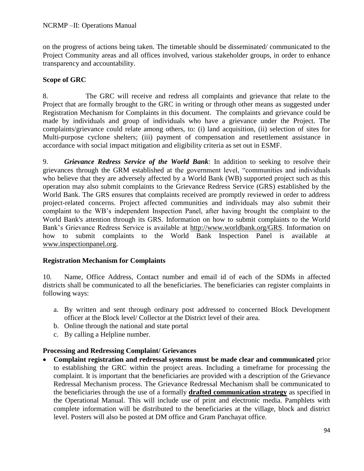on the progress of actions being taken. The timetable should be disseminated/ communicated to the Project Community areas and all offices involved, various stakeholder groups, in order to enhance transparency and accountability.

# **Scope of GRC**

8. The GRC will receive and redress all complaints and grievance that relate to the Project that are formally brought to the GRC in writing or through other means as suggested under Registration Mechanism for Complaints in this document. The complaints and grievance could be made by individuals and group of individuals who have a grievance under the Project. The complaints/grievance could relate among others, to: (i) land acquisition, (ii) selection of sites for Multi-purpose cyclone shelters; (iii) payment of compensation and resettlement assistance in accordance with social impact mitigation and eligibility criteria as set out in ESMF.

9. *Grievance Redress Service of the World Bank*: In addition to seeking to resolve their grievances through the GRM established at the government level, "communities and individuals who believe that they are adversely affected by a World Bank (WB) supported project such as this operation may also submit complaints to the Grievance Redress Service (GRS) established by the World Bank. The GRS ensures that complaints received are promptly reviewed in order to address project-related concerns. Project affected communities and individuals may also submit their complaint to the WB's independent Inspection Panel, after having brought the complaint to the World Bank's attention through its GRS. Information on how to submit complaints to the World Bank's Grievance Redress Service is available at [http://www.worldbank.org/GRS.](http://www.worldbank.org/GRS) Information on how to submit complaints to the World Bank Inspection Panel is available at [www.inspectionpanel.org.](http://www.inspectionpanel.org/)

# **Registration Mechanism for Complaints**

10. Name, Office Address, Contact number and email id of each of the SDMs in affected districts shall be communicated to all the beneficiaries. The beneficiaries can register complaints in following ways:

- a. By written and sent through ordinary post addressed to concerned Block Development officer at the Block level/ Collector at the District level of their area.
- b. Online through the national and state portal
- c. By calling a Helpline number.

# **Processing and Redressing Complaint/ Grievances**

 **Complaint registration and redressal systems must be made clear and communicated** prior to establishing the GRC within the project areas. Including a timeframe for processing the complaint. It is important that the beneficiaries are provided with a description of the Grievance Redressal Mechanism process. The Grievance Redressal Mechanism shall be communicated to the beneficiaries through the use of a formally **drafted communication strategy** as specified in the Operational Manual. This will include use of print and electronic media. Pamphlets with complete information will be distributed to the beneficiaries at the village, block and district level. Posters will also be posted at DM office and Gram Panchayat office.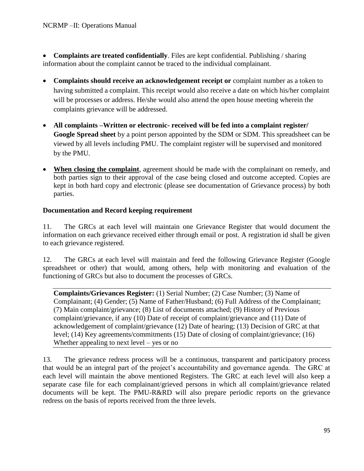**Complaints are treated confidentially**. Files are kept confidential. Publishing / sharing information about the complaint cannot be traced to the individual complainant.

- **Complaints should receive an acknowledgement receipt or** complaint number as a token to having submitted a complaint. This receipt would also receive a date on which his/her complaint will be processes or address. He/she would also attend the open house meeting wherein the complaints grievance will be addressed.
- **All complaints –Written or electronic- received will be fed into a complaint register/ Google Spread sheet** by a point person appointed by the SDM or SDM. This spreadsheet can be viewed by all levels including PMU. The complaint register will be supervised and monitored by the PMU.
- **When closing the complaint**, agreement should be made with the complainant on remedy, and both parties sign to their approval of the case being closed and outcome accepted. Copies are kept in both hard copy and electronic (please see documentation of Grievance process) by both parties.

### **Documentation and Record keeping requirement**

11. The GRCs at each level will maintain one Grievance Register that would document the information on each grievance received either through email or post. A registration id shall be given to each grievance registered.

12. The GRCs at each level will maintain and feed the following Grievance Register (Google spreadsheet or other) that would, among others, help with monitoring and evaluation of the functioning of GRCs but also to document the processes of GRCs.

**Complaints/Grievances Register:** (1) Serial Number; (2) Case Number; (3) Name of Complainant; (4) Gender; (5) Name of Father/Husband; (6) Full Address of the Complainant; (7) Main complaint/grievance; (8) List of documents attached; (9) History of Previous complaint/grievance, if any (10) Date of receipt of complaint/grievance and (11) Date of acknowledgement of complaint/grievance (12) Date of hearing; (13) Decision of GRC at that level; (14) Key agreements/commitments (15) Date of closing of complaint/grievance; (16) Whether appealing to next level – yes or no

13. The grievance redress process will be a continuous, transparent and participatory process that would be an integral part of the project's accountability and governance agenda. The GRC at each level will maintain the above mentioned Registers. The GRC at each level will also keep a separate case file for each complainant/grieved persons in which all complaint/grievance related documents will be kept. The PMU-R&RD will also prepare periodic reports on the grievance redress on the basis of reports received from the three levels.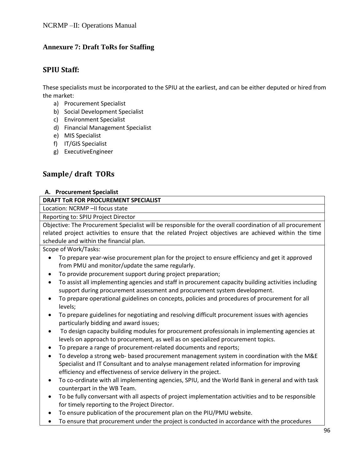# **Annexure 7: Draft ToRs for Staffing**

# **SPIU Staff:**

These specialists must be incorporated to the SPIU at the earliest, and can be either deputed or hired from the market:

- a) Procurement Specialist
- b) Social Development Specialist
- c) Environment Specialist
- d) Financial Management Specialist
- e) MIS Specialist
- f) IT/GIS Specialist
- g) ExecutiveEngineer

# **Sample/ draft TORs**

#### **A. Procurement Specialist**

#### **DRAFT ToR FOR PROCUREMENT SPECIALIST**

Location: NCRMP –II focus state

Reporting to: SPIU Project Director

Objective: The Procurement Specialist will be responsible for the overall coordination of all procurement related project activities to ensure that the related Project objectives are achieved within the time schedule and within the financial plan.

- To prepare year-wise procurement plan for the project to ensure efficiency and get it approved from PMU and monitor/update the same regularly.
- To provide procurement support during project preparation;
- To assist all implementing agencies and staff in procurement capacity building activities including support during procurement assessment and procurement system development.
- To prepare operational guidelines on concepts, policies and procedures of procurement for all levels;
- To prepare guidelines for negotiating and resolving difficult procurement issues with agencies particularly bidding and award issues;
- To design capacity building modules for procurement professionals in implementing agencies at levels on approach to procurement, as well as on specialized procurement topics.
- To prepare a range of procurement-related documents and reports;
- To develop a strong web- based procurement management system in coordination with the M&E Specialist and IT Consultant and to analyse management related information for improving efficiency and effectiveness of service delivery in the project.
- To co-ordinate with all implementing agencies, SPIU, and the World Bank in general and with task counterpart in the WB Team.
- To be fully conversant with all aspects of project implementation activities and to be responsible for timely reporting to the Project Director.
- To ensure publication of the procurement plan on the PIU/PMU website.
- To ensure that procurement under the project is conducted in accordance with the procedures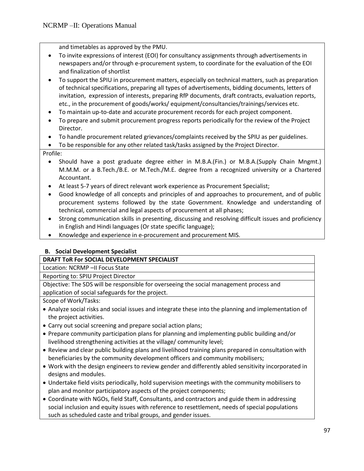|           | and timetables as approved by the PMU.                                                        |
|-----------|-----------------------------------------------------------------------------------------------|
| $\bullet$ | To invite expressions of interest (EOI) for consultancy assignments through advertisements in |
|           | newspapers and/or through e-procurement system, to coordinate for the evaluation of the EOI   |
|           | and finalization of shortlist                                                                 |

- To support the SPIU in procurement matters, especially on technical matters, such as preparation of technical specifications, preparing all types of advertisements, bidding documents, letters of invitation, expression of interests, preparing RfP documents, draft contracts, evaluation reports, etc., in the procurement of goods/works/ equipment/consultancies/trainings/services etc.
- To maintain up-to-date and accurate procurement records for each project component.
- To prepare and submit procurement progress reports periodically for the review of the Project Director.
- To handle procurement related grievances/complaints received by the SPIU as per guidelines.
- To be responsible for any other related task/tasks assigned by the Project Director.

- Should have a post graduate degree either in M.B.A.(Fin.) or M.B.A.(Supply Chain Mngmt.) M.M.M. or a B.Tech./B.E. or M.Tech./M.E. degree from a recognized university or a Chartered Accountant.
- At least 5-7 years of direct relevant work experience as Procurement Specialist;
- Good knowledge of all concepts and principles of and approaches to procurement, and of public procurement systems followed by the state Government. Knowledge and understanding of technical, commercial and legal aspects of procurement at all phases;
- Strong communication skills in presenting, discussing and resolving difficult issues and proficiency in English and Hindi languages (Or state specific language);
- Knowledge and experience in e-procurement and procurement MIS.

#### **B. Social Development Specialist**

#### **DRAFT ToR For SOCIAL DEVELOPMENT SPECIALIST**

Location: NCRMP –II Focus State

Reporting to: SPIU Project Director

Objective: The SDS will be responsible for overseeing the social management process and application of social safeguards for the project.

- Analyze social risks and social issues and integrate these into the planning and implementation of the project activities.
- Carry out social screening and prepare social action plans;
- Prepare community participation plans for planning and implementing public building and/or livelihood strengthening activities at the village/ community level;
- Review and clear public building plans and livelihood training plans prepared in consultation with beneficiaries by the community development officers and community mobilisers;
- Work with the design engineers to review gender and differently abled sensitivity incorporated in designs and modules.
- Undertake field visits periodically, hold supervision meetings with the community mobilisers to plan and monitor participatory aspects of the project components;
- Coordinate with NGOs, field Staff, Consultants, and contractors and guide them in addressing social inclusion and equity issues with reference to resettlement, needs of special populations such as scheduled caste and tribal groups, and gender issues.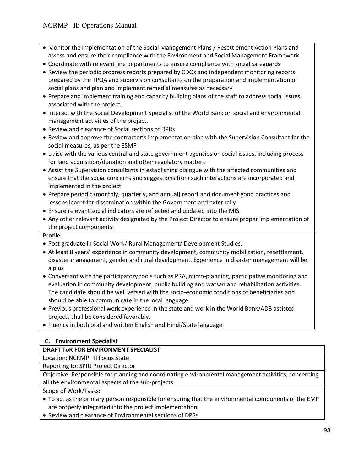- Monitor the implementation of the Social Management Plans / Resettlement Action Plans and assess and ensure their compliance with the Environment and Social Management Framework
- Coordinate with relevant line departments to ensure compliance with social safeguards
- Review the periodic progress reports prepared by CDOs and independent monitoring reports prepared by the TPQA and supervision consultants on the preparation and implementation of social plans and plan and implement remedial measures as necessary
- Prepare and implement training and capacity building plans of the staff to address social issues associated with the project.
- Interact with the Social Development Specialist of the World Bank on social and environmental management activities of the project.
- Review and clearance of Social sections of DPRs
- Review and approve the contractor's Implementation plan with the Supervision Consultant for the social measures, as per the ESMF
- Liaise with the various central and state government agencies on social issues, including process for land acquisition/donation and other regulatory matters
- Assist the Supervision consultants in establishing dialogue with the affected communities and ensure that the social concerns and suggestions from such interactions are incorporated and implemented in the project
- Prepare periodic (monthly, quarterly, and annual) report and document good practices and lessons learnt for dissemination within the Government and externally
- Ensure relevant social indicators are reflected and updated into the MIS
- Any other relevant activity designated by the Project Director to ensure proper implementation of the project components.

- Post graduate in Social Work/ Rural Management/ Development Studies.
- At least 8 years' experience in community development, community mobilization, resettlement, disaster management, gender and rural development. Experience in disaster management will be a plus
- Conversant with the participatory tools such as PRA, micro-planning, participative monitoring and evaluation in community development, public building and watsan and rehabilitation activities. The candidate should be well versed with the socio-economic conditions of beneficiaries and should be able to communicate in the local language
- Previous professional work experience in the state and work in the World Bank/ADB assisted projects shall be considered favorably.
- Fluency in both oral and written English and Hindi/State language

#### **C. Environment Specialist**

**DRAFT ToR FOR ENVIRONMENT SPECIALIST**

Location: NCRMP –II Focus State

Reporting to: SPIU Project Director

Objective: Responsible for planning and coordinating environmental management activities, concerning all the environmental aspects of the sub-projects.

- To act as the primary person responsible for ensuring that the environmental components of the EMP are properly integrated into the project implementation
- Review and clearance of Environmental sections of DPRs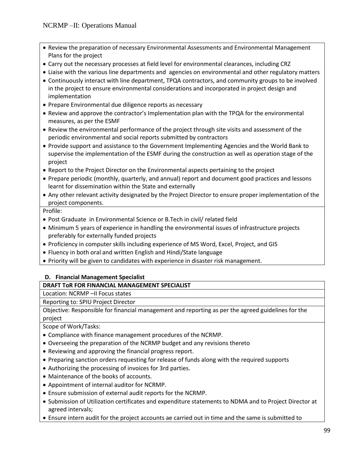- Review the preparation of necessary Environmental Assessments and Environmental Management Plans for the project
- Carry out the necessary processes at field level for environmental clearances, including CRZ
- Liaise with the various line departments and agencies on environmental and other regulatory matters
- Continuously interact with line department, TPQA contractors, and community groups to be involved in the project to ensure environmental considerations and incorporated in project design and implementation
- Prepare Environmental due diligence reports as necessary
- Review and approve the contractor's Implementation plan with the TPQA for the environmental measures, as per the ESMF
- Review the environmental performance of the project through site visits and assessment of the periodic environmental and social reports submitted by contractors
- Provide support and assistance to the Government Implementing Agencies and the World Bank to supervise the implementation of the ESMF during the construction as well as operation stage of the project
- Report to the Project Director on the Environmental aspects pertaining to the project
- Prepare periodic (monthly, quarterly, and annual) report and document good practices and lessons learnt for dissemination within the State and externally
- Any other relevant activity designated by the Project Director to ensure proper implementation of the project components.

- Post Graduate in Environmental Science or B.Tech in civil/ related field
- Minimum 5 years of experience in handling the environmental issues of infrastructure projects preferably for externally funded projects
- Proficiency in computer skills including experience of MS Word, Excel, Project, and GIS
- Fluency in both oral and written English and Hindi/State language
- Priority will be given to candidates with experience in disaster risk management.

#### **D. Financial Management Specialist**

#### **DRAFT ToR FOR FINANCIAL MANAGEMENT SPECIALIST**

Location: NCRMP –II Focus states

Reporting to: SPIU Project Director

Objective: Responsible for financial management and reporting as per the agreed guidelines for the project

- Compliance with finance management procedures of the NCRMP.
- Overseeing the preparation of the NCRMP budget and any revisions thereto
- Reviewing and approving the financial progress report.
- Preparing sanction orders requesting for release of funds along with the required supports
- Authorizing the processing of invoices for 3rd parties.
- Maintenance of the books of accounts.
- Appointment of internal auditor for NCRMP.
- Ensure submission of external audit reports for the NCRMP.
- Submission of Utilization certificates and expenditure statements to NDMA and to Project Director at agreed intervals;
- Ensure intern audit for the project accounts ae carried out in time and the same is submitted to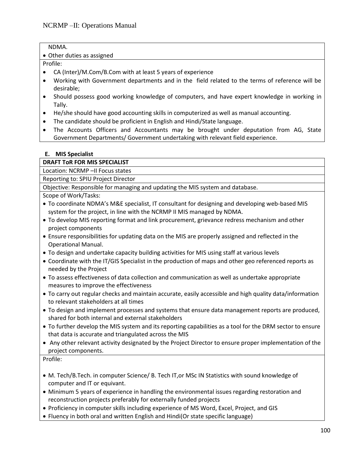| NDMA.                                                                                                                                                                                        |  |  |  |  |  |  |  |
|----------------------------------------------------------------------------------------------------------------------------------------------------------------------------------------------|--|--|--|--|--|--|--|
| • Other duties as assigned                                                                                                                                                                   |  |  |  |  |  |  |  |
| Profile:                                                                                                                                                                                     |  |  |  |  |  |  |  |
| CA (Inter)/M.Com/B.Com with at least 5 years of experience<br>$\bullet$                                                                                                                      |  |  |  |  |  |  |  |
| Working with Government departments and in the field related to the terms of reference will be<br>$\bullet$<br>desirable;                                                                    |  |  |  |  |  |  |  |
| Should possess good working knowledge of computers, and have expert knowledge in working in<br>$\bullet$<br>Tally.                                                                           |  |  |  |  |  |  |  |
| He/she should have good accounting skills in computerized as well as manual accounting.<br>$\bullet$<br>The candidate should be proficient in English and Hindi/State language.<br>$\bullet$ |  |  |  |  |  |  |  |
| The Accounts Officers and Accountants may be brought under deputation from AG, State<br>$\bullet$<br>Government Departments/ Government undertaking with relevant field experience.          |  |  |  |  |  |  |  |
| E. MIS Specialist                                                                                                                                                                            |  |  |  |  |  |  |  |
| <b>DRAFT TOR FOR MIS SPECIALIST</b>                                                                                                                                                          |  |  |  |  |  |  |  |
| Location: NCRMP-II Focus states                                                                                                                                                              |  |  |  |  |  |  |  |
| Reporting to: SPIU Project Director                                                                                                                                                          |  |  |  |  |  |  |  |
| Objective: Responsible for managing and updating the MIS system and database.                                                                                                                |  |  |  |  |  |  |  |
| Scope of Work/Tasks:                                                                                                                                                                         |  |  |  |  |  |  |  |
| • To coordinate NDMA's M&E specialist, IT consultant for designing and developing web-based MIS<br>system for the project, in line with the NCRMP II MIS managed by NDMA.                    |  |  |  |  |  |  |  |
| • To develop MIS reporting format and link procurement, grievance redress mechanism and other<br>project components                                                                          |  |  |  |  |  |  |  |
| • Ensure responsibilities for updating data on the MIS are properly assigned and reflected in the<br><b>Operational Manual.</b>                                                              |  |  |  |  |  |  |  |
| • To design and undertake capacity building activities for MIS using staff at various levels                                                                                                 |  |  |  |  |  |  |  |
| • Coordinate with the IT/GIS Specialist in the production of maps and other geo referenced reports as<br>needed by the Project                                                               |  |  |  |  |  |  |  |
| • To assess effectiveness of data collection and communication as well as undertake appropriate<br>measures to improve the effectiveness                                                     |  |  |  |  |  |  |  |
| • To carry out regular checks and maintain accurate, easily accessible and high quality data/information<br>to relevant stakeholders at all times                                            |  |  |  |  |  |  |  |

- To design and implement processes and systems that ensure data management reports are produced, shared for both internal and external stakeholders
- To further develop the MIS system and its reporting capabilities as a tool for the DRM sector to ensure that data is accurate and triangulated across the MIS
- Any other relevant activity designated by the Project Director to ensure proper implementation of the project components.

- M. Tech/B.Tech. in computer Science/ B. Tech IT,or MSc IN Statistics with sound knowledge of computer and IT or equivant.
- Minimum 5 years of experience in handling the environmental issues regarding restoration and reconstruction projects preferably for externally funded projects
- Proficiency in computer skills including experience of MS Word, Excel, Project, and GIS
- Fluency in both oral and written English and Hindi(Or state specific language)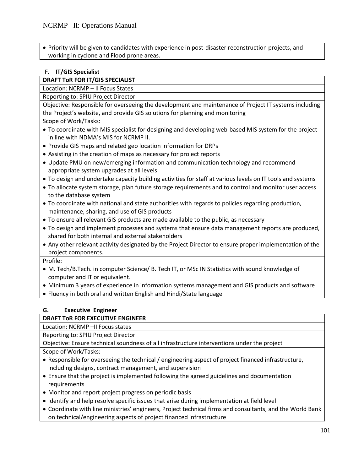Priority will be given to candidates with experience in post-disaster reconstruction projects, and working in cyclone and Flood prone areas.

#### **F. IT/GIS Specialist**

#### **DRAFT ToR FOR IT/GIS SPECIALIST**

Location: NCRMP – II Focus States

Reporting to: SPIU Project Director

Objective: Responsible for overseeing the development and maintenance of Project IT systems including the Project's website, and provide GIS solutions for planning and monitoring

- Scope of Work/Tasks:
- To coordinate with MIS specialist for designing and developing web-based MIS system for the project in line with NDMA's MIS for NCRMP II.
- Provide GIS maps and related geo location information for DRPs
- Assisting in the creation of maps as necessary for project reports
- Update PMU on new/emerging information and communication technology and recommend appropriate system upgrades at all levels
- To design and undertake capacity building activities for staff at various levels on IT tools and systems
- To allocate system storage, plan future storage requirements and to control and monitor user access to the database system
- To coordinate with national and state authorities with regards to policies regarding production, maintenance, sharing, and use of GIS products
- To ensure all relevant GIS products are made available to the public, as necessary
- To design and implement processes and systems that ensure data management reports are produced, shared for both internal and external stakeholders
- Any other relevant activity designated by the Project Director to ensure proper implementation of the project components.

Profile:

- M. Tech/B.Tech. in computer Science/ B. Tech IT, or MSc IN Statistics with sound knowledge of computer and IT or equivalent.
- Minimum 3 years of experience in information systems management and GIS products and software
- Fluency in both oral and written English and Hindi/State language

#### **G. Executive Engineer**

#### **DRAFT ToR FOR EXECUTIVE ENGINEER**

Location: NCRMP –II Focus states

Reporting to: SPIU Project Director

Objective: Ensure technical soundness of all infrastructure interventions under the project

- Scope of Work/Tasks:
- Responsible for overseeing the technical / engineering aspect of project financed infrastructure, including designs, contract management, and supervision
- Ensure that the project is implemented following the agreed guidelines and documentation requirements
- Monitor and report project progress on periodic basis
- Identify and help resolve specific issues that arise during implementation at field level
- Coordinate with line ministries' engineers, Project technical firms and consultants, and the World Bank on technical/engineering aspects of project financed infrastructure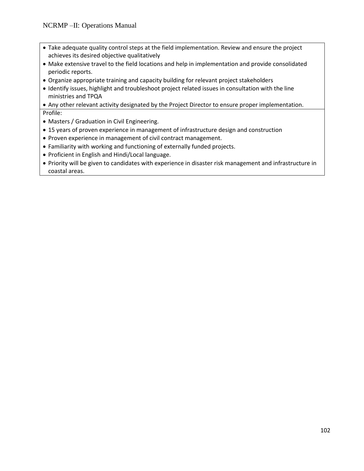- Take adequate quality control steps at the field implementation. Review and ensure the project achieves its desired objective qualitatively
- Make extensive travel to the field locations and help in implementation and provide consolidated periodic reports.
- Organize appropriate training and capacity building for relevant project stakeholders
- Identify issues, highlight and troubleshoot project related issues in consultation with the line ministries and TPQA

 Any other relevant activity designated by the Project Director to ensure proper implementation. Profile:

- Masters / Graduation in Civil Engineering.
- 15 years of proven experience in management of infrastructure design and construction
- Proven experience in management of civil contract management.
- Familiarity with working and functioning of externally funded projects.
- Proficient in English and Hindi/Local language.
- Priority will be given to candidates with experience in disaster risk management and infrastructure in coastal areas.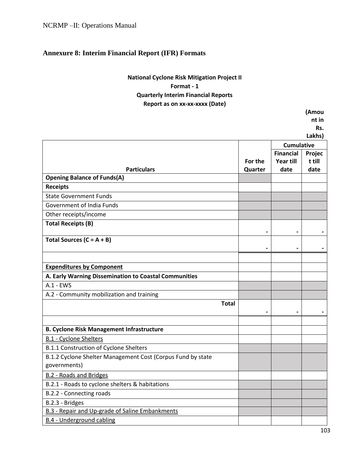### **Annexure 8: Interim Financial Report (IFR) Formats**

### **National Cyclone Risk Mitigation Project II Format - 1 Quarterly Interim Financial Reports Report as on xx-xx-xxxx (Date)**

**Lakhs) Particulars For the Quarter Cumulative Financial Year till date Projec t till date Opening Balance of Funds(A) Receipts** State Government Funds Government of India Funds Other receipts/income **Total Receipts (B) - - - Total Sources (C = A + B) - - - Expenditures by Component A. Early Warning Dissemination to Coastal Communities** A.1 - EWS A.2 - Community mobilization and training **Total - - - B. Cyclone Risk Management Infrastructure** B.1 - Cyclone Shelters B.1.1 Construction of Cyclone Shelters B.1.2 Cyclone Shelter Management Cost (Corpus Fund by state governments) B.2 - Roads and Bridges B.2.1 - Roads to cyclone shelters & habitations B.2.2 - Connecting roads B.2.3 - Bridges B.3 - Repair and Up-grade of Saline Embankments B.4 - Underground cabling

**(Amou nt in Rs.**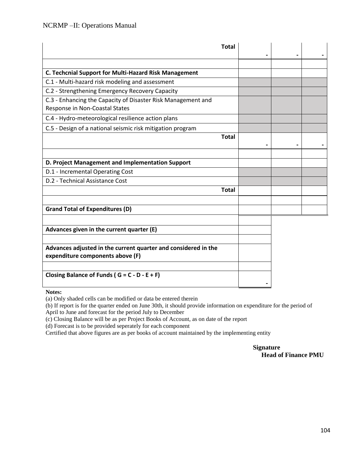|                                                                                                | <b>Total</b> |  |
|------------------------------------------------------------------------------------------------|--------------|--|
|                                                                                                |              |  |
| C. Techcnial Support for Multi-Hazard Risk Management                                          |              |  |
| C.1 - Multi-hazard risk modeling and assessment                                                |              |  |
| C.2 - Strengthening Emergency Recovery Capacity                                                |              |  |
| C.3 - Enhancing the Capacity of Disaster Risk Management and<br>Response in Non-Coastal States |              |  |
| C.4 - Hydro-meteorological resilience action plans                                             |              |  |
| C.5 - Design of a national seismic risk mitigation program                                     |              |  |
|                                                                                                | <b>Total</b> |  |
|                                                                                                |              |  |
| D. Project Management and Implementation Support                                               |              |  |
| D.1 - Incremental Operating Cost                                                               |              |  |
| D.2 - Technical Assistance Cost                                                                |              |  |
|                                                                                                | <b>Total</b> |  |
| <b>Grand Total of Expenditures (D)</b>                                                         |              |  |
| Advances given in the current quarter (E)                                                      |              |  |
| Advances adjusted in the current quarter and considered in the                                 |              |  |
| expenditure components above (F)                                                               |              |  |
| Closing Balance of Funds ( $G = C - D - E + F$ )                                               |              |  |
|                                                                                                |              |  |

**Notes:**

(a) Only shaded cells can be modified or data be entered therein

(b) If report is for the quarter ended on June 30th, it should provide information on expenditure for the period of

April to June and forecast for the period July to December

(c) Closing Balance will be as per Project Books of Account, as on date of the report

(d) Forecast is to be provided seperately for each component

Certified that above figures are as per books of account maintained by the implementing entity

 **Signature Head of Finance PMU**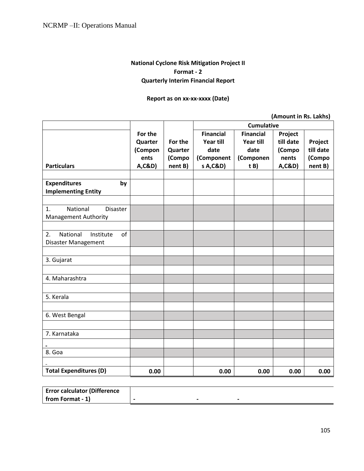### **National Cyclone Risk Mitigation Project II Format - 2 Quarterly Interim Financial Report**

#### **Report as on xx-xx-xxxx (Date)**

**For the Quarter (Compon ents A,C&D) For the Quarter (Compo nent B) Cumulative Particulars Financial Year till date (Component s A,C&D) Financial Year till date (Componen t B) Project till date (Compo nents A,C&D) Project till date (Compo nent B) Expenditures by Implementing Entity**  1. National Disaster Management Authority 2. National Institute of Disaster Management 3. Gujarat 4. Maharashtra 5. Kerala 6. West Bengal 7. Karnataka 8. Goa **Total Expenditures (D) 0.00 0.00 0.00 0.00 0.00**

| <b>Error calculator (Difference</b> |  |  |  |
|-------------------------------------|--|--|--|
| from Format - 1)                    |  |  |  |

**(Amount in Rs. Lakhs)**